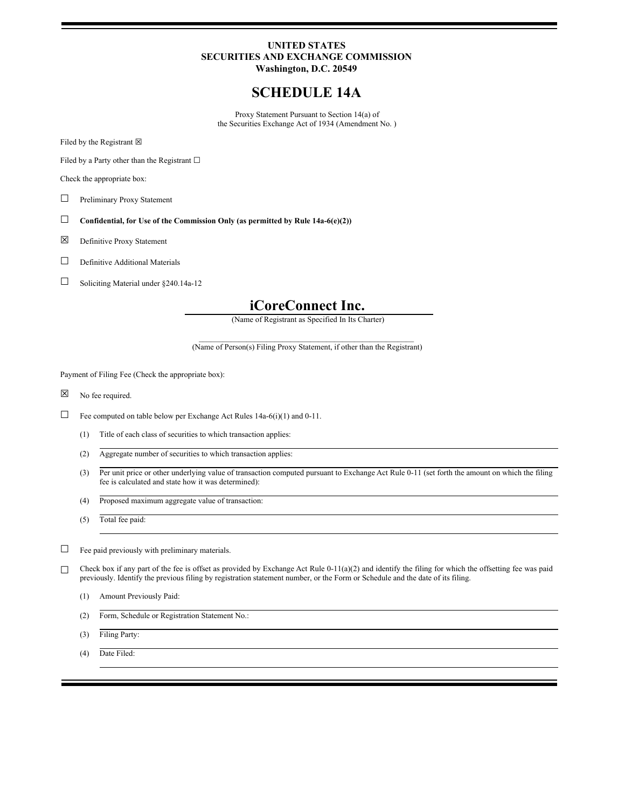# **UNITED STATES SECURITIES AND EXCHANGE COMMISSION Washington, D.C. 20549**

# **SCHEDULE 14A**

Proxy Statement Pursuant to Section 14(a) of the Securities Exchange Act of 1934 (Amendment No. )

Filed by the Registrant  $\boxtimes$ 

Filed by a Party other than the Registrant  $□$ 

Check the appropriate box:

- □ Preliminary Proxy Statement
- ☐ **Confidential, for Use of the Commission Only (as permitted by Rule 14a-6(e)(2))**
- ☒ Definitive Proxy Statement
- $□$  Definitive Additional Materials
- $\Box$  Soliciting Material under §240.14a-12

# **iCoreConnect Inc.**

(Name of Registrant as Specified In Its Charter)

 $\mathcal{L}_\text{max}$  and the contract of the contract of the contract of the contract of the contract of the contract of (Name of Person(s) Filing Proxy Statement, if other than the Registrant)

Payment of Filing Fee (Check the appropriate box):

☒ No fee required.

 $\Box$  Fee computed on table below per Exchange Act Rules 14a-6(i)(1) and 0-11.

- (1) Title of each class of securities to which transaction applies:
- (2) Aggregate number of securities to which transaction applies:
- (3) Per unit price or other underlying value of transaction computed pursuant to Exchange Act Rule 0-11 (set forth the amount on which the filing fee is calculated and state how it was determined):
- (4) Proposed maximum aggregate value of transaction:
- (5) Total fee paid:

 $\Box$  Fee paid previously with preliminary materials.

□ Check box if any part of the fee is offset as provided by Exchange Act Rule 0-11(a)(2) and identify the filing for which the offsetting fee was paid previously. Identify the previous filing by registration statement number, or the Form or Schedule and the date of its filing.

- (1) Amount Previously Paid:
- (2) Form, Schedule or Registration Statement No.:
- (3) Filing Party:

(4) Date Filed: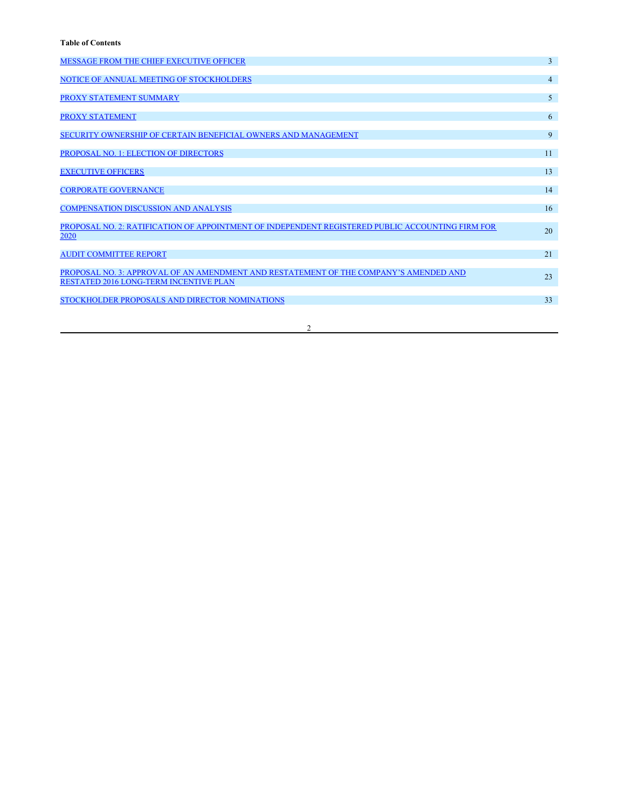<span id="page-1-0"></span>

| <b>MESSAGE FROM THE CHIEF EXECUTIVE OFFICER</b>                                                                                 | $\overline{3}$ |
|---------------------------------------------------------------------------------------------------------------------------------|----------------|
| NOTICE OF ANNUAL MEETING OF STOCKHOLDERS                                                                                        | $\overline{4}$ |
| PROXY STATEMENT SUMMARY                                                                                                         | $\overline{5}$ |
| <b>PROXY STATEMENT</b>                                                                                                          | 6              |
| SECURITY OWNERSHIP OF CERTAIN BENEFICIAL OWNERS AND MANAGEMENT                                                                  | 9              |
| PROPOSAL NO. 1: ELECTION OF DIRECTORS                                                                                           | 11             |
| <b>EXECUTIVE OFFICERS</b>                                                                                                       | 13             |
| <b>CORPORATE GOVERNANCE</b>                                                                                                     | 14             |
| <b>COMPENSATION DISCUSSION AND ANALYSIS</b>                                                                                     | 16             |
| PROPOSAL NO. 2: RATIFICATION OF APPOINTMENT OF INDEPENDENT REGISTERED PUBLIC ACCOUNTING FIRM FOR<br>2020                        | 20             |
| <b>AUDIT COMMITTEE REPORT</b>                                                                                                   | 21             |
| PROPOSAL NO. 3: APPROVAL OF AN AMENDMENT AND RESTATEMENT OF THE COMPANY'S AMENDED AND<br>RESTATED 2016 LONG-TERM INCENTIVE PLAN | 23             |
| STOCKHOLDER PROPOSALS AND DIRECTOR NOMINATIONS                                                                                  | 33             |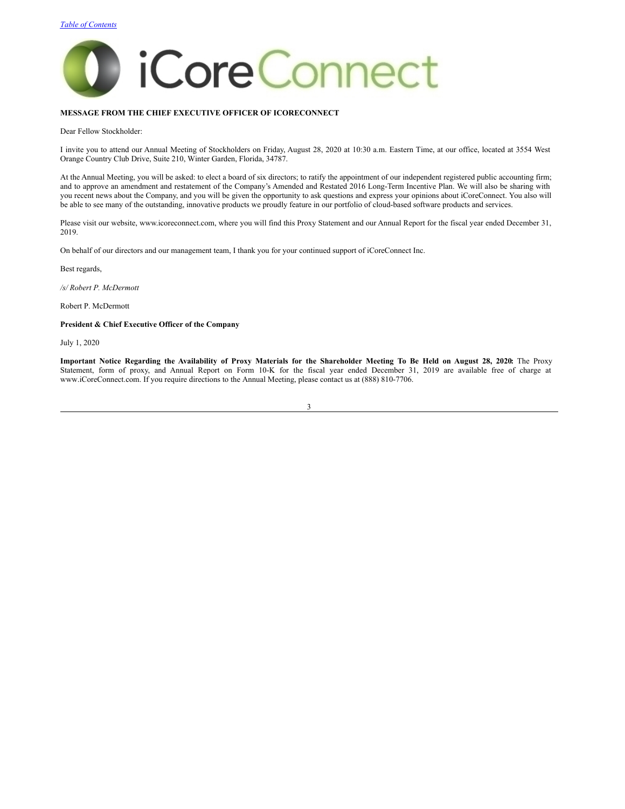

### <span id="page-2-0"></span>**MESSAGE FROM THE CHIEF EXECUTIVE OFFICER OF ICORECONNECT**

Dear Fellow Stockholder:

I invite you to attend our Annual Meeting of Stockholders on Friday, August 28, 2020 at 10:30 a.m. Eastern Time, at our office, located at 3554 West Orange Country Club Drive, Suite 210, Winter Garden, Florida, 34787.

At the Annual Meeting, you will be asked: to elect a board of six directors; to ratify the appointment of our independent registered public accounting firm; and to approve an amendment and restatement of the Company's Amended and Restated 2016 Long-Term Incentive Plan. We will also be sharing with you recent news about the Company, and you will be given the opportunity to ask questions and express your opinions about iCoreConnect. You also will be able to see many of the outstanding, innovative products we proudly feature in our portfolio of cloud-based software products and services.

Please visit our website, www.icoreconnect.com, where you will find this Proxy Statement and our Annual Report for the fiscal year ended December 31, 2019.

On behalf of our directors and our management team, I thank you for your continued support of iCoreConnect Inc.

Best regards,

*/s/ Robert P. McDermott*

Robert P. McDermott

### **President & Chief Executive Officer of the Company**

July 1, 2020

Important Notice Regarding the Availability of Proxy Materials for the Shareholder Meeting To Be Held on August 28, 2020: The Proxy Statement, form of proxy, and Annual Report on Form 10-K for the fiscal year ended December 31, 2019 are available free of charge at www.iCoreConnect.com. If you require directions to the Annual Meeting, please contact us at (888) 810-7706.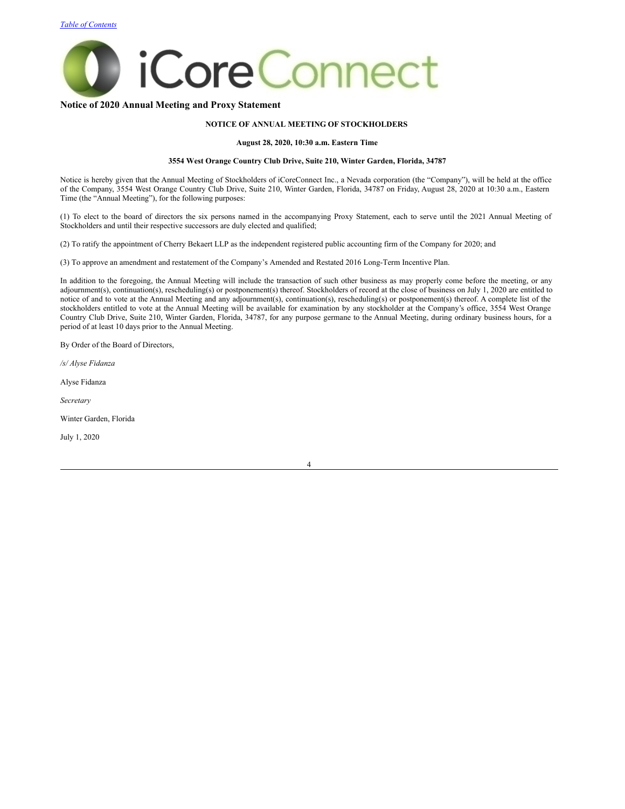

# **Notice of 2020 Annual Meeting and Proxy Statement**

# <span id="page-3-0"></span>**NOTICE OF ANNUAL MEETING OF STOCKHOLDERS**

#### **August 28, 2020, 10:30 a.m. Eastern Time**

### **3554 West Orange Country Club Drive, Suite 210, Winter Garden, Florida, 34787**

Notice is hereby given that the Annual Meeting of Stockholders of iCoreConnect Inc., a Nevada corporation (the "Company"), will be held at the office of the Company, 3554 West Orange Country Club Drive, Suite 210, Winter Garden, Florida, 34787 on Friday, August 28, 2020 at 10:30 a.m., Eastern Time (the "Annual Meeting"), for the following purposes:

(1) To elect to the board of directors the six persons named in the accompanying Proxy Statement, each to serve until the 2021 Annual Meeting of Stockholders and until their respective successors are duly elected and qualified;

(2) To ratify the appointment of Cherry Bekaert LLP as the independent registered public accounting firm of the Company for 2020; and

(3) To approve an amendment and restatement of the Company's Amended and Restated 2016 Long-Term Incentive Plan.

In addition to the foregoing, the Annual Meeting will include the transaction of such other business as may properly come before the meeting, or any adjournment(s), continuation(s), rescheduling(s) or postponement(s) thereof. Stockholders of record at the close of business on July 1, 2020 are entitled to notice of and to vote at the Annual Meeting and any adjournment(s), continuation(s), rescheduling(s) or postponement(s) thereof. A complete list of the stockholders entitled to vote at the Annual Meeting will be available for examination by any stockholder at the Company's office, 3554 West Orange Country Club Drive, Suite 210, Winter Garden, Florida, 34787, for any purpose germane to the Annual Meeting, during ordinary business hours, for a period of at least 10 days prior to the Annual Meeting.

By Order of the Board of Directors,

*/s/ Alyse Fidanza*

Alyse Fidanza

*Secretary*

Winter Garden, Florida

July 1, 2020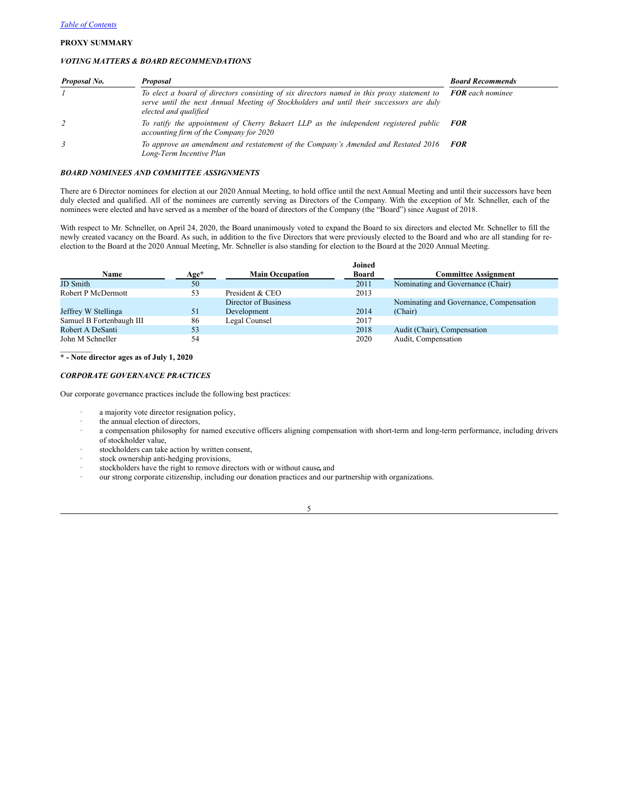### <span id="page-4-0"></span>**PROXY SUMMARY**

### *VOTING MATTERS & BOARD RECOMMENDATIONS*

| Proposal No. | Proposal                                                                                                                                                                                                                               | <b>Board Recommends</b> |
|--------------|----------------------------------------------------------------------------------------------------------------------------------------------------------------------------------------------------------------------------------------|-------------------------|
|              | To elect a board of directors consisting of six directors named in this proxy statement to <b>FOR</b> each nominee<br>serve until the next Annual Meeting of Stockholders and until their successors are duly<br>elected and qualified |                         |
|              | To ratify the appointment of Cherry Bekaert LLP as the independent registered public <b>FOR</b><br>accounting firm of the Company for 2020                                                                                             |                         |
| 3            | To approve an amendment and restatement of the Company's Amended and Restated 2016<br>Long-Term Incentive Plan                                                                                                                         | <b>FOR</b>              |

### *BOARD NOMINEES AND COMMITTEE ASSIGNMENTS*

There are 6 Director nominees for election at our 2020 Annual Meeting, to hold office until the next Annual Meeting and until their successors have been duly elected and qualified. All of the nominees are currently serving as Directors of the Company. With the exception of Mr. Schneller, each of the nominees were elected and have served as a member of the board of directors of the Company (the "Board") since August of 2018.

With respect to Mr. Schneller, on April 24, 2020, the Board unanimously voted to expand the Board to six directors and elected Mr. Schneller to fill the newly created vacancy on the Board. As such, in addition to the five Directors that were previously elected to the Board and who are all standing for reelection to the Board at the 2020 Annual Meeting, Mr. Schneller is also standing for election to the Board at the 2020 Annual Meeting.

|                          |        |                        | Joined |                                         |
|--------------------------|--------|------------------------|--------|-----------------------------------------|
| Name                     | $Age*$ | <b>Main Occupation</b> | Board  | <b>Committee Assignment</b>             |
| JD Smith                 | 50     |                        | 2011   | Nominating and Governance (Chair)       |
| Robert P McDermott       | 53     | President & CEO        | 2013   |                                         |
|                          |        | Director of Business   |        | Nominating and Governance, Compensation |
| Jeffrey W Stellinga      | 51     | Development            | 2014   | (Chair)                                 |
| Samuel B Fortenbaugh III | 86     | Legal Counsel          | 2017   |                                         |
| Robert A DeSanti         | 53     |                        | 2018   | Audit (Chair), Compensation             |
| John M Schneller         | 54     |                        | 2020   | Audit, Compensation                     |
|                          |        |                        |        |                                         |

**\* - Note director ages as of July 1, 2020**

# *CORPORATE GOVERNANCE PRACTICES*

Our corporate governance practices include the following best practices:

- a majority vote director resignation policy,
- the annual election of directors,
- a compensation philosophy for named executive officers aligning compensation with short-term and long-term performance, including drivers of stockholder value,
- stockholders can take action by written consent,
- stock ownership anti-hedging provisions,
- stockholders have the right to remove directors with or without cause, and
- our strong corporate citizenship, including our donation practices and our partnership with organizations.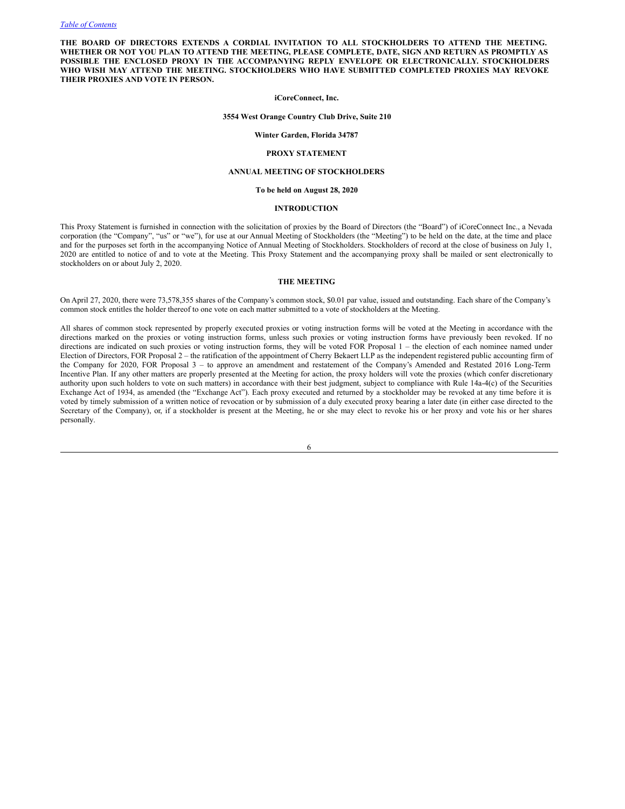**THE BOARD OF DIRECTORS EXTENDS A CORDIAL INVITATION TO ALL STOCKHOLDERS TO ATTEND THE MEETING.** WHETHER OR NOT YOU PLAN TO ATTEND THE MEETING, PLEASE COMPLETE, DATE, SIGN AND RETURN AS PROMPTLY AS **POSSIBLE THE ENCLOSED PROXY IN THE ACCOMPANYING REPLY ENVELOPE OR ELECTRONICALLY. STOCKHOLDERS WHO WISH MAY ATTEND THE MEETING. STOCKHOLDERS WHO HAVE SUBMITTED COMPLETED PROXIES MAY REVOKE THEIR PROXIES AND VOTE IN PERSON.**

### **iCoreConnect, Inc.**

# **3554 West Orange Country Club Drive, Suite 210**

**Winter Garden, Florida 34787**

#### <span id="page-5-0"></span>**PROXY STATEMENT**

#### **ANNUAL MEETING OF STOCKHOLDERS**

#### **To be held on August 28, 2020**

# **INTRODUCTION**

This Proxy Statement is furnished in connection with the solicitation of proxies by the Board of Directors (the "Board") of iCoreConnect Inc., a Nevada corporation (the "Company", "us" or "we"), for use at our Annual Meeting of Stockholders (the "Meeting") to be held on the date, at the time and place and for the purposes set forth in the accompanying Notice of Annual Meeting of Stockholders. Stockholders of record at the close of business on July 1, 2020 are entitled to notice of and to vote at the Meeting. This Proxy Statement and the accompanying proxy shall be mailed or sent electronically to stockholders on or about July 2, 2020.

#### **THE MEETING**

On April 27, 2020, there were 73,578,355 shares of the Company's common stock, \$0.01 par value, issued and outstanding. Each share of the Company's common stock entitles the holder thereof to one vote on each matter submitted to a vote of stockholders at the Meeting.

All shares of common stock represented by properly executed proxies or voting instruction forms will be voted at the Meeting in accordance with the directions marked on the proxies or voting instruction forms, unless such proxies or voting instruction forms have previously been revoked. If no directions are indicated on such proxies or voting instruction forms, they will be voted FOR Proposal 1 – the election of each nominee named under Election of Directors, FOR Proposal 2 – the ratification of the appointment of Cherry Bekaert LLP as the independent registered public accounting firm of the Company for 2020, FOR Proposal 3 – to approve an amendment and restatement of the Company's Amended and Restated 2016 Long-Term Incentive Plan. If any other matters are properly presented at the Meeting for action, the proxy holders will vote the proxies (which confer discretionary authority upon such holders to vote on such matters) in accordance with their best judgment, subject to compliance with Rule 14a-4(c) of the Securities Exchange Act of 1934, as amended (the "Exchange Act"). Each proxy executed and returned by a stockholder may be revoked at any time before it is voted by timely submission of a written notice of revocation or by submission of a duly executed proxy bearing a later date (in either case directed to the Secretary of the Company), or, if a stockholder is present at the Meeting, he or she may elect to revoke his or her proxy and vote his or her shares personally.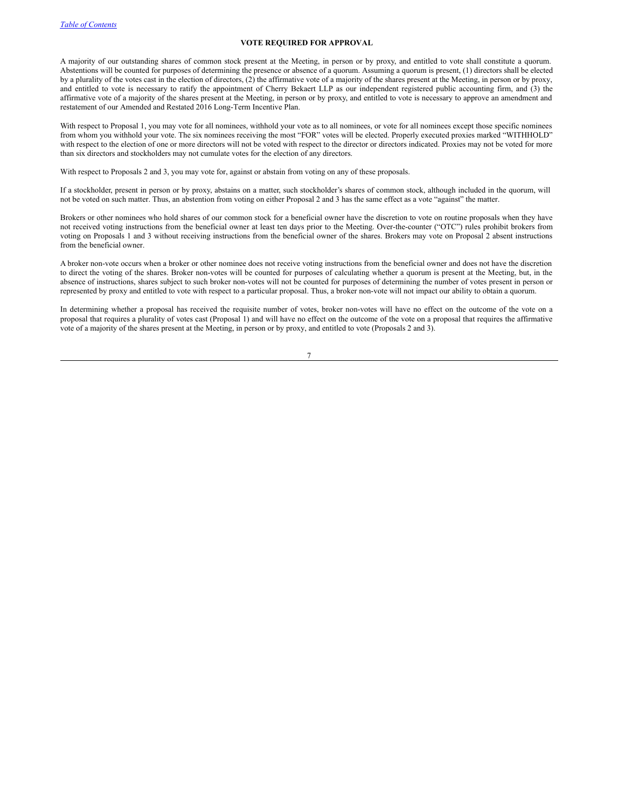### **VOTE REQUIRED FOR APPROVAL**

A majority of our outstanding shares of common stock present at the Meeting, in person or by proxy, and entitled to vote shall constitute a quorum. Abstentions will be counted for purposes of determining the presence or absence of a quorum. Assuming a quorum is present, (1) directors shall be elected by a plurality of the votes cast in the election of directors, (2) the affirmative vote of a majority of the shares present at the Meeting, in person or by proxy, and entitled to vote is necessary to ratify the appointment of Cherry Bekaert LLP as our independent registered public accounting firm, and (3) the affirmative vote of a majority of the shares present at the Meeting, in person or by proxy, and entitled to vote is necessary to approve an amendment and restatement of our Amended and Restated 2016 Long-Term Incentive Plan.

With respect to Proposal 1, you may vote for all nominees, withhold your vote as to all nominees, or vote for all nominees except those specific nominees from whom you withhold your vote. The six nominees receiving the most "FOR" votes will be elected. Properly executed proxies marked "WITHHOLD" with respect to the election of one or more directors will not be voted with respect to the director or directors indicated. Proxies may not be voted for more than six directors and stockholders may not cumulate votes for the election of any directors.

With respect to Proposals 2 and 3, you may vote for, against or abstain from voting on any of these proposals.

If a stockholder, present in person or by proxy, abstains on a matter, such stockholder's shares of common stock, although included in the quorum, will not be voted on such matter. Thus, an abstention from voting on either Proposal 2 and 3 has the same effect as a vote "against" the matter.

Brokers or other nominees who hold shares of our common stock for a beneficial owner have the discretion to vote on routine proposals when they have not received voting instructions from the beneficial owner at least ten days prior to the Meeting. Over-the-counter ("OTC") rules prohibit brokers from voting on Proposals 1 and 3 without receiving instructions from the beneficial owner of the shares. Brokers may vote on Proposal 2 absent instructions from the beneficial owner.

A broker non-vote occurs when a broker or other nominee does not receive voting instructions from the beneficial owner and does not have the discretion to direct the voting of the shares. Broker non-votes will be counted for purposes of calculating whether a quorum is present at the Meeting, but, in the absence of instructions, shares subject to such broker non-votes will not be counted for purposes of determining the number of votes present in person or represented by proxy and entitled to vote with respect to a particular proposal. Thus, a broker non-vote will not impact our ability to obtain a quorum.

In determining whether a proposal has received the requisite number of votes, broker non-votes will have no effect on the outcome of the vote on a proposal that requires a plurality of votes cast (Proposal 1) and will have no effect on the outcome of the vote on a proposal that requires the affirmative vote of a majority of the shares present at the Meeting, in person or by proxy, and entitled to vote (Proposals 2 and 3).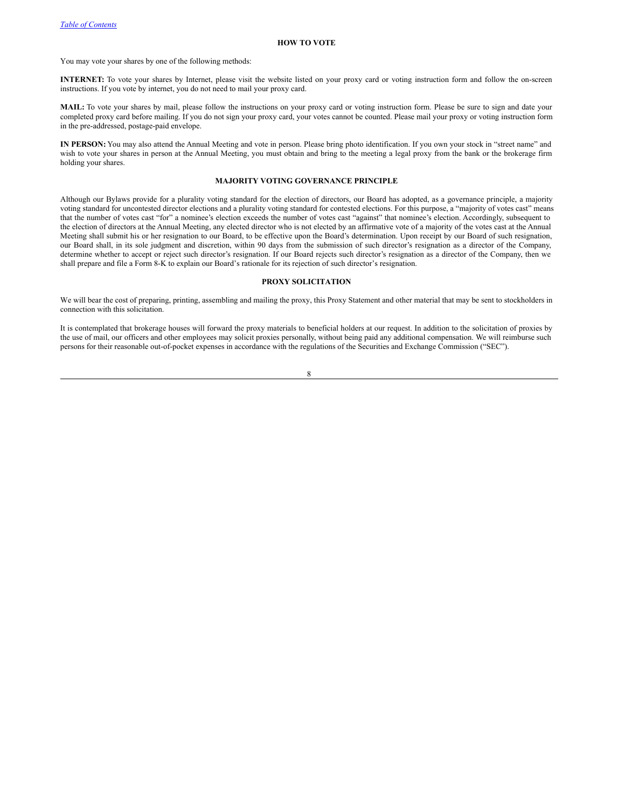#### **HOW TO VOTE**

You may vote your shares by one of the following methods:

**INTERNET:** To vote your shares by Internet, please visit the website listed on your proxy card or voting instruction form and follow the on-screen instructions. If you vote by internet, you do not need to mail your proxy card.

**MAIL:** To vote your shares by mail, please follow the instructions on your proxy card or voting instruction form. Please be sure to sign and date your completed proxy card before mailing. If you do not sign your proxy card, your votes cannot be counted. Please mail your proxy or voting instruction form in the pre-addressed, postage-paid envelope.

**IN PERSON:** You may also attend the Annual Meeting and vote in person. Please bring photo identification. If you own your stock in "street name" and wish to vote your shares in person at the Annual Meeting, you must obtain and bring to the meeting a legal proxy from the bank or the brokerage firm holding your shares.

# **MAJORITY VOTING GOVERNANCE PRINCIPLE**

Although our Bylaws provide for a plurality voting standard for the election of directors, our Board has adopted, as a governance principle, a majority voting standard for uncontested director elections and a plurality voting standard for contested elections. For this purpose, a "majority of votes cast" means that the number of votes cast "for" a nominee's election exceeds the number of votes cast "against" that nominee's election. Accordingly, subsequent to the election of directors at the Annual Meeting, any elected director who is not elected by an affirmative vote of a majority of the votes cast at the Annual Meeting shall submit his or her resignation to our Board, to be effective upon the Board's determination. Upon receipt by our Board of such resignation, our Board shall, in its sole judgment and discretion, within 90 days from the submission of such director's resignation as a director of the Company, determine whether to accept or reject such director's resignation. If our Board rejects such director's resignation as a director of the Company, then we shall prepare and file a Form 8-K to explain our Board's rationale for its rejection of such director's resignation.

### **PROXY SOLICITATION**

We will bear the cost of preparing, printing, assembling and mailing the proxy, this Proxy Statement and other material that may be sent to stockholders in connection with this solicitation.

It is contemplated that brokerage houses will forward the proxy materials to beneficial holders at our request. In addition to the solicitation of proxies by the use of mail, our officers and other employees may solicit proxies personally, without being paid any additional compensation. We will reimburse such persons for their reasonable out-of-pocket expenses in accordance with the regulations of the Securities and Exchange Commission ("SEC").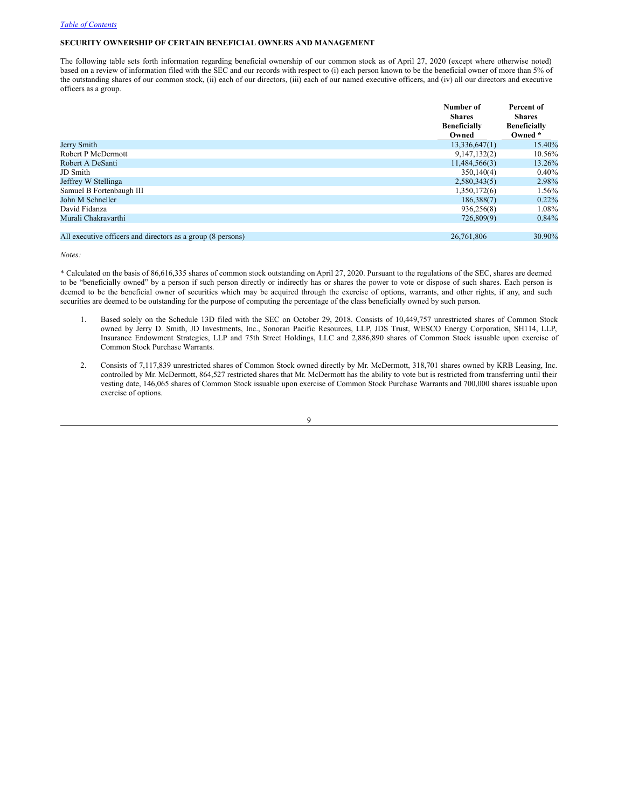### <span id="page-8-0"></span>**SECURITY OWNERSHIP OF CERTAIN BENEFICIAL OWNERS AND MANAGEMENT**

The following table sets forth information regarding beneficial ownership of our common stock as of April 27, 2020 (except where otherwise noted) based on a review of information filed with the SEC and our records with respect to (i) each person known to be the beneficial owner of more than 5% of the outstanding shares of our common stock, (ii) each of our directors, (iii) each of our named executive officers, and (iv) all our directors and executive officers as a group.

|                                                             | Number of<br><b>Shares</b><br><b>Beneficially</b><br>Owned | Percent of<br><b>Shares</b><br><b>Beneficially</b><br>Owned * |
|-------------------------------------------------------------|------------------------------------------------------------|---------------------------------------------------------------|
| Jerry Smith                                                 | 13,336,647(1)                                              | 15.40%                                                        |
| Robert P McDermott                                          | 9,147,132(2)                                               | 10.56%                                                        |
| Robert A DeSanti                                            | 11,484,566(3)                                              | 13.26%                                                        |
| JD Smith                                                    | 350,140(4)                                                 | $0.40\%$                                                      |
| Jeffrey W Stellinga                                         | 2,580,343(5)                                               | 2.98%                                                         |
| Samuel B Fortenbaugh III                                    | 1,350,172(6)                                               | $1.56\%$                                                      |
| John M Schneller                                            | 186,388(7)                                                 | $0.22\%$                                                      |
| David Fidanza                                               | 936,256(8)                                                 | 1.08%                                                         |
| Murali Chakravarthi                                         | 726,809(9)                                                 | $0.84\%$                                                      |
| All executive officers and directors as a group (8 persons) | 26,761,806                                                 | 30.90%                                                        |

*Notes:*

\* Calculated on the basis of 86,616,335 shares of common stock outstanding on April 27, 2020. Pursuant to the regulations of the SEC, shares are deemed to be "beneficially owned" by a person if such person directly or indirectly has or shares the power to vote or dispose of such shares. Each person is deemed to be the beneficial owner of securities which may be acquired through the exercise of options, warrants, and other rights, if any, and such securities are deemed to be outstanding for the purpose of computing the percentage of the class beneficially owned by such person.

- 1. Based solely on the Schedule 13D filed with the SEC on October 29, 2018. Consists of 10,449,757 unrestricted shares of Common Stock owned by Jerry D. Smith, JD Investments, Inc., Sonoran Pacific Resources, LLP, JDS Trust, WESCO Energy Corporation, SH114, LLP, Insurance Endowment Strategies, LLP and 75th Street Holdings, LLC and 2,886,890 shares of Common Stock issuable upon exercise of Common Stock Purchase Warrants.
- 2. Consists of 7,117,839 unrestricted shares of Common Stock owned directly by Mr. McDermott, 318,701 shares owned by KRB Leasing, Inc. controlled by Mr. McDermott, 864,527 restricted shares that Mr. McDermott has the ability to vote but is restricted from transferring until their vesting date, 146,065 shares of Common Stock issuable upon exercise of Common Stock Purchase Warrants and 700,000 shares issuable upon exercise of options.

 $\overline{Q}$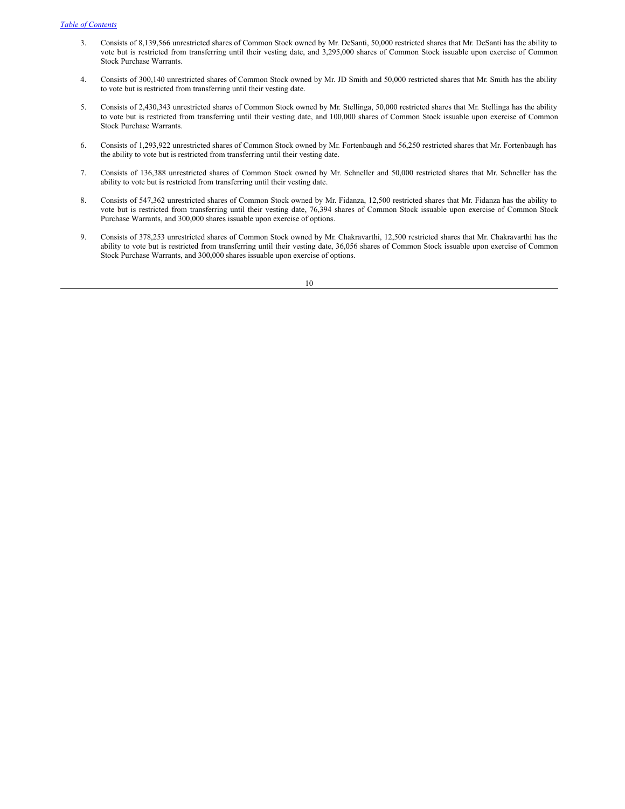- 3. Consists of 8,139,566 unrestricted shares of Common Stock owned by Mr. DeSanti, 50,000 restricted shares that Mr. DeSanti has the ability to vote but is restricted from transferring until their vesting date, and 3,295,000 shares of Common Stock issuable upon exercise of Common Stock Purchase Warrants.
- 4. Consists of 300,140 unrestricted shares of Common Stock owned by Mr. JD Smith and 50,000 restricted shares that Mr. Smith has the ability to vote but is restricted from transferring until their vesting date.
- 5. Consists of 2,430,343 unrestricted shares of Common Stock owned by Mr. Stellinga, 50,000 restricted shares that Mr. Stellinga has the ability to vote but is restricted from transferring until their vesting date, and 100,000 shares of Common Stock issuable upon exercise of Common Stock Purchase Warrants.
- 6. Consists of 1,293,922 unrestricted shares of Common Stock owned by Mr. Fortenbaugh and 56,250 restricted shares that Mr. Fortenbaugh has the ability to vote but is restricted from transferring until their vesting date.
- 7. Consists of 136,388 unrestricted shares of Common Stock owned by Mr. Schneller and 50,000 restricted shares that Mr. Schneller has the ability to vote but is restricted from transferring until their vesting date.
- 8. Consists of 547,362 unrestricted shares of Common Stock owned by Mr. Fidanza, 12,500 restricted shares that Mr. Fidanza has the ability to vote but is restricted from transferring until their vesting date, 76,394 shares of Common Stock issuable upon exercise of Common Stock Purchase Warrants, and 300,000 shares issuable upon exercise of options.
- 9. Consists of 378,253 unrestricted shares of Common Stock owned by Mr. Chakravarthi, 12,500 restricted shares that Mr. Chakravarthi has the ability to vote but is restricted from transferring until their vesting date, 36,056 shares of Common Stock issuable upon exercise of Common Stock Purchase Warrants, and 300,000 shares issuable upon exercise of options.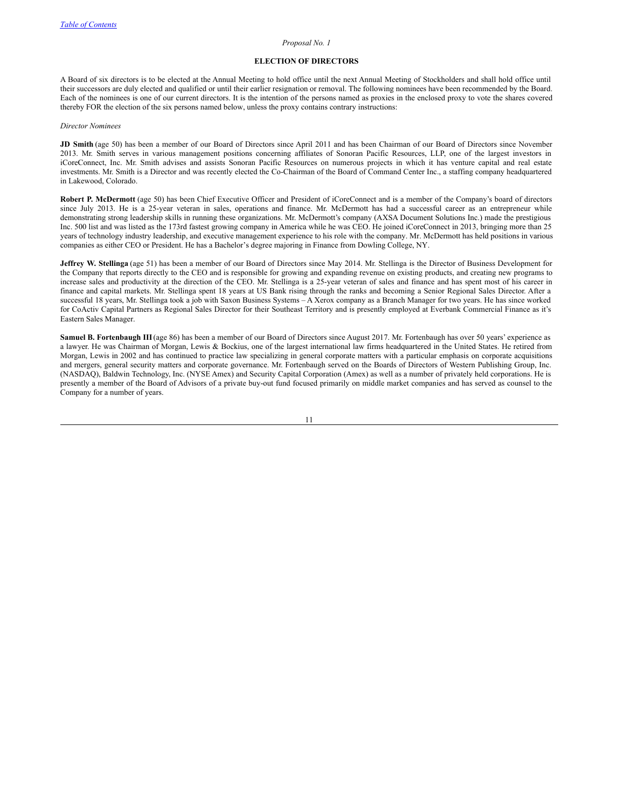### <span id="page-10-0"></span>*Proposal No. 1*

### **ELECTION OF DIRECTORS**

A Board of six directors is to be elected at the Annual Meeting to hold office until the next Annual Meeting of Stockholders and shall hold office until their successors are duly elected and qualified or until their earlier resignation or removal. The following nominees have been recommended by the Board. Each of the nominees is one of our current directors. It is the intention of the persons named as proxies in the enclosed proxy to vote the shares covered thereby FOR the election of the six persons named below, unless the proxy contains contrary instructions:

#### *Director Nominees*

**JD Smith** (age 50) has been a member of our Board of Directors since April 2011 and has been Chairman of our Board of Directors since November 2013. Mr. Smith serves in various management positions concerning affiliates of Sonoran Pacific Resources, LLP, one of the largest investors in iCoreConnect, Inc. Mr. Smith advises and assists Sonoran Pacific Resources on numerous projects in which it has venture capital and real estate investments. Mr. Smith is a Director and was recently elected the Co-Chairman of the Board of Command Center Inc., a staffing company headquartered in Lakewood, Colorado.

**Robert P. McDermott** (age 50) has been Chief Executive Officer and President of iCoreConnect and is a member of the Company's board of directors since July 2013. He is a 25-year veteran in sales, operations and finance. Mr. McDermott has had a successful career as an entrepreneur while demonstrating strong leadership skills in running these organizations. Mr. McDermott's company (AXSA Document Solutions Inc.) made the prestigious Inc. 500 list and was listed as the 173rd fastest growing company in America while he was CEO. He joined iCoreConnect in 2013, bringing more than 25 years of technology industry leadership, and executive management experience to his role with the company. Mr. McDermott has held positions in various companies as either CEO or President. He has a Bachelor's degree majoring in Finance from Dowling College, NY.

**Jeffrey W. Stellinga** (age 51) has been a member of our Board of Directors since May 2014. Mr. Stellinga is the Director of Business Development for the Company that reports directly to the CEO and is responsible for growing and expanding revenue on existing products, and creating new programs to increase sales and productivity at the direction of the CEO. Mr. Stellinga is a 25-year veteran of sales and finance and has spent most of his career in finance and capital markets. Mr. Stellinga spent 18 years at US Bank rising through the ranks and becoming a Senior Regional Sales Director. After a successful 18 years, Mr. Stellinga took a job with Saxon Business Systems – A Xerox company as a Branch Manager for two years. He has since worked for CoActiv Capital Partners as Regional Sales Director for their Southeast Territory and is presently employed at Everbank Commercial Finance as it's Eastern Sales Manager.

**Samuel B. Fortenbaugh III**(age 86) has been a member of our Board of Directors since August 2017. Mr. Fortenbaugh has over 50 years' experience as a lawyer. He was Chairman of Morgan, Lewis & Bockius, one of the largest international law firms headquartered in the United States. He retired from Morgan, Lewis in 2002 and has continued to practice law specializing in general corporate matters with a particular emphasis on corporate acquisitions and mergers, general security matters and corporate governance. Mr. Fortenbaugh served on the Boards of Directors of Western Publishing Group, Inc. (NASDAQ), Baldwin Technology, Inc. (NYSE Amex) and Security Capital Corporation (Amex) as well as a number of privately held corporations. He is presently a member of the Board of Advisors of a private buy-out fund focused primarily on middle market companies and has served as counsel to the Company for a number of years.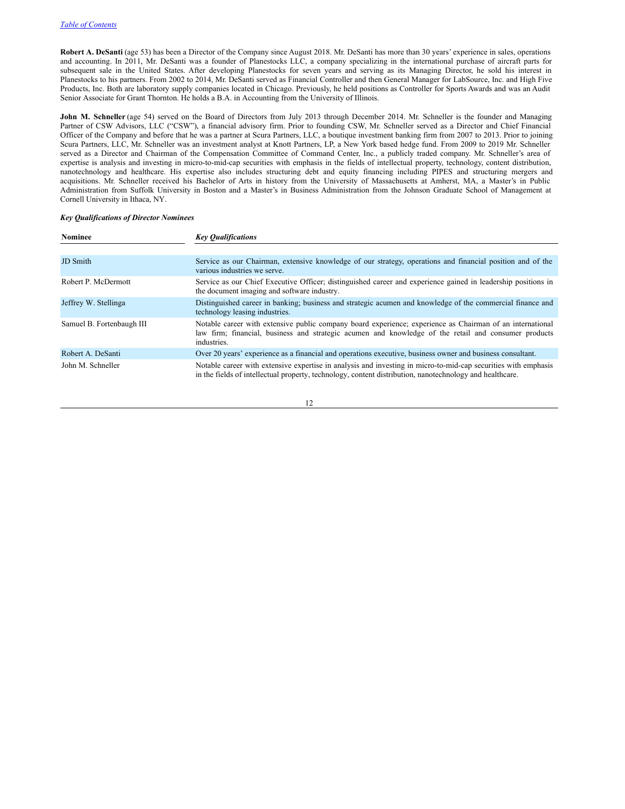**Robert A. DeSanti** (age 53) has been a Director of the Company since August 2018. Mr. DeSanti has more than 30 years' experience in sales, operations and accounting. In 2011, Mr. DeSanti was a founder of Planestocks LLC, a company specializing in the international purchase of aircraft parts for subsequent sale in the United States. After developing Planestocks for seven years and serving as its Managing Director, he sold his interest in Planestocks to his partners. From 2002 to 2014, Mr. DeSanti served as Financial Controller and then General Manager for LabSource, Inc. and High Five Products, Inc. Both are laboratory supply companies located in Chicago. Previously, he held positions as Controller for Sports Awards and was an Audit Senior Associate for Grant Thornton. He holds a B.A. in Accounting from the University of Illinois.

**John M. Schneller** (age 54) served on the Board of Directors from July 2013 through December 2014. Mr. Schneller is the founder and Managing Partner of CSW Advisors, LLC ("CSW"), a financial advisory firm. Prior to founding CSW, Mr. Schneller served as a Director and Chief Financial Officer of the Company and before that he was a partner at Scura Partners, LLC, a boutique investment banking firm from 2007 to 2013. Prior to joining Scura Partners, LLC, Mr. Schneller was an investment analyst at Knott Partners, LP, a New York based hedge fund. From 2009 to 2019 Mr. Schneller served as a Director and Chairman of the Compensation Committee of Command Center, Inc., a publicly traded company. Mr. Schneller's area of expertise is analysis and investing in micro-to-mid-cap securities with emphasis in the fields of intellectual property, technology, content distribution, nanotechnology and healthcare. His expertise also includes structuring debt and equity financing including PIPES and structuring mergers and acquisitions. Mr. Schneller received his Bachelor of Arts in history from the University of Massachusetts at Amherst, MA, a Master's in Public Administration from Suffolk University in Boston and a Master's in Business Administration from the Johnson Graduate School of Management at Cornell University in Ithaca, NY.

### *Key Qualifications of Director Nominees*

| <b>Nominee</b>            | <b>Key Qualifications</b>                                                                                                                                                                                                        |  |  |  |  |  |
|---------------------------|----------------------------------------------------------------------------------------------------------------------------------------------------------------------------------------------------------------------------------|--|--|--|--|--|
|                           |                                                                                                                                                                                                                                  |  |  |  |  |  |
| <b>JD</b> Smith           | Service as our Chairman, extensive knowledge of our strategy, operations and financial position and of the<br>various industries we serve.                                                                                       |  |  |  |  |  |
| Robert P. McDermott       | Service as our Chief Executive Officer; distinguished career and experience gained in leadership positions in<br>the document imaging and software industry.                                                                     |  |  |  |  |  |
| Jeffrey W. Stellinga      | Distinguished career in banking; business and strategic acumen and knowledge of the commercial finance and<br>technology leasing industries.                                                                                     |  |  |  |  |  |
| Samuel B. Fortenbaugh III | Notable career with extensive public company board experience; experience as Chairman of an international<br>law firm; financial, business and strategic acumen and knowledge of the retail and consumer products<br>industries. |  |  |  |  |  |
| Robert A. DeSanti         | Over 20 years' experience as a financial and operations executive, business owner and business consultant.                                                                                                                       |  |  |  |  |  |
| John M. Schneller         | Notable career with extensive expertise in analysis and investing in micro-to-mid-cap securities with emphasis<br>in the fields of intellectual property, technology, content distribution, nanotechnology and healthcare.       |  |  |  |  |  |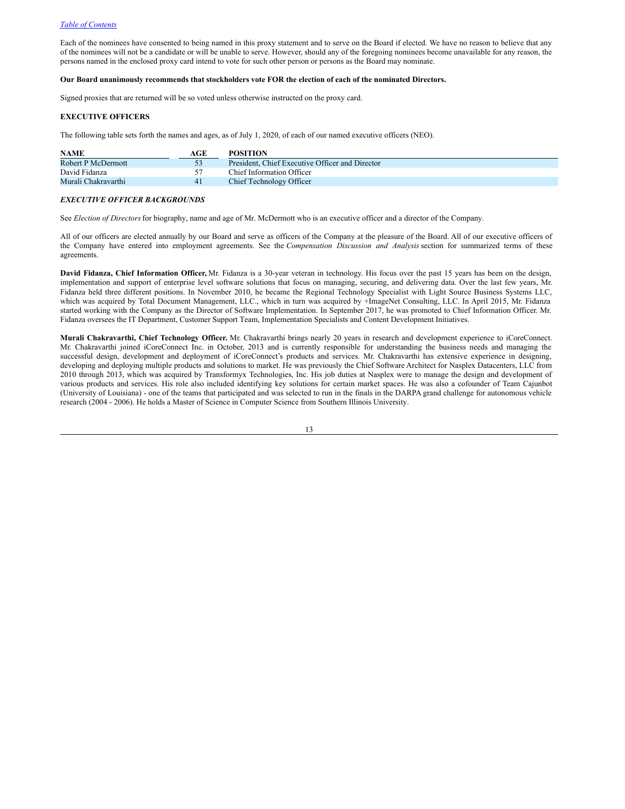Each of the nominees have consented to being named in this proxy statement and to serve on the Board if elected. We have no reason to believe that any of the nominees will not be a candidate or will be unable to serve. However, should any of the foregoing nominees become unavailable for any reason, the persons named in the enclosed proxy card intend to vote for such other person or persons as the Board may nominate.

#### **Our Board unanimously recommends that stockholders vote FOR the election of each of the nominated Directors.**

Signed proxies that are returned will be so voted unless otherwise instructed on the proxy card.

# <span id="page-12-0"></span>**EXECUTIVE OFFICERS**

The following table sets forth the names and ages, as of July 1, 2020, of each of our named executive officers (NEO).

| <b>NAME</b>         | AGE | <b>POSITION</b>                                 |
|---------------------|-----|-------------------------------------------------|
| Robert P McDermott  |     | President. Chief Executive Officer and Director |
| David Fidanza       |     | Chief Information Officer                       |
| Murali Chakravarthi | 41  | Chief Technology Officer                        |

#### *EXECUTIVE OFFICER BACKGROUNDS*

See *Election of Directors*for biography, name and age of Mr. McDermott who is an executive officer and a director of the Company.

All of our officers are elected annually by our Board and serve as officers of the Company at the pleasure of the Board. All of our executive officers of the Company have entered into employment agreements. See the *Compensation Discussion and Analysis* section for summarized terms of these agreements.

**David Fidanza, Chief Information Officer,** Mr. Fidanza is a 30-year veteran in technology. His focus over the past 15 years has been on the design, implementation and support of enterprise level software solutions that focus on managing, securing, and delivering data. Over the last few years, Mr. Fidanza held three different positions. In November 2010, he became the Regional Technology Specialist with Light Source Business Systems LLC, which was acquired by Total Document Management, LLC., which in turn was acquired by +ImageNet Consulting, LLC. In April 2015, Mr. Fidanza started working with the Company as the Director of Software Implementation. In September 2017, he was promoted to Chief Information Officer. Mr. Fidanza oversees the IT Department, Customer Support Team, Implementation Specialists and Content Development Initiatives.

**Murali Chakravarthi, Chief Technology Officer.** Mr. Chakravarthi brings nearly 20 years in research and development experience to iCoreConnect. Mr. Chakravarthi joined iCoreConnect Inc. in October, 2013 and is currently responsible for understanding the business needs and managing the successful design, development and deployment of iCoreConnect's products and services. Mr. Chakravarthi has extensive experience in designing, developing and deploying multiple products and solutions to market. He was previously the Chief Software Architect for Nasplex Datacenters, LLC from 2010 through 2013, which was acquired by Transformyx Technologies, Inc. His job duties at Nasplex were to manage the design and development of various products and services. His role also included identifying key solutions for certain market spaces. He was also a cofounder of Team Cajunbot (University of Louisiana) - one of the teams that participated and was selected to run in the finals in the DARPA grand challenge for autonomous vehicle research (2004 - 2006). He holds a Master of Science in Computer Science from Southern Illinois University.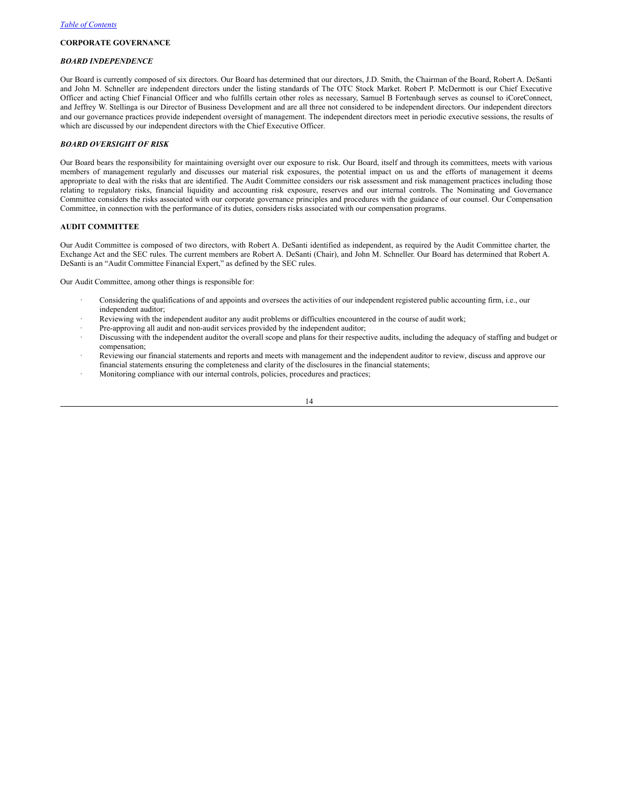### <span id="page-13-0"></span>**CORPORATE GOVERNANCE**

#### *BOARD INDEPENDENCE*

Our Board is currently composed of six directors. Our Board has determined that our directors, J.D. Smith, the Chairman of the Board, Robert A. DeSanti and John M. Schneller are independent directors under the listing standards of The OTC Stock Market. Robert P. McDermott is our Chief Executive Officer and acting Chief Financial Officer and who fulfills certain other roles as necessary, Samuel B Fortenbaugh serves as counsel to iCoreConnect, and Jeffrey W. Stellinga is our Director of Business Development and are all three not considered to be independent directors. Our independent directors and our governance practices provide independent oversight of management. The independent directors meet in periodic executive sessions, the results of which are discussed by our independent directors with the Chief Executive Officer.

### *BOARD OVERSIGHT OF RISK*

Our Board bears the responsibility for maintaining oversight over our exposure to risk. Our Board, itself and through its committees, meets with various members of management regularly and discusses our material risk exposures, the potential impact on us and the efforts of management it deems appropriate to deal with the risks that are identified. The Audit Committee considers our risk assessment and risk management practices including those relating to regulatory risks, financial liquidity and accounting risk exposure, reserves and our internal controls. The Nominating and Governance Committee considers the risks associated with our corporate governance principles and procedures with the guidance of our counsel. Our Compensation Committee, in connection with the performance of its duties, considers risks associated with our compensation programs.

#### **AUDIT COMMITTEE**

Our Audit Committee is composed of two directors, with Robert A. DeSanti identified as independent, as required by the Audit Committee charter, the Exchange Act and the SEC rules. The current members are Robert A. DeSanti (Chair), and John M. Schneller. Our Board has determined that Robert A. DeSanti is an "Audit Committee Financial Expert," as defined by the SEC rules.

Our Audit Committee, among other things is responsible for:

- · Considering the qualifications of and appoints and oversees the activities of our independent registered public accounting firm, i.e., our independent auditor;
- Reviewing with the independent auditor any audit problems or difficulties encountered in the course of audit work;
- Pre-approving all audit and non-audit services provided by the independent auditor;
- Discussing with the independent auditor the overall scope and plans for their respective audits, including the adequacy of staffing and budget or compensation;
- Reviewing our financial statements and reports and meets with management and the independent auditor to review, discuss and approve our financial statements ensuring the completeness and clarity of the disclosures in the financial statements;
- Monitoring compliance with our internal controls, policies, procedures and practices;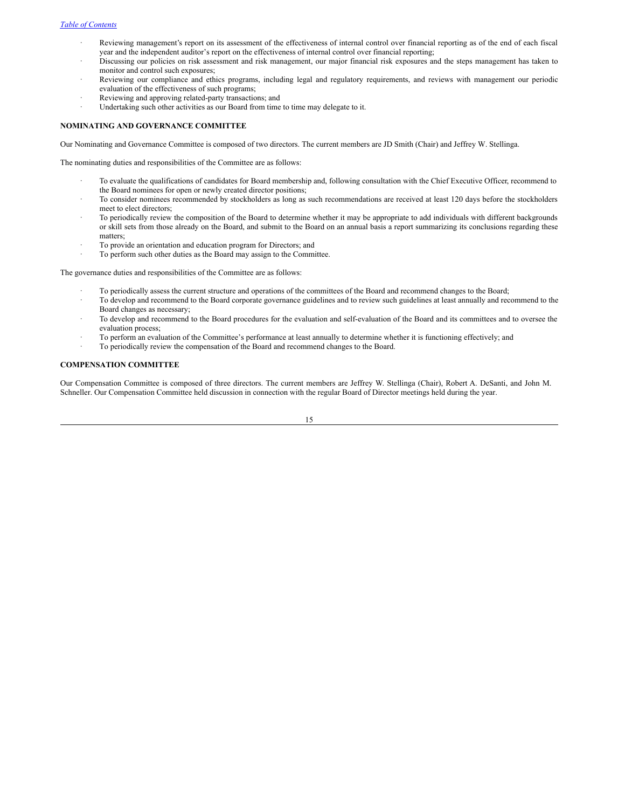- · Reviewing management's report on its assessment of the effectiveness of internal control over financial reporting as of the end of each fiscal year and the independent auditor's report on the effectiveness of internal control over financial reporting;
- · Discussing our policies on risk assessment and risk management, our major financial risk exposures and the steps management has taken to monitor and control such exposures;
- Reviewing our compliance and ethics programs, including legal and regulatory requirements, and reviews with management our periodic evaluation of the effectiveness of such programs;
- Reviewing and approving related-party transactions; and
- Undertaking such other activities as our Board from time to time may delegate to it.

### **NOMINATING AND GOVERNANCE COMMITTEE**

Our Nominating and Governance Committee is composed of two directors. The current members are JD Smith (Chair) and Jeffrey W. Stellinga.

The nominating duties and responsibilities of the Committee are as follows:

- · To evaluate the qualifications of candidates for Board membership and, following consultation with the Chief Executive Officer, recommend to the Board nominees for open or newly created director positions;
- To consider nominees recommended by stockholders as long as such recommendations are received at least 120 days before the stockholders meet to elect directors;
- To periodically review the composition of the Board to determine whether it may be appropriate to add individuals with different backgrounds or skill sets from those already on the Board, and submit to the Board on an annual basis a report summarizing its conclusions regarding these matters;
- To provide an orientation and education program for Directors; and
- · To perform such other duties as the Board may assign to the Committee.

The governance duties and responsibilities of the Committee are as follows:

- · To periodically assess the current structure and operations of the committees of the Board and recommend changes to the Board;
- To develop and recommend to the Board corporate governance guidelines and to review such guidelines at least annually and recommend to the Board changes as necessary;
- · To develop and recommend to the Board procedures for the evaluation and self-evaluation of the Board and its committees and to oversee the evaluation process;
- To perform an evaluation of the Committee's performance at least annually to determine whether it is functioning effectively; and
- · To periodically review the compensation of the Board and recommend changes to the Board.

## **COMPENSATION COMMITTEE**

Our Compensation Committee is composed of three directors. The current members are Jeffrey W. Stellinga (Chair), Robert A. DeSanti, and John M. Schneller. Our Compensation Committee held discussion in connection with the regular Board of Director meetings held during the year.

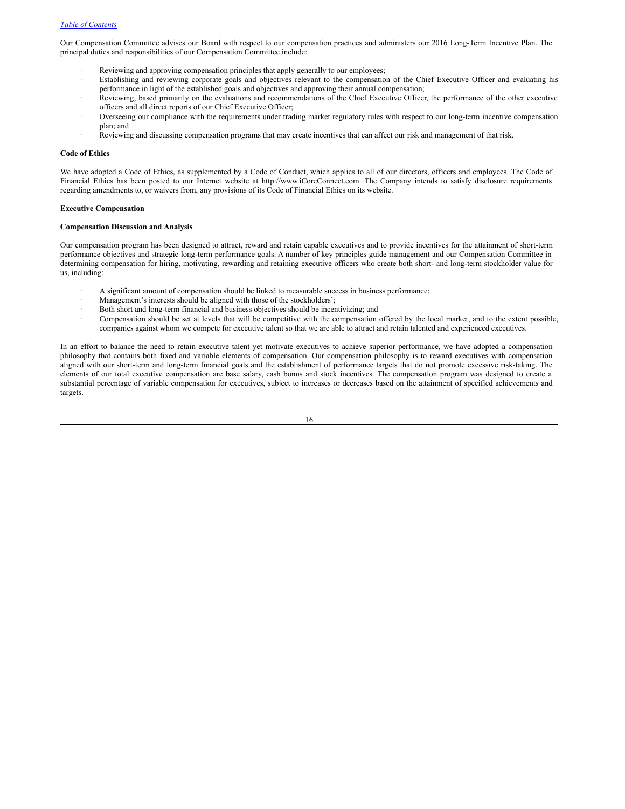Our Compensation Committee advises our Board with respect to our compensation practices and administers our 2016 Long-Term Incentive Plan. The principal duties and responsibilities of our Compensation Committee include:

- Reviewing and approving compensation principles that apply generally to our employees;
- Establishing and reviewing corporate goals and objectives relevant to the compensation of the Chief Executive Officer and evaluating his performance in light of the established goals and objectives and approving their annual compensation;
- Reviewing, based primarily on the evaluations and recommendations of the Chief Executive Officer, the performance of the other executive officers and all direct reports of our Chief Executive Officer;
- · Overseeing our compliance with the requirements under trading market regulatory rules with respect to our long-term incentive compensation plan; and
- Reviewing and discussing compensation programs that may create incentives that can affect our risk and management of that risk.

### **Code of Ethics**

We have adopted a Code of Ethics, as supplemented by a Code of Conduct, which applies to all of our directors, officers and employees. The Code of Financial Ethics has been posted to our Internet website at http://www.iCoreConnect.com. The Company intends to satisfy disclosure requirements regarding amendments to, or waivers from, any provisions of its Code of Financial Ethics on its website.

#### **Executive Compensation**

# <span id="page-15-0"></span>**Compensation Discussion and Analysis**

Our compensation program has been designed to attract, reward and retain capable executives and to provide incentives for the attainment of short-term performance objectives and strategic long-term performance goals. A number of key principles guide management and our Compensation Committee in determining compensation for hiring, motivating, rewarding and retaining executive officers who create both short- and long-term stockholder value for us, including:

- · A significant amount of compensation should be linked to measurable success in business performance;
- Management's interests should be aligned with those of the stockholders';
- Both short and long-term financial and business objectives should be incentivizing; and
- · Compensation should be set at levels that will be competitive with the compensation offered by the local market, and to the extent possible, companies against whom we compete for executive talent so that we are able to attract and retain talented and experienced executives.

In an effort to balance the need to retain executive talent yet motivate executives to achieve superior performance, we have adopted a compensation philosophy that contains both fixed and variable elements of compensation. Our compensation philosophy is to reward executives with compensation aligned with our short-term and long-term financial goals and the establishment of performance targets that do not promote excessive risk-taking. The elements of our total executive compensation are base salary, cash bonus and stock incentives. The compensation program was designed to create a substantial percentage of variable compensation for executives, subject to increases or decreases based on the attainment of specified achievements and targets.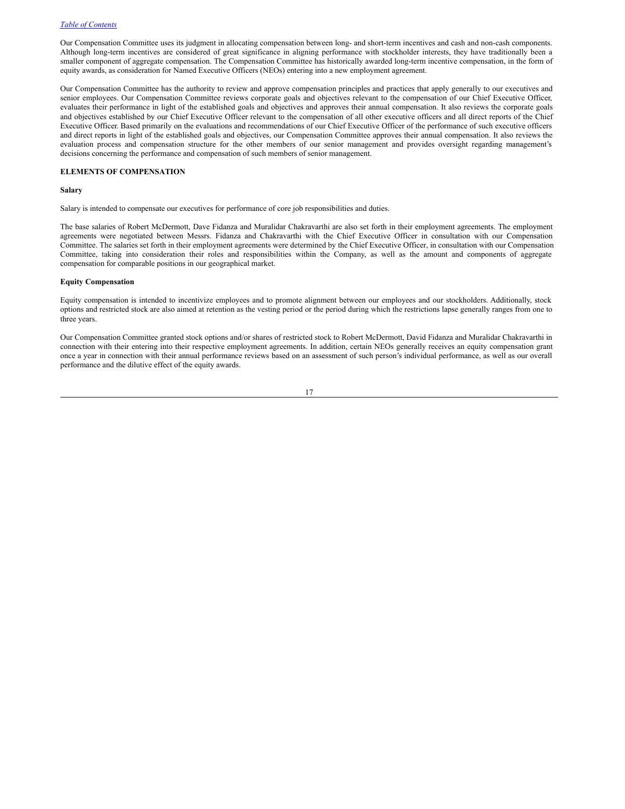Our Compensation Committee uses its judgment in allocating compensation between long- and short-term incentives and cash and non-cash components. Although long-term incentives are considered of great significance in aligning performance with stockholder interests, they have traditionally been a smaller component of aggregate compensation. The Compensation Committee has historically awarded long-term incentive compensation, in the form of equity awards, as consideration for Named Executive Officers (NEOs) entering into a new employment agreement.

Our Compensation Committee has the authority to review and approve compensation principles and practices that apply generally to our executives and senior employees. Our Compensation Committee reviews corporate goals and objectives relevant to the compensation of our Chief Executive Officer, evaluates their performance in light of the established goals and objectives and approves their annual compensation. It also reviews the corporate goals and objectives established by our Chief Executive Officer relevant to the compensation of all other executive officers and all direct reports of the Chief Executive Officer. Based primarily on the evaluations and recommendations of our Chief Executive Officer of the performance of such executive officers and direct reports in light of the established goals and objectives, our Compensation Committee approves their annual compensation. It also reviews the evaluation process and compensation structure for the other members of our senior management and provides oversight regarding management's decisions concerning the performance and compensation of such members of senior management.

#### **ELEMENTS OF COMPENSATION**

#### **Salary**

Salary is intended to compensate our executives for performance of core job responsibilities and duties.

The base salaries of Robert McDermott, Dave Fidanza and Muralidar Chakravarthi are also set forth in their employment agreements. The employment agreements were negotiated between Messrs. Fidanza and Chakravarthi with the Chief Executive Officer in consultation with our Compensation Committee. The salaries set forth in their employment agreements were determined by the Chief Executive Officer, in consultation with our Compensation Committee, taking into consideration their roles and responsibilities within the Company, as well as the amount and components of aggregate compensation for comparable positions in our geographical market.

#### **Equity Compensation**

Equity compensation is intended to incentivize employees and to promote alignment between our employees and our stockholders. Additionally, stock options and restricted stock are also aimed at retention as the vesting period or the period during which the restrictions lapse generally ranges from one to three years.

Our Compensation Committee granted stock options and/or shares of restricted stock to Robert McDermott, David Fidanza and Muralidar Chakravarthi in connection with their entering into their respective employment agreements. In addition, certain NEOs generally receives an equity compensation grant once a year in connection with their annual performance reviews based on an assessment of such person's individual performance, as well as our overall performance and the dilutive effect of the equity awards.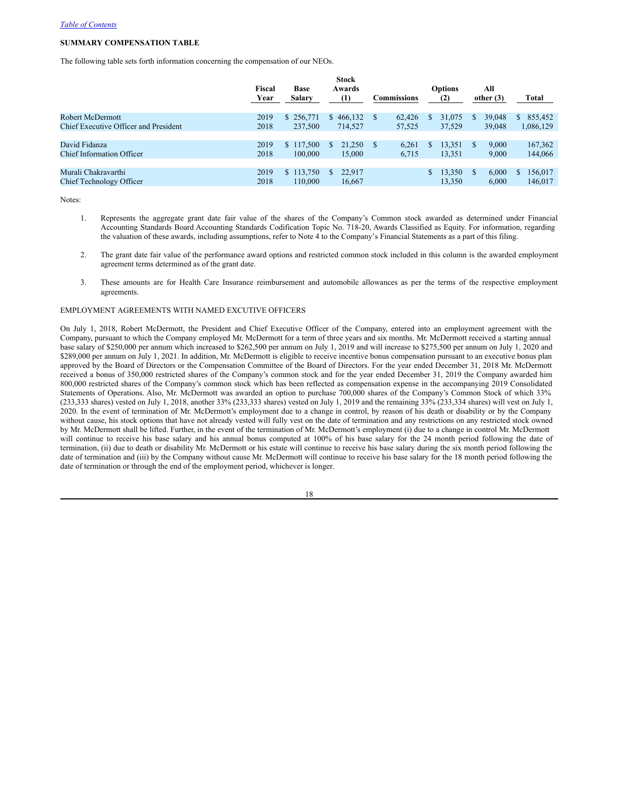# **SUMMARY COMPENSATION TABLE**

The following table sets forth information concerning the compensation of our NEOs.

|                                       | Fiscal<br>Year | <b>Base</b><br><b>Salary</b> | <b>Stock</b><br>Awards<br>(1) | Commissions |        |     | <b>Options</b><br>(2) |    | All<br>other $(3)$ | Total         |
|---------------------------------------|----------------|------------------------------|-------------------------------|-------------|--------|-----|-----------------------|----|--------------------|---------------|
| Robert McDermott                      | 2019           | \$256,771                    | \$466,132                     | S           | 62,426 | S   | 31,075                | S. | 39,048             | 855,452<br>S. |
| Chief Executive Officer and President | 2018           | 237,500                      | 714.527                       |             | 57.525 |     | 37,529                |    | 39,048             | 1,086,129     |
| David Fidanza                         | 2019           | \$117,500                    | 21.250<br>S.                  | S.          | 6.261  | S.  | 13,351                | S. | 9,000              | 167,362       |
| <b>Chief Information Officer</b>      | 2018           | 100,000                      | 15,000                        |             | 6.715  |     | 13,351                |    | 9.000              | 144,066       |
|                                       |                |                              |                               |             |        |     |                       |    |                    |               |
| Murali Chakravarthi                   | 2019           | \$113,750                    | 22,917                        |             |        | \$. | 13,350                | S. | 6.000              | 156,017       |
| Chief Technology Officer              | 2018           | 110,000                      | 16.667                        |             |        |     | 13.350                |    | 6.000              | 146,017       |

Notes:

- 1. Represents the aggregate grant date fair value of the shares of the Company's Common stock awarded as determined under Financial Accounting Standards Board Accounting Standards Codification Topic No. 718-20, Awards Classified as Equity. For information, regarding the valuation of these awards, including assumptions, refer to Note 4 to the Company's Financial Statements as a part of this filing.
- 2. The grant date fair value of the performance award options and restricted common stock included in this column is the awarded employment agreement terms determined as of the grant date.
- 3. These amounts are for Health Care Insurance reimbursement and automobile allowances as per the terms of the respective employment agreements.

### EMPLOYMENT AGREEMENTS WITH NAMED EXCUTIVE OFFICERS

On July 1, 2018, Robert McDermott, the President and Chief Executive Officer of the Company, entered into an employment agreement with the Company, pursuant to which the Company employed Mr. McDermott for a term of three years and six months. Mr. McDermott received a starting annual base salary of \$250,000 per annum which increased to \$262,500 per annum on July 1, 2019 and will increase to \$275,500 per annum on July 1, 2020 and \$289,000 per annum on July 1, 2021. In addition, Mr. McDermott is eligible to receive incentive bonus compensation pursuant to an executive bonus plan approved by the Board of Directors or the Compensation Committee of the Board of Directors. For the year ended December 31, 2018 Mr. McDermott received a bonus of 350,000 restricted shares of the Company's common stock and for the year ended December 31, 2019 the Company awarded him 800,000 restricted shares of the Company's common stock which has been reflected as compensation expense in the accompanying 2019 Consolidated Statements of Operations. Also, Mr. McDermott was awarded an option to purchase 700,000 shares of the Company's Common Stock of which 33%  $(233.333$  shares) vested on July 1, 2018, another 33% (233,333 shares) vested on July 1, 2019 and the remaining 33% (233,334 shares) will vest on July 1, 2020. In the event of termination of Mr. McDermott's employment due to a change in control, by reason of his death or disability or by the Company without cause, his stock options that have not already vested will fully vest on the date of termination and any restrictions on any restricted stock owned by Mr. McDermott shall be lifted. Further, in the event of the termination of Mr. McDermott's employment (i) due to a change in control Mr. McDermott will continue to receive his base salary and his annual bonus computed at 100% of his base salary for the 24 month period following the date of termination, (ii) due to death or disability Mr. McDermott or his estate will continue to receive his base salary during the six month period following the date of termination and (iii) by the Company without cause Mr. McDermott will continue to receive his base salary for the 18 month period following the date of termination or through the end of the employment period, whichever is longer.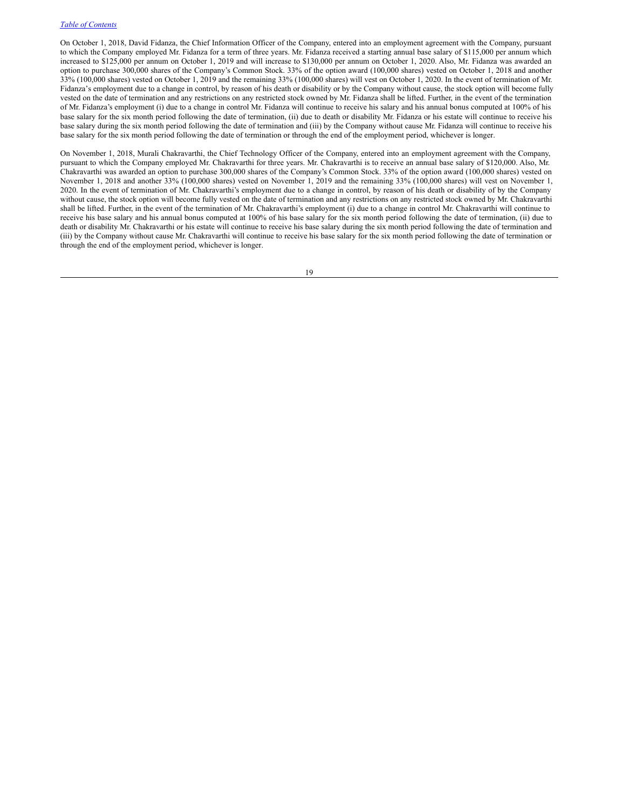On October 1, 2018, David Fidanza, the Chief Information Officer of the Company, entered into an employment agreement with the Company, pursuant to which the Company employed Mr. Fidanza for a term of three years. Mr. Fidanza received a starting annual base salary of \$115,000 per annum which increased to \$125,000 per annum on October 1, 2019 and will increase to \$130,000 per annum on October 1, 2020. Also, Mr. Fidanza was awarded an option to purchase 300,000 shares of the Company's Common Stock. 33% of the option award (100,000 shares) vested on October 1, 2018 and another 33% (100,000 shares) vested on October 1, 2019 and the remaining 33% (100,000 shares) will vest on October 1, 2020. In the event of termination of Mr. Fidanza's employment due to a change in control, by reason of his death or disability or by the Company without cause, the stock option will become fully vested on the date of termination and any restrictions on any restricted stock owned by Mr. Fidanza shall be lifted. Further, in the event of the termination of Mr. Fidanza's employment (i) due to a change in control Mr. Fidanza will continue to receive his salary and his annual bonus computed at 100% of his base salary for the six month period following the date of termination, (ii) due to death or disability Mr. Fidanza or his estate will continue to receive his base salary during the six month period following the date of termination and (iii) by the Company without cause Mr. Fidanza will continue to receive his base salary for the six month period following the date of termination or through the end of the employment period, whichever is longer.

On November 1, 2018, Murali Chakravarthi, the Chief Technology Officer of the Company, entered into an employment agreement with the Company, pursuant to which the Company employed Mr. Chakravarthi for three years. Mr. Chakravarthi is to receive an annual base salary of \$120,000. Also, Mr. Chakravarthi was awarded an option to purchase 300,000 shares of the Company's Common Stock. 33% of the option award (100,000 shares) vested on November 1, 2018 and another 33% (100,000 shares) vested on November 1, 2019 and the remaining 33% (100,000 shares) will vest on November 1, 2020. In the event of termination of Mr. Chakravarthi's employment due to a change in control, by reason of his death or disability of by the Company without cause, the stock option will become fully vested on the date of termination and any restrictions on any restricted stock owned by Mr. Chakravarthi shall be lifted. Further, in the event of the termination of Mr. Chakravarthi's employment (i) due to a change in control Mr. Chakravarthi will continue to receive his base salary and his annual bonus computed at 100% of his base salary for the six month period following the date of termination, (ii) due to death or disability Mr. Chakravarthi or his estate will continue to receive his base salary during the six month period following the date of termination and (iii) by the Company without cause Mr. Chakravarthi will continue to receive his base salary for the six month period following the date of termination or through the end of the employment period, whichever is longer.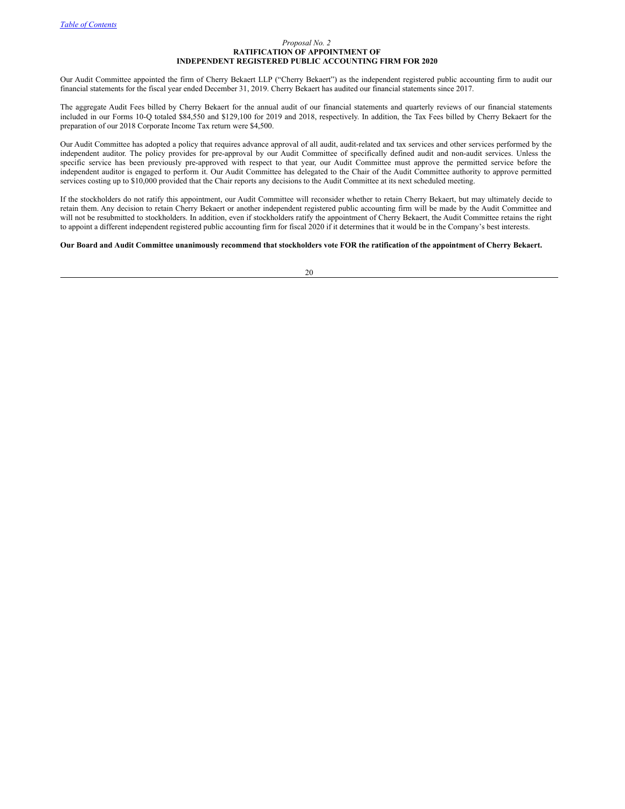### <span id="page-19-0"></span>*Proposal No. 2* **RATIFICATION OF APPOINTMENT OF INDEPENDENT REGISTERED PUBLIC ACCOUNTING FIRM FOR 2020**

Our Audit Committee appointed the firm of Cherry Bekaert LLP ("Cherry Bekaert") as the independent registered public accounting firm to audit our financial statements for the fiscal year ended December 31, 2019. Cherry Bekaert has audited our financial statements since 2017.

The aggregate Audit Fees billed by Cherry Bekaert for the annual audit of our financial statements and quarterly reviews of our financial statements included in our Forms 10-Q totaled \$84,550 and \$129,100 for 2019 and 2018, respectively. In addition, the Tax Fees billed by Cherry Bekaert for the preparation of our 2018 Corporate Income Tax return were \$4,500.

Our Audit Committee has adopted a policy that requires advance approval of all audit, audit-related and tax services and other services performed by the independent auditor. The policy provides for pre-approval by our Audit Committee of specifically defined audit and non-audit services. Unless the specific service has been previously pre-approved with respect to that year, our Audit Committee must approve the permitted service before the independent auditor is engaged to perform it. Our Audit Committee has delegated to the Chair of the Audit Committee authority to approve permitted services costing up to \$10,000 provided that the Chair reports any decisions to the Audit Committee at its next scheduled meeting.

If the stockholders do not ratify this appointment, our Audit Committee will reconsider whether to retain Cherry Bekaert, but may ultimately decide to retain them. Any decision to retain Cherry Bekaert or another independent registered public accounting firm will be made by the Audit Committee and will not be resubmitted to stockholders. In addition, even if stockholders ratify the appointment of Cherry Bekaert, the Audit Committee retains the right to appoint a different independent registered public accounting firm for fiscal 2020 if it determines that it would be in the Company's best interests.

### Our Board and Audit Committee unanimously recommend that stockholders vote FOR the ratification of the appointment of Cherry Bekaert.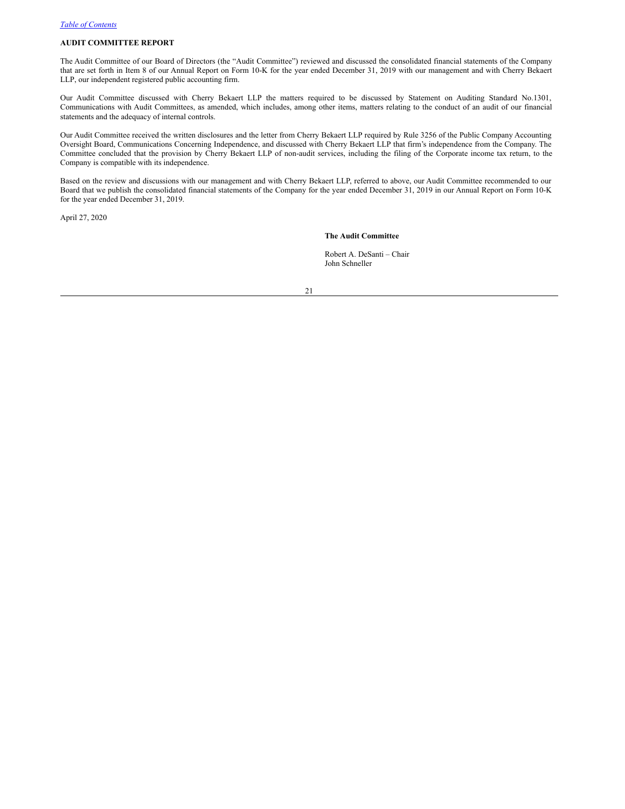### <span id="page-20-0"></span>**AUDIT COMMITTEE REPORT**

The Audit Committee of our Board of Directors (the "Audit Committee") reviewed and discussed the consolidated financial statements of the Company that are set forth in Item 8 of our Annual Report on Form 10-K for the year ended December 31, 2019 with our management and with Cherry Bekaert LLP, our independent registered public accounting firm.

Our Audit Committee discussed with Cherry Bekaert LLP the matters required to be discussed by Statement on Auditing Standard No.1301, Communications with Audit Committees, as amended, which includes, among other items, matters relating to the conduct of an audit of our financial statements and the adequacy of internal controls.

Our Audit Committee received the written disclosures and the letter from Cherry Bekaert LLP required by Rule 3256 of the Public Company Accounting Oversight Board, Communications Concerning Independence, and discussed with Cherry Bekaert LLP that firm's independence from the Company. The Committee concluded that the provision by Cherry Bekaert LLP of non-audit services, including the filing of the Corporate income tax return, to the Company is compatible with its independence.

Based on the review and discussions with our management and with Cherry Bekaert LLP, referred to above, our Audit Committee recommended to our Board that we publish the consolidated financial statements of the Company for the year ended December 31, 2019 in our Annual Report on Form 10-K for the year ended December 31, 2019.

April 27, 2020

**The Audit Committee**

Robert A. DeSanti – Chair John Schneller

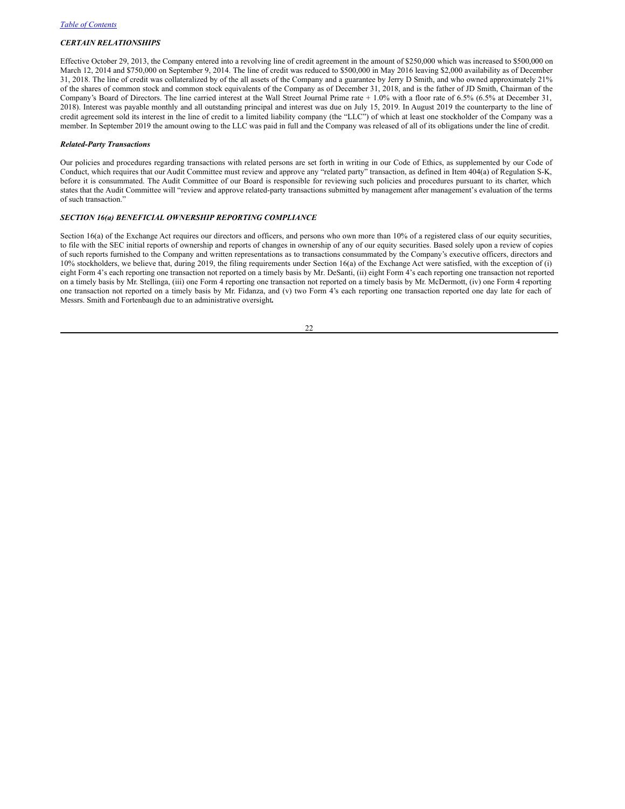## *CERTAIN RELATIONSHIPS*

Effective October 29, 2013, the Company entered into a revolving line of credit agreement in the amount of \$250,000 which was increased to \$500,000 on March 12, 2014 and \$750,000 on September 9, 2014. The line of credit was reduced to \$500,000 in May 2016 leaving \$2,000 availability as of December 31, 2018. The line of credit was collateralized by of the all assets of the Company and a guarantee by Jerry D Smith, and who owned approximately 21% of the shares of common stock and common stock equivalents of the Company as of December 31, 2018, and is the father of JD Smith, Chairman of the Company's Board of Directors. The line carried interest at the Wall Street Journal Prime rate + 1.0% with a floor rate of 6.5% (6.5% at December 31, 2018). Interest was payable monthly and all outstanding principal and interest was due on July 15, 2019. In August 2019 the counterparty to the line of credit agreement sold its interest in the line of credit to a limited liability company (the "LLC") of which at least one stockholder of the Company was a member. In September 2019 the amount owing to the LLC was paid in full and the Company was released of all of its obligations under the line of credit.

#### *Related-Party Transactions*

Our policies and procedures regarding transactions with related persons are set forth in writing in our Code of Ethics, as supplemented by our Code of Conduct, which requires that our Audit Committee must review and approve any "related party" transaction, as defined in Item 404(a) of Regulation S-K, before it is consummated. The Audit Committee of our Board is responsible for reviewing such policies and procedures pursuant to its charter, which states that the Audit Committee will "review and approve related-party transactions submitted by management after management's evaluation of the terms of such transaction."

### *SECTION 16(a) BENEFICIAL OWNERSHIP REPORTING COMPLIANCE*

Section 16(a) of the Exchange Act requires our directors and officers, and persons who own more than 10% of a registered class of our equity securities, to file with the SEC initial reports of ownership and reports of changes in ownership of any of our equity securities. Based solely upon a review of copies of such reports furnished to the Company and written representations as to transactions consummated by the Company's executive officers, directors and 10% stockholders, we believe that, during 2019, the filing requirements under Section 16(a) of the Exchange Act were satisfied, with the exception of (i) eight Form 4's each reporting one transaction not reported on a timely basis by Mr. DeSanti, (ii) eight Form 4's each reporting one transaction not reported on a timely basis by Mr. Stellinga, (iii) one Form 4 reporting one transaction not reported on a timely basis by Mr. McDermott, (iv) one Form 4 reporting one transaction not reported on a timely basis by Mr. Fidanza, and (v) two Form 4's each reporting one transaction reported one day late for each of Messrs. Smith and Fortenbaugh due to an administrative oversight**.**

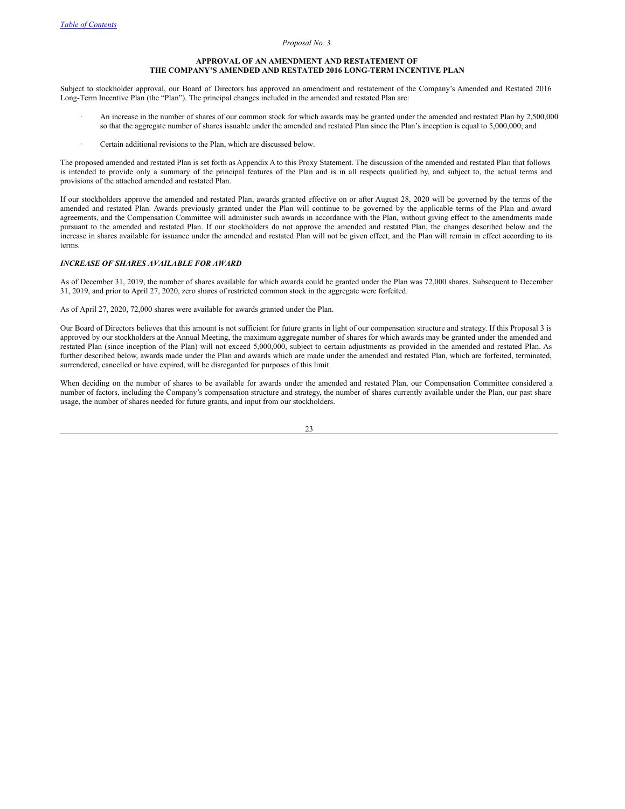#### <span id="page-22-0"></span>*Proposal No. 3*

### **APPROVAL OF AN AMENDMENT AND RESTATEMENT OF THE COMPANY'S AMENDED AND RESTATED 2016 LONG-TERM INCENTIVE PLAN**

Subject to stockholder approval, our Board of Directors has approved an amendment and restatement of the Company's Amended and Restated 2016 Long-Term Incentive Plan (the "Plan"). The principal changes included in the amended and restated Plan are:

- An increase in the number of shares of our common stock for which awards may be granted under the amended and restated Plan by 2,500,000 so that the aggregate number of shares issuable under the amended and restated Plan since the Plan's inception is equal to 5,000,000; and
- Certain additional revisions to the Plan, which are discussed below.

The proposed amended and restated Plan is set forth as Appendix A to this Proxy Statement. The discussion of the amended and restated Plan that follows is intended to provide only a summary of the principal features of the Plan and is in all respects qualified by, and subject to, the actual terms and provisions of the attached amended and restated Plan.

If our stockholders approve the amended and restated Plan, awards granted effective on or after August 28, 2020 will be governed by the terms of the amended and restated Plan. Awards previously granted under the Plan will continue to be governed by the applicable terms of the Plan and award agreements, and the Compensation Committee will administer such awards in accordance with the Plan, without giving effect to the amendments made pursuant to the amended and restated Plan. If our stockholders do not approve the amended and restated Plan, the changes described below and the increase in shares available for issuance under the amended and restated Plan will not be given effect, and the Plan will remain in effect according to its terms.

### *INCREASE OF SHARES AVAILABLE FOR AWARD*

As of December 31, 2019, the number of shares available for which awards could be granted under the Plan was 72,000 shares. Subsequent to December 31, 2019, and prior to April 27, 2020, zero shares of restricted common stock in the aggregate were forfeited.

As of April 27, 2020, 72,000 shares were available for awards granted under the Plan.

Our Board of Directors believes that this amount is not sufficient for future grants in light of our compensation structure and strategy. If this Proposal 3 is approved by our stockholders at the Annual Meeting, the maximum aggregate number of shares for which awards may be granted under the amended and restated Plan (since inception of the Plan) will not exceed 5,000,000, subject to certain adjustments as provided in the amended and restated Plan. As further described below, awards made under the Plan and awards which are made under the amended and restated Plan, which are forfeited, terminated, surrendered, cancelled or have expired, will be disregarded for purposes of this limit.

When deciding on the number of shares to be available for awards under the amended and restated Plan, our Compensation Committee considered a number of factors, including the Company's compensation structure and strategy, the number of shares currently available under the Plan, our past share usage, the number of shares needed for future grants, and input from our stockholders.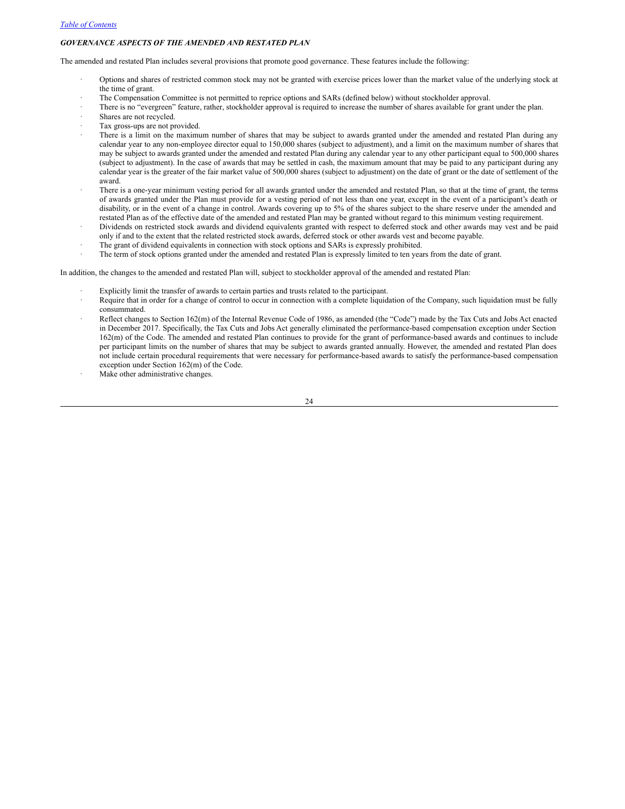### *GOVERNANCE ASPECTS OF THE AMENDED AND RESTATED PLAN*

The amended and restated Plan includes several provisions that promote good governance. These features include the following:

- · Options and shares of restricted common stock may not be granted with exercise prices lower than the market value of the underlying stock at the time of grant.
- The Compensation Committee is not permitted to reprice options and SARs (defined below) without stockholder approval.
- There is no "evergreen" feature, rather, stockholder approval is required to increase the number of shares available for grant under the plan.
- Shares are not recycled.
- Tax gross-ups are not provided.
- There is a limit on the maximum number of shares that may be subject to awards granted under the amended and restated Plan during any calendar year to any non-employee director equal to 150,000 shares (subject to adjustment), and a limit on the maximum number of shares that may be subject to awards granted under the amended and restated Plan during any calendar year to any other participant equal to 500,000 shares (subject to adjustment). In the case of awards that may be settled in cash, the maximum amount that may be paid to any participant during any calendar year is the greater of the fair market value of 500,000 shares (subject to adjustment) on the date of grant or the date of settlement of the award.
- There is a one-year minimum vesting period for all awards granted under the amended and restated Plan, so that at the time of grant, the terms of awards granted under the Plan must provide for a vesting period of not less than one year, except in the event of a participant's death or disability, or in the event of a change in control. Awards covering up to 5% of the shares subject to the share reserve under the amended and restated Plan as of the effective date of the amended and restated Plan may be granted without regard to this minimum vesting requirement.
- · Dividends on restricted stock awards and dividend equivalents granted with respect to deferred stock and other awards may vest and be paid only if and to the extent that the related restricted stock awards, deferred stock or other awards vest and become payable.
- The grant of dividend equivalents in connection with stock options and SARs is expressly prohibited.
- The term of stock options granted under the amended and restated Plan is expressly limited to ten years from the date of grant.

In addition, the changes to the amended and restated Plan will, subject to stockholder approval of the amended and restated Plan:

- Explicitly limit the transfer of awards to certain parties and trusts related to the participant.
- · Require that in order for a change of control to occur in connection with a complete liquidation of the Company, such liquidation must be fully consummated.
- · Reflect changes to Section 162(m) of the Internal Revenue Code of 1986, as amended (the "Code") made by the Tax Cuts and Jobs Act enacted in December 2017. Specifically, the Tax Cuts and Jobs Act generally eliminated the performance-based compensation exception under Section 162(m) of the Code. The amended and restated Plan continues to provide for the grant of performance-based awards and continues to include per participant limits on the number of shares that may be subject to awards granted annually. However, the amended and restated Plan does not include certain procedural requirements that were necessary for performance-based awards to satisfy the performance-based compensation exception under Section 162(m) of the Code.
- Make other administrative changes.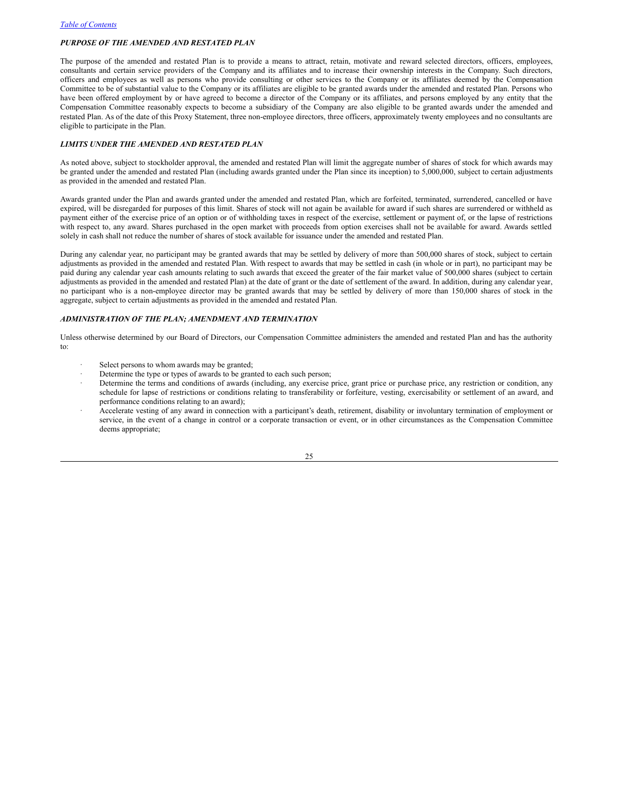### *PURPOSE OF THE AMENDED AND RESTATED PLAN*

The purpose of the amended and restated Plan is to provide a means to attract, retain, motivate and reward selected directors, officers, employees, consultants and certain service providers of the Company and its affiliates and to increase their ownership interests in the Company. Such directors, officers and employees as well as persons who provide consulting or other services to the Company or its affiliates deemed by the Compensation Committee to be of substantial value to the Company or its affiliates are eligible to be granted awards under the amended and restated Plan. Persons who have been offered employment by or have agreed to become a director of the Company or its affiliates, and persons employed by any entity that the Compensation Committee reasonably expects to become a subsidiary of the Company are also eligible to be granted awards under the amended and restated Plan. As of the date of this Proxy Statement, three non-employee directors, three officers, approximately twenty employees and no consultants are eligible to participate in the Plan.

### *LIMITS UNDER THE AMENDED AND RESTATED PLAN*

As noted above, subject to stockholder approval, the amended and restated Plan will limit the aggregate number of shares of stock for which awards may be granted under the amended and restated Plan (including awards granted under the Plan since its inception) to 5,000,000, subject to certain adjustments as provided in the amended and restated Plan.

Awards granted under the Plan and awards granted under the amended and restated Plan, which are forfeited, terminated, surrendered, cancelled or have expired, will be disregarded for purposes of this limit. Shares of stock will not again be available for award if such shares are surrendered or withheld as payment either of the exercise price of an option or of withholding taxes in respect of the exercise, settlement or payment of, or the lapse of restrictions with respect to, any award. Shares purchased in the open market with proceeds from option exercises shall not be available for award. Awards settled solely in cash shall not reduce the number of shares of stock available for issuance under the amended and restated Plan.

During any calendar year, no participant may be granted awards that may be settled by delivery of more than 500,000 shares of stock, subject to certain adjustments as provided in the amended and restated Plan. With respect to awards that may be settled in cash (in whole or in part), no participant may be paid during any calendar year cash amounts relating to such awards that exceed the greater of the fair market value of 500,000 shares (subject to certain adjustments as provided in the amended and restated Plan) at the date of grant or the date of settlement of the award. In addition, during any calendar year, no participant who is a non-employee director may be granted awards that may be settled by delivery of more than 150,000 shares of stock in the aggregate, subject to certain adjustments as provided in the amended and restated Plan.

# *ADMINISTRATION OF THE PLAN; AMENDMENT AND TERMINATION*

Unless otherwise determined by our Board of Directors, our Compensation Committee administers the amended and restated Plan and has the authority to:

- Select persons to whom awards may be granted;
- Determine the type or types of awards to be granted to each such person;
- Determine the terms and conditions of awards (including, any exercise price, grant price or purchase price, any restriction or condition, any schedule for lapse of restrictions or conditions relating to transferability or forfeiture, vesting, exercisability or settlement of an award, and performance conditions relating to an award);
- · Accelerate vesting of any award in connection with a participant's death, retirement, disability or involuntary termination of employment or service, in the event of a change in control or a corporate transaction or event, or in other circumstances as the Compensation Committee deems appropriate;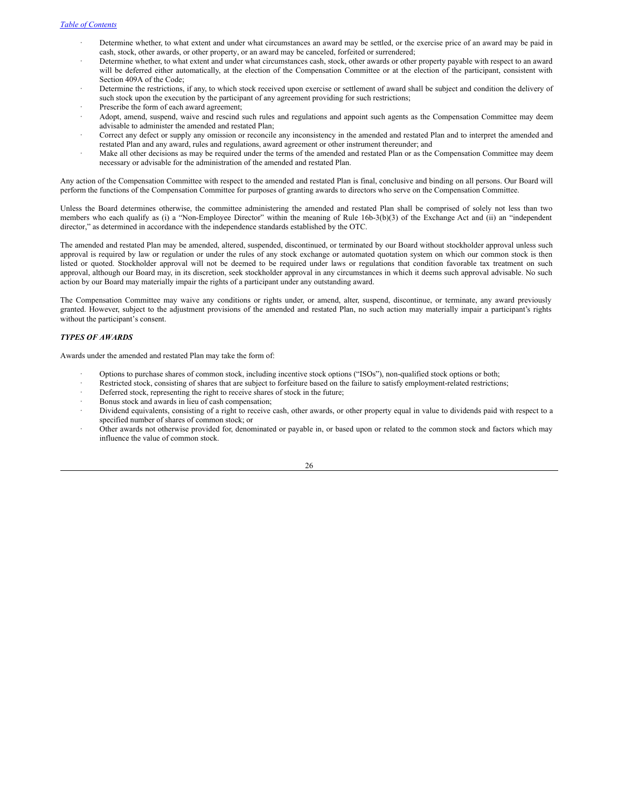- Determine whether, to what extent and under what circumstances an award may be settled, or the exercise price of an award may be paid in cash, stock, other awards, or other property, or an award may be canceled, forfeited or surrendered;
- · Determine whether, to what extent and under what circumstances cash, stock, other awards or other property payable with respect to an award will be deferred either automatically, at the election of the Compensation Committee or at the election of the participant, consistent with Section 409A of the Code;
- Determine the restrictions, if any, to which stock received upon exercise or settlement of award shall be subject and condition the delivery of such stock upon the execution by the participant of any agreement providing for such restrictions;
- Prescribe the form of each award agreement;
- Adopt, amend, suspend, waive and rescind such rules and regulations and appoint such agents as the Compensation Committee may deem advisable to administer the amended and restated Plan;
- · Correct any defect or supply any omission or reconcile any inconsistency in the amended and restated Plan and to interpret the amended and restated Plan and any award, rules and regulations, award agreement or other instrument thereunder; and
- Make all other decisions as may be required under the terms of the amended and restated Plan or as the Compensation Committee may deem necessary or advisable for the administration of the amended and restated Plan.

Any action of the Compensation Committee with respect to the amended and restated Plan is final, conclusive and binding on all persons. Our Board will perform the functions of the Compensation Committee for purposes of granting awards to directors who serve on the Compensation Committee.

Unless the Board determines otherwise, the committee administering the amended and restated Plan shall be comprised of solely not less than two members who each qualify as (i) a "Non-Employee Director" within the meaning of Rule 16b-3(b)(3) of the Exchange Act and (ii) an "independent director," as determined in accordance with the independence standards established by the OTC.

The amended and restated Plan may be amended, altered, suspended, discontinued, or terminated by our Board without stockholder approval unless such approval is required by law or regulation or under the rules of any stock exchange or automated quotation system on which our common stock is then listed or quoted. Stockholder approval will not be deemed to be required under laws or regulations that condition favorable tax treatment on such approval, although our Board may, in its discretion, seek stockholder approval in any circumstances in which it deems such approval advisable. No such action by our Board may materially impair the rights of a participant under any outstanding award.

The Compensation Committee may waive any conditions or rights under, or amend, alter, suspend, discontinue, or terminate, any award previously granted. However, subject to the adjustment provisions of the amended and restated Plan, no such action may materially impair a participant's rights without the participant's consent.

### *TYPES OF AWARDS*

Awards under the amended and restated Plan may take the form of:

- · Options to purchase shares of common stock, including incentive stock options ("ISOs"), non-qualified stock options or both;
- Restricted stock, consisting of shares that are subject to forfeiture based on the failure to satisfy employment-related restrictions;
- Deferred stock, representing the right to receive shares of stock in the future;
- Bonus stock and awards in lieu of cash compensation;
- Dividend equivalents, consisting of a right to receive cash, other awards, or other property equal in value to dividends paid with respect to a specified number of shares of common stock; or
- Other awards not otherwise provided for, denominated or payable in, or based upon or related to the common stock and factors which may influence the value of common stock.

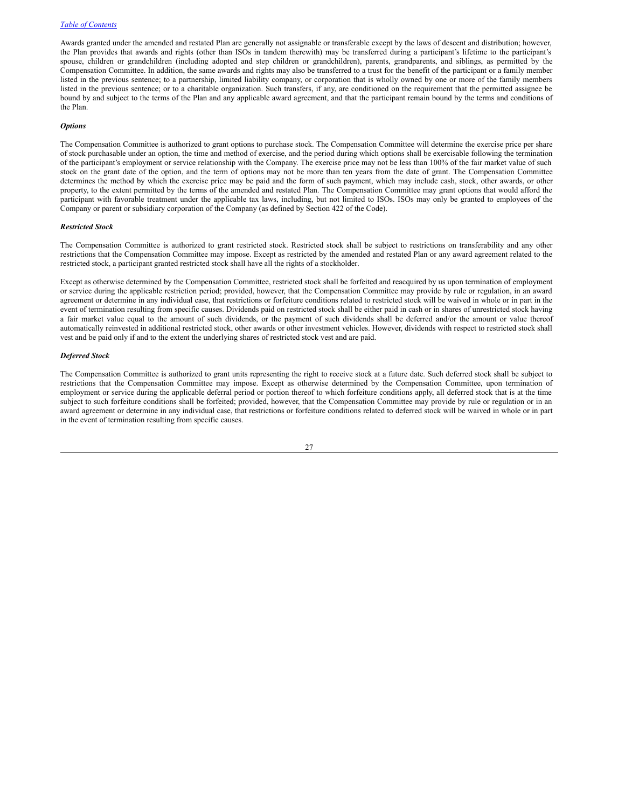Awards granted under the amended and restated Plan are generally not assignable or transferable except by the laws of descent and distribution; however, the Plan provides that awards and rights (other than ISOs in tandem therewith) may be transferred during a participant's lifetime to the participant's spouse, children or grandchildren (including adopted and step children or grandchildren), parents, grandparents, and siblings, as permitted by the Compensation Committee. In addition, the same awards and rights may also be transferred to a trust for the benefit of the participant or a family member listed in the previous sentence; to a partnership, limited liability company, or corporation that is wholly owned by one or more of the family members listed in the previous sentence; or to a charitable organization. Such transfers, if any, are conditioned on the requirement that the permitted assignee be bound by and subject to the terms of the Plan and any applicable award agreement, and that the participant remain bound by the terms and conditions of the Plan.

#### *Options*

The Compensation Committee is authorized to grant options to purchase stock. The Compensation Committee will determine the exercise price per share of stock purchasable under an option, the time and method of exercise, and the period during which options shall be exercisable following the termination of the participant's employment or service relationship with the Company. The exercise price may not be less than 100% of the fair market value of such stock on the grant date of the option, and the term of options may not be more than ten years from the date of grant. The Compensation Committee determines the method by which the exercise price may be paid and the form of such payment, which may include cash, stock, other awards, or other property, to the extent permitted by the terms of the amended and restated Plan. The Compensation Committee may grant options that would afford the participant with favorable treatment under the applicable tax laws, including, but not limited to ISOs. ISOs may only be granted to employees of the Company or parent or subsidiary corporation of the Company (as defined by Section 422 of the Code).

#### *Restricted Stock*

The Compensation Committee is authorized to grant restricted stock. Restricted stock shall be subject to restrictions on transferability and any other restrictions that the Compensation Committee may impose. Except as restricted by the amended and restated Plan or any award agreement related to the restricted stock, a participant granted restricted stock shall have all the rights of a stockholder.

Except as otherwise determined by the Compensation Committee, restricted stock shall be forfeited and reacquired by us upon termination of employment or service during the applicable restriction period; provided, however, that the Compensation Committee may provide by rule or regulation, in an award agreement or determine in any individual case, that restrictions or forfeiture conditions related to restricted stock will be waived in whole or in part in the event of termination resulting from specific causes. Dividends paid on restricted stock shall be either paid in cash or in shares of unrestricted stock having a fair market value equal to the amount of such dividends, or the payment of such dividends shall be deferred and/or the amount or value thereof automatically reinvested in additional restricted stock, other awards or other investment vehicles. However, dividends with respect to restricted stock shall vest and be paid only if and to the extent the underlying shares of restricted stock vest and are paid.

#### *Deferred Stock*

The Compensation Committee is authorized to grant units representing the right to receive stock at a future date. Such deferred stock shall be subject to restrictions that the Compensation Committee may impose. Except as otherwise determined by the Compensation Committee, upon termination of employment or service during the applicable deferral period or portion thereof to which forfeiture conditions apply, all deferred stock that is at the time subject to such forfeiture conditions shall be forfeited; provided, however, that the Compensation Committee may provide by rule or regulation or in an award agreement or determine in any individual case, that restrictions or forfeiture conditions related to deferred stock will be waived in whole or in part in the event of termination resulting from specific causes.

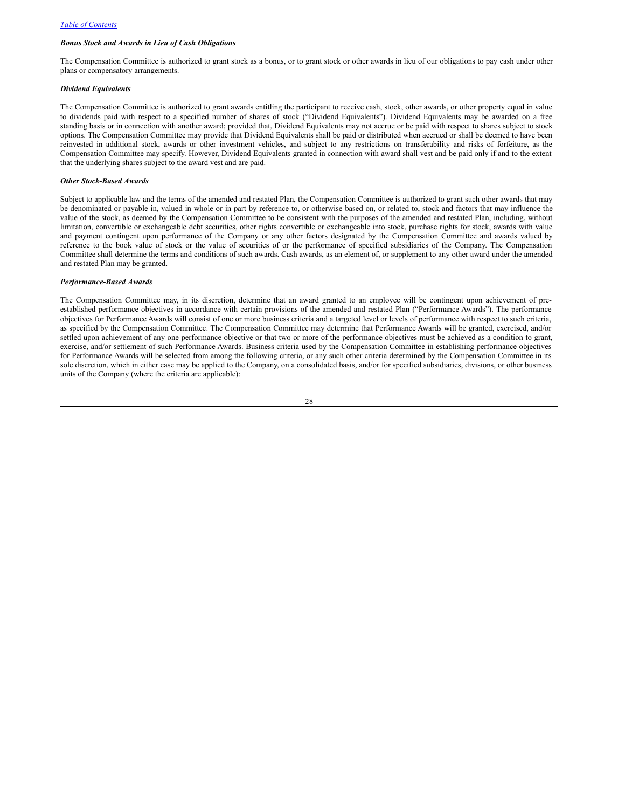### *Bonus Stock and Awards in Lieu of Cash Obligations*

The Compensation Committee is authorized to grant stock as a bonus, or to grant stock or other awards in lieu of our obligations to pay cash under other plans or compensatory arrangements.

#### *Dividend Equivalents*

The Compensation Committee is authorized to grant awards entitling the participant to receive cash, stock, other awards, or other property equal in value to dividends paid with respect to a specified number of shares of stock ("Dividend Equivalents"). Dividend Equivalents may be awarded on a free standing basis or in connection with another award; provided that, Dividend Equivalents may not accrue or be paid with respect to shares subject to stock options. The Compensation Committee may provide that Dividend Equivalents shall be paid or distributed when accrued or shall be deemed to have been reinvested in additional stock, awards or other investment vehicles, and subject to any restrictions on transferability and risks of forfeiture, as the Compensation Committee may specify. However, Dividend Equivalents granted in connection with award shall vest and be paid only if and to the extent that the underlying shares subject to the award vest and are paid.

### *Other Stock-Based Awards*

Subject to applicable law and the terms of the amended and restated Plan, the Compensation Committee is authorized to grant such other awards that may be denominated or payable in, valued in whole or in part by reference to, or otherwise based on, or related to, stock and factors that may influence the value of the stock, as deemed by the Compensation Committee to be consistent with the purposes of the amended and restated Plan, including, without limitation, convertible or exchangeable debt securities, other rights convertible or exchangeable into stock, purchase rights for stock, awards with value and payment contingent upon performance of the Company or any other factors designated by the Compensation Committee and awards valued by reference to the book value of stock or the value of securities of or the performance of specified subsidiaries of the Company. The Compensation Committee shall determine the terms and conditions of such awards. Cash awards, as an element of, or supplement to any other award under the amended and restated Plan may be granted.

#### *Performance-Based Awards*

The Compensation Committee may, in its discretion, determine that an award granted to an employee will be contingent upon achievement of preestablished performance objectives in accordance with certain provisions of the amended and restated Plan ("Performance Awards"). The performance objectives for Performance Awards will consist of one or more business criteria and a targeted level or levels of performance with respect to such criteria, as specified by the Compensation Committee. The Compensation Committee may determine that Performance Awards will be granted, exercised, and/or settled upon achievement of any one performance objective or that two or more of the performance objectives must be achieved as a condition to grant, exercise, and/or settlement of such Performance Awards. Business criteria used by the Compensation Committee in establishing performance objectives for Performance Awards will be selected from among the following criteria, or any such other criteria determined by the Compensation Committee in its sole discretion, which in either case may be applied to the Company, on a consolidated basis, and/or for specified subsidiaries, divisions, or other business units of the Company (where the criteria are applicable):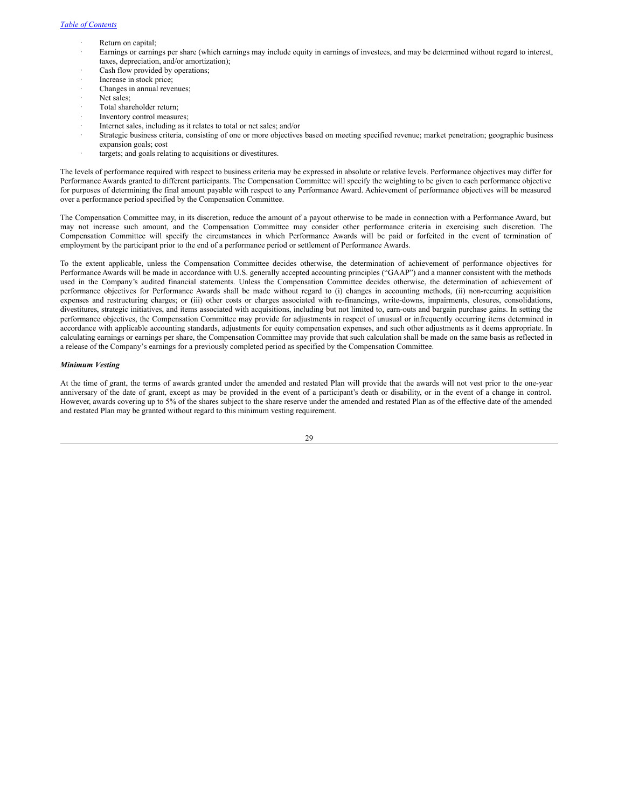- Return on capital;
- · Earnings or earnings per share (which earnings may include equity in earnings of investees, and may be determined without regard to interest, taxes, depreciation, and/or amortization);
- Cash flow provided by operations;
- Increase in stock price;
- Changes in annual revenues;
- Net sales;
- Total shareholder return;
- Inventory control measures;
- Internet sales, including as it relates to total or net sales; and/or
- · Strategic business criteria, consisting of one or more objectives based on meeting specified revenue; market penetration; geographic business expansion goals; cost
- targets; and goals relating to acquisitions or divestitures.

The levels of performance required with respect to business criteria may be expressed in absolute or relative levels. Performance objectives may differ for Performance Awards granted to different participants. The Compensation Committee will specify the weighting to be given to each performance objective for purposes of determining the final amount payable with respect to any Performance Award. Achievement of performance objectives will be measured over a performance period specified by the Compensation Committee.

The Compensation Committee may, in its discretion, reduce the amount of a payout otherwise to be made in connection with a Performance Award, but may not increase such amount, and the Compensation Committee may consider other performance criteria in exercising such discretion. The Compensation Committee will specify the circumstances in which Performance Awards will be paid or forfeited in the event of termination of employment by the participant prior to the end of a performance period or settlement of Performance Awards.

To the extent applicable, unless the Compensation Committee decides otherwise, the determination of achievement of performance objectives for Performance Awards will be made in accordance with U.S. generally accepted accounting principles ("GAAP") and a manner consistent with the methods used in the Company's audited financial statements. Unless the Compensation Committee decides otherwise, the determination of achievement of performance objectives for Performance Awards shall be made without regard to (i) changes in accounting methods, (ii) non-recurring acquisition expenses and restructuring charges; or (iii) other costs or charges associated with re-financings, write-downs, impairments, closures, consolidations, divestitures, strategic initiatives, and items associated with acquisitions, including but not limited to, earn-outs and bargain purchase gains. In setting the performance objectives, the Compensation Committee may provide for adjustments in respect of unusual or infrequently occurring items determined in accordance with applicable accounting standards, adjustments for equity compensation expenses, and such other adjustments as it deems appropriate. In calculating earnings or earnings per share, the Compensation Committee may provide that such calculation shall be made on the same basis as reflected in a release of the Company's earnings for a previously completed period as specified by the Compensation Committee.

#### *Minimum Vesting*

At the time of grant, the terms of awards granted under the amended and restated Plan will provide that the awards will not vest prior to the one-year anniversary of the date of grant, except as may be provided in the event of a participant's death or disability, or in the event of a change in control. However, awards covering up to 5% of the shares subject to the share reserve under the amended and restated Plan as of the effective date of the amended and restated Plan may be granted without regard to this minimum vesting requirement.

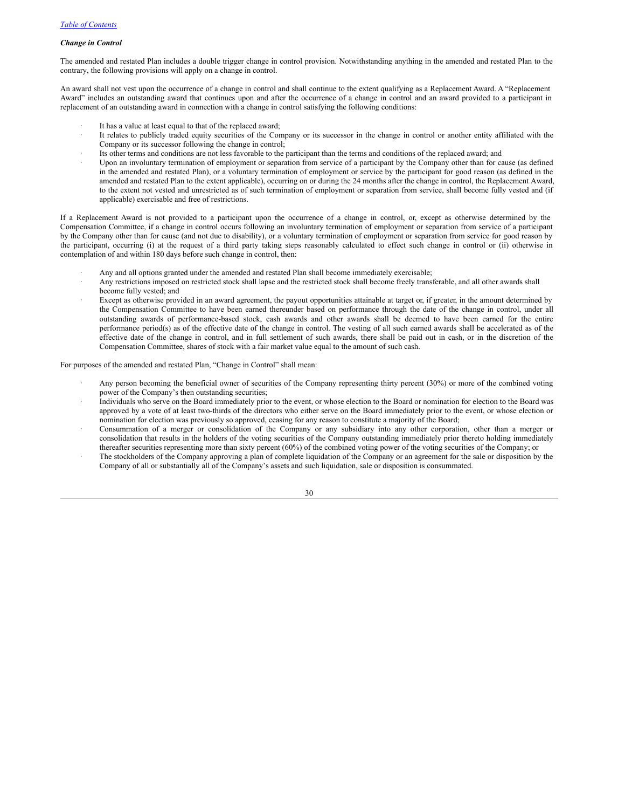### *Change in Control*

The amended and restated Plan includes a double trigger change in control provision. Notwithstanding anything in the amended and restated Plan to the contrary, the following provisions will apply on a change in control.

An award shall not vest upon the occurrence of a change in control and shall continue to the extent qualifying as a Replacement Award. A "Replacement Award" includes an outstanding award that continues upon and after the occurrence of a change in control and an award provided to a participant in replacement of an outstanding award in connection with a change in control satisfying the following conditions:

- It has a value at least equal to that of the replaced award;
- It relates to publicly traded equity securities of the Company or its successor in the change in control or another entity affiliated with the Company or its successor following the change in control;
- Its other terms and conditions are not less favorable to the participant than the terms and conditions of the replaced award; and
- · Upon an involuntary termination of employment or separation from service of a participant by the Company other than for cause (as defined in the amended and restated Plan), or a voluntary termination of employment or service by the participant for good reason (as defined in the amended and restated Plan to the extent applicable), occurring on or during the 24 months after the change in control, the Replacement Award, to the extent not vested and unrestricted as of such termination of employment or separation from service, shall become fully vested and (if applicable) exercisable and free of restrictions.

If a Replacement Award is not provided to a participant upon the occurrence of a change in control, or, except as otherwise determined by the Compensation Committee, if a change in control occurs following an involuntary termination of employment or separation from service of a participant by the Company other than for cause (and not due to disability), or a voluntary termination of employment or separation from service for good reason by the participant, occurring (i) at the request of a third party taking steps reasonably calculated to effect such change in control or (ii) otherwise in contemplation of and within 180 days before such change in control, then:

- Any and all options granted under the amended and restated Plan shall become immediately exercisable;
- · Any restrictions imposed on restricted stock shall lapse and the restricted stock shall become freely transferable, and all other awards shall become fully vested; and
- Except as otherwise provided in an award agreement, the payout opportunities attainable at target or, if greater, in the amount determined by the Compensation Committee to have been earned thereunder based on performance through the date of the change in control, under all outstanding awards of performance-based stock, cash awards and other awards shall be deemed to have been earned for the entire performance period(s) as of the effective date of the change in control. The vesting of all such earned awards shall be accelerated as of the effective date of the change in control, and in full settlement of such awards, there shall be paid out in cash, or in the discretion of the Compensation Committee, shares of stock with a fair market value equal to the amount of such cash.

For purposes of the amended and restated Plan, "Change in Control" shall mean:

- Any person becoming the beneficial owner of securities of the Company representing thirty percent (30%) or more of the combined voting power of the Company's then outstanding securities;
- · Individuals who serve on the Board immediately prior to the event, or whose election to the Board or nomination for election to the Board was approved by a vote of at least two-thirds of the directors who either serve on the Board immediately prior to the event, or whose election or nomination for election was previously so approved, ceasing for any reason to constitute a majority of the Board;
- · Consummation of a merger or consolidation of the Company or any subsidiary into any other corporation, other than a merger or consolidation that results in the holders of the voting securities of the Company outstanding immediately prior thereto holding immediately thereafter securities representing more than sixty percent (60%) of the combined voting power of the voting securities of the Company; or
- The stockholders of the Company approving a plan of complete liquidation of the Company or an agreement for the sale or disposition by the Company of all or substantially all of the Company's assets and such liquidation, sale or disposition is consummated.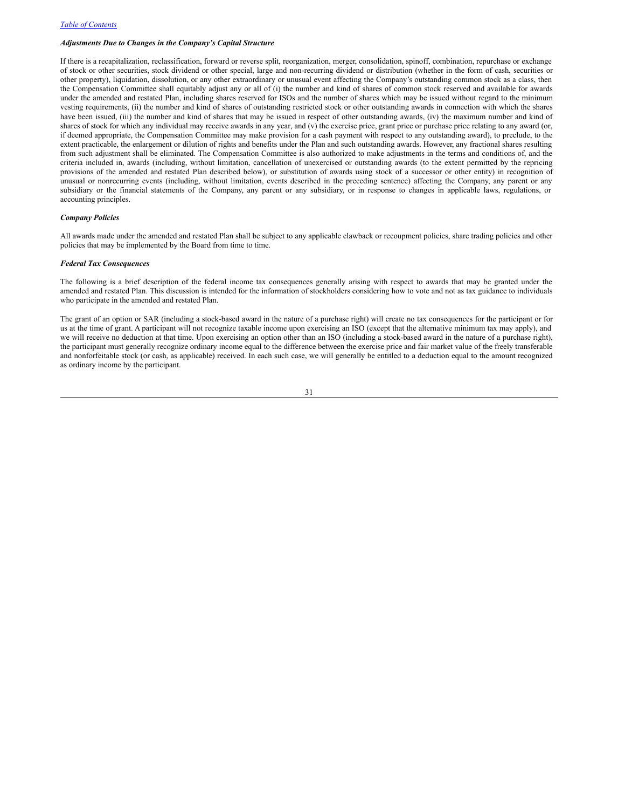### *Adjustments Due to Changes in the Company's Capital Structure*

If there is a recapitalization, reclassification, forward or reverse split, reorganization, merger, consolidation, spinoff, combination, repurchase or exchange of stock or other securities, stock dividend or other special, large and non-recurring dividend or distribution (whether in the form of cash, securities or other property), liquidation, dissolution, or any other extraordinary or unusual event affecting the Company's outstanding common stock as a class, then the Compensation Committee shall equitably adjust any or all of (i) the number and kind of shares of common stock reserved and available for awards under the amended and restated Plan, including shares reserved for ISOs and the number of shares which may be issued without regard to the minimum vesting requirements, (ii) the number and kind of shares of outstanding restricted stock or other outstanding awards in connection with which the shares have been issued, (iii) the number and kind of shares that may be issued in respect of other outstanding awards, (iv) the maximum number and kind of shares of stock for which any individual may receive awards in any year, and (v) the exercise price, grant price or purchase price relating to any award (or, if deemed appropriate, the Compensation Committee may make provision for a cash payment with respect to any outstanding award), to preclude, to the extent practicable, the enlargement or dilution of rights and benefits under the Plan and such outstanding awards. However, any fractional shares resulting from such adjustment shall be eliminated. The Compensation Committee is also authorized to make adjustments in the terms and conditions of, and the criteria included in, awards (including, without limitation, cancellation of unexercised or outstanding awards (to the extent permitted by the repricing provisions of the amended and restated Plan described below), or substitution of awards using stock of a successor or other entity) in recognition of unusual or nonrecurring events (including, without limitation, events described in the preceding sentence) affecting the Company, any parent or any subsidiary or the financial statements of the Company, any parent or any subsidiary, or in response to changes in applicable laws, regulations, or accounting principles.

## *Company Policies*

All awards made under the amended and restated Plan shall be subject to any applicable clawback or recoupment policies, share trading policies and other policies that may be implemented by the Board from time to time.

#### *Federal Tax Consequences*

The following is a brief description of the federal income tax consequences generally arising with respect to awards that may be granted under the amended and restated Plan. This discussion is intended for the information of stockholders considering how to vote and not as tax guidance to individuals who participate in the amended and restated Plan.

The grant of an option or SAR (including a stock-based award in the nature of a purchase right) will create no tax consequences for the participant or for us at the time of grant. A participant will not recognize taxable income upon exercising an ISO (except that the alternative minimum tax may apply), and we will receive no deduction at that time. Upon exercising an option other than an ISO (including a stock-based award in the nature of a purchase right), the participant must generally recognize ordinary income equal to the difference between the exercise price and fair market value of the freely transferable and nonforfeitable stock (or cash, as applicable) received. In each such case, we will generally be entitled to a deduction equal to the amount recognized as ordinary income by the participant.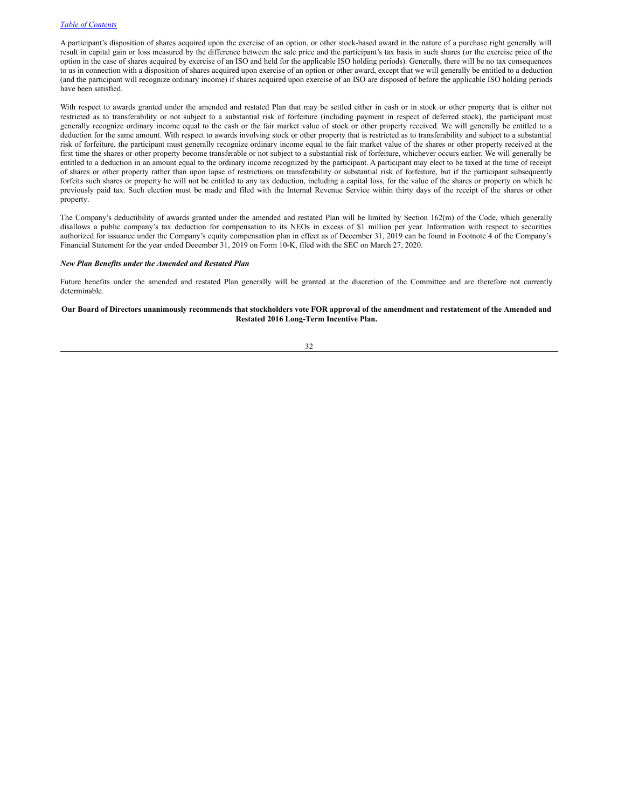A participant's disposition of shares acquired upon the exercise of an option, or other stock-based award in the nature of a purchase right generally will result in capital gain or loss measured by the difference between the sale price and the participant's tax basis in such shares (or the exercise price of the option in the case of shares acquired by exercise of an ISO and held for the applicable ISO holding periods). Generally, there will be no tax consequences to us in connection with a disposition of shares acquired upon exercise of an option or other award, except that we will generally be entitled to a deduction (and the participant will recognize ordinary income) if shares acquired upon exercise of an ISO are disposed of before the applicable ISO holding periods have been satisfied.

With respect to awards granted under the amended and restated Plan that may be settled either in cash or in stock or other property that is either not restricted as to transferability or not subject to a substantial risk of forfeiture (including payment in respect of deferred stock), the participant must generally recognize ordinary income equal to the cash or the fair market value of stock or other property received. We will generally be entitled to a deduction for the same amount. With respect to awards involving stock or other property that is restricted as to transferability and subject to a substantial risk of forfeiture, the participant must generally recognize ordinary income equal to the fair market value of the shares or other property received at the first time the shares or other property become transferable or not subject to a substantial risk of forfeiture, whichever occurs earlier. We will generally be entitled to a deduction in an amount equal to the ordinary income recognized by the participant. A participant may elect to be taxed at the time of receipt of shares or other property rather than upon lapse of restrictions on transferability or substantial risk of forfeiture, but if the participant subsequently forfeits such shares or property he will not be entitled to any tax deduction, including a capital loss, for the value of the shares or property on which he previously paid tax. Such election must be made and filed with the Internal Revenue Service within thirty days of the receipt of the shares or other property.

The Company's deductibility of awards granted under the amended and restated Plan will be limited by Section 162(m) of the Code, which generally disallows a public company's tax deduction for compensation to its NEOs in excess of \$1 million per year. Information with respect to securities authorized for issuance under the Company's equity compensation plan in effect as of December 31, 2019 can be found in Footnote 4 of the Company's Financial Statement for the year ended December 31, 2019 on Form 10-K, filed with the SEC on March 27, 2020.

### *New Plan Benefits under the Amended and Restated Plan*

Future benefits under the amended and restated Plan generally will be granted at the discretion of the Committee and are therefore not currently determinable.

### Our Board of Directors unanimously recommends that stockholders vote FOR approval of the amendment and restatement of the Amended and **Restated 2016 Long-Term Incentive Plan.**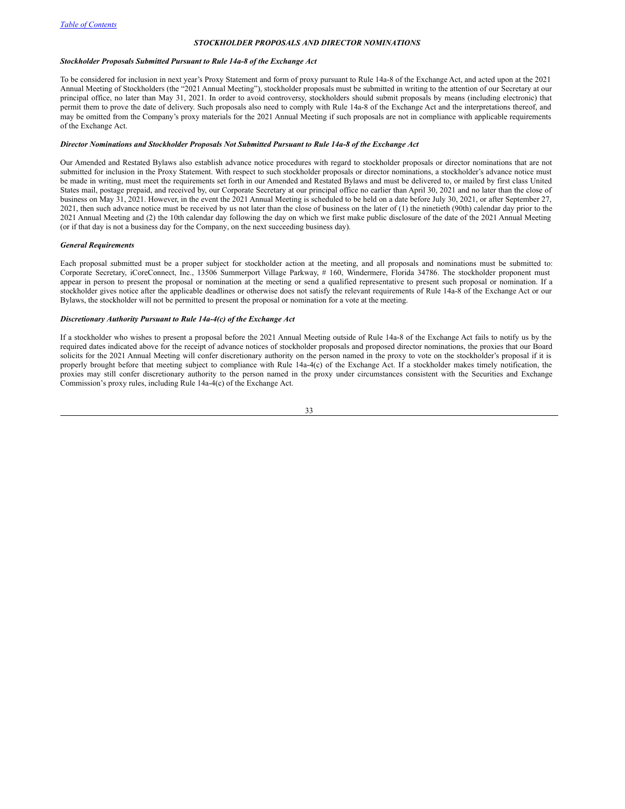### <span id="page-32-0"></span>*STOCKHOLDER PROPOSALS AND DIRECTOR NOMINATIONS*

### *Stockholder Proposals Submitted Pursuant to Rule 14a-8 of the Exchange Act*

To be considered for inclusion in next year's Proxy Statement and form of proxy pursuant to Rule 14a-8 of the Exchange Act, and acted upon at the 2021 Annual Meeting of Stockholders (the "2021 Annual Meeting"), stockholder proposals must be submitted in writing to the attention of our Secretary at our principal office, no later than May 31, 2021. In order to avoid controversy, stockholders should submit proposals by means (including electronic) that permit them to prove the date of delivery. Such proposals also need to comply with Rule 14a-8 of the Exchange Act and the interpretations thereof, and may be omitted from the Company's proxy materials for the 2021 Annual Meeting if such proposals are not in compliance with applicable requirements of the Exchange Act.

### *Director Nominations and Stockholder Proposals Not Submitted Pursuant to Rule 14a-8 of the Exchange Act*

Our Amended and Restated Bylaws also establish advance notice procedures with regard to stockholder proposals or director nominations that are not submitted for inclusion in the Proxy Statement. With respect to such stockholder proposals or director nominations, a stockholder's advance notice must be made in writing, must meet the requirements set forth in our Amended and Restated Bylaws and must be delivered to, or mailed by first class United States mail, postage prepaid, and received by, our Corporate Secretary at our principal office no earlier than April 30, 2021 and no later than the close of business on May 31, 2021. However, in the event the 2021 Annual Meeting is scheduled to be held on a date before July 30, 2021, or after September 27, 2021, then such advance notice must be received by us not later than the close of business on the later of (1) the ninetieth (90th) calendar day prior to the 2021 Annual Meeting and (2) the 10th calendar day following the day on which we first make public disclosure of the date of the 2021 Annual Meeting (or if that day is not a business day for the Company, on the next succeeding business day).

#### *General Requirements*

Each proposal submitted must be a proper subject for stockholder action at the meeting, and all proposals and nominations must be submitted to: Corporate Secretary, iCoreConnect, Inc., 13506 Summerport Village Parkway, # 160, Windermere, Florida 34786. The stockholder proponent must appear in person to present the proposal or nomination at the meeting or send a qualified representative to present such proposal or nomination. If a stockholder gives notice after the applicable deadlines or otherwise does not satisfy the relevant requirements of Rule 14a-8 of the Exchange Act or our Bylaws, the stockholder will not be permitted to present the proposal or nomination for a vote at the meeting.

### *Discretionary Authority Pursuant to Rule 14a-4(c) of the Exchange Act*

If a stockholder who wishes to present a proposal before the 2021 Annual Meeting outside of Rule 14a-8 of the Exchange Act fails to notify us by the required dates indicated above for the receipt of advance notices of stockholder proposals and proposed director nominations, the proxies that our Board solicits for the 2021 Annual Meeting will confer discretionary authority on the person named in the proxy to vote on the stockholder's proposal if it is properly brought before that meeting subject to compliance with Rule 14a-4(c) of the Exchange Act. If a stockholder makes timely notification, the proxies may still confer discretionary authority to the person named in the proxy under circumstances consistent with the Securities and Exchange Commission's proxy rules, including Rule 14a-4(c) of the Exchange Act.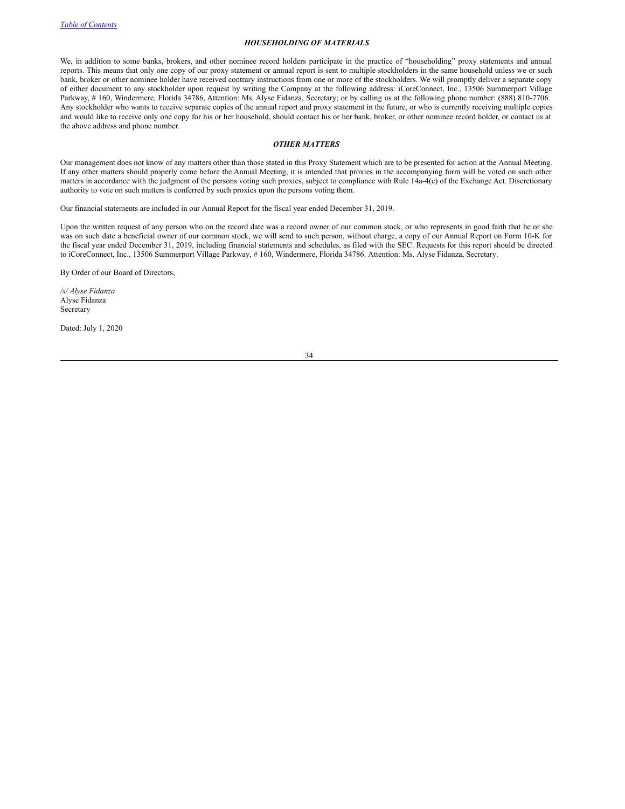### *HOUSEHOLDING OF MATERIALS*

We, in addition to some banks, brokers, and other nominee record holders participate in the practice of "householding" proxy statements and annual reports. This means that only one copy of our proxy statement or annual report is sent to multiple stockholders in the same household unless we or such bank, broker or other nominee holder have received contrary instructions from one or more of the stockholders. We will promptly deliver a separate copy of either document to any stockholder upon request by writing the Company at the following address: iCoreConnect, Inc., 13506 Summerport Village Parkway, # 160, Windermere, Florida 34786, Attention: Ms. Alyse Fidanza, Secretary; or by calling us at the following phone number: (888) 810-7706. Any stockholder who wants to receive separate copies of the annual report and proxy statement in the future, or who is currently receiving multiple copies and would like to receive only one copy for his or her household, should contact his or her bank, broker, or other nominee record holder, or contact us at the above address and phone number.

### *OTHER MATTERS*

Our management does not know of any matters other than those stated in this Proxy Statement which are to be presented for action at the Annual Meeting. If any other matters should properly come before the Annual Meeting, it is intended that proxies in the accompanying form will be voted on such other matters in accordance with the judgment of the persons voting such proxies, subject to compliance with Rule 14a-4(c) of the Exchange Act. Discretionary authority to vote on such matters is conferred by such proxies upon the persons voting them.

Our financial statements are included in our Annual Report for the fiscal year ended December 31, 2019.

Upon the written request of any person who on the record date was a record owner of our common stock, or who represents in good faith that he or she was on such date a beneficial owner of our common stock, we will send to such person, without charge, a copy of our Annual Report on Form 10-K for the fiscal year ended December 31, 2019, including financial statements and schedules, as filed with the SEC. Requests for this report should be directed to iCoreConnect, Inc., 13506 Summerport Village Parkway, # 160, Windermere, Florida 34786. Attention: Ms. Alyse Fidanza, Secretary.

By Order of our Board of Directors,

*/s/ Alyse Fidanza* Alyse Fidanza Secretary

Dated: July 1, 2020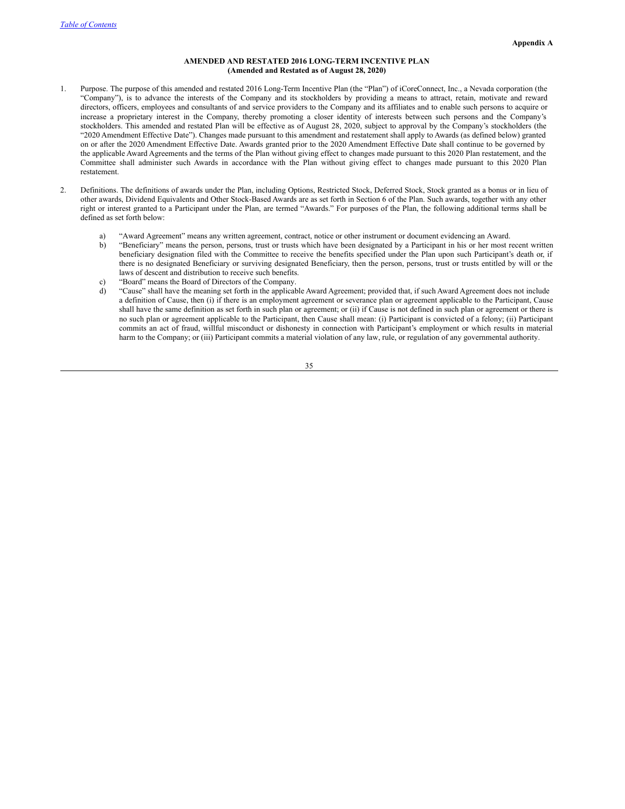### **AMENDED AND RESTATED 2016 LONG-TERM INCENTIVE PLAN (Amended and Restated as of August 28, 2020)**

- 1. Purpose. The purpose of this amended and restated 2016 Long-Term Incentive Plan (the "Plan") of iCoreConnect, Inc., a Nevada corporation (the "Company"), is to advance the interests of the Company and its stockholders by providing a means to attract, retain, motivate and reward directors, officers, employees and consultants of and service providers to the Company and its affiliates and to enable such persons to acquire or increase a proprietary interest in the Company, thereby promoting a closer identity of interests between such persons and the Company's stockholders. This amended and restated Plan will be effective as of August 28, 2020, subject to approval by the Company's stockholders (the "2020 Amendment Effective Date"). Changes made pursuant to this amendment and restatement shall apply to Awards (as defined below) granted on or after the 2020 Amendment Effective Date. Awards granted prior to the 2020 Amendment Effective Date shall continue to be governed by the applicable Award Agreements and the terms of the Plan without giving effect to changes made pursuant to this 2020 Plan restatement, and the Committee shall administer such Awards in accordance with the Plan without giving effect to changes made pursuant to this 2020 Plan restatement.
- 2. Definitions. The definitions of awards under the Plan, including Options, Restricted Stock, Deferred Stock, Stock granted as a bonus or in lieu of other awards, Dividend Equivalents and Other Stock-Based Awards are as set forth in Section 6 of the Plan. Such awards, together with any other right or interest granted to a Participant under the Plan, are termed "Awards." For purposes of the Plan, the following additional terms shall be defined as set forth below:
	- a) "Award Agreement" means any written agreement, contract, notice or other instrument or document evidencing an Award.
	- b) "Beneficiary" means the person, persons, trust or trusts which have been designated by a Participant in his or her most recent written beneficiary designation filed with the Committee to receive the benefits specified under the Plan upon such Participant's death or, if there is no designated Beneficiary or surviving designated Beneficiary, then the person, persons, trust or trusts entitled by will or the laws of descent and distribution to receive such benefits.
	- "Board" means the Board of Directors of the Company.
	- d) "Cause" shall have the meaning set forth in the applicable Award Agreement; provided that, if such Award Agreement does not include a definition of Cause, then (i) if there is an employment agreement or severance plan or agreement applicable to the Participant, Cause shall have the same definition as set forth in such plan or agreement; or (ii) if Cause is not defined in such plan or agreement or there is no such plan or agreement applicable to the Participant, then Cause shall mean: (i) Participant is convicted of a felony; (ii) Participant commits an act of fraud, willful misconduct or dishonesty in connection with Participant's employment or which results in material harm to the Company; or (iii) Participant commits a material violation of any law, rule, or regulation of any governmental authority.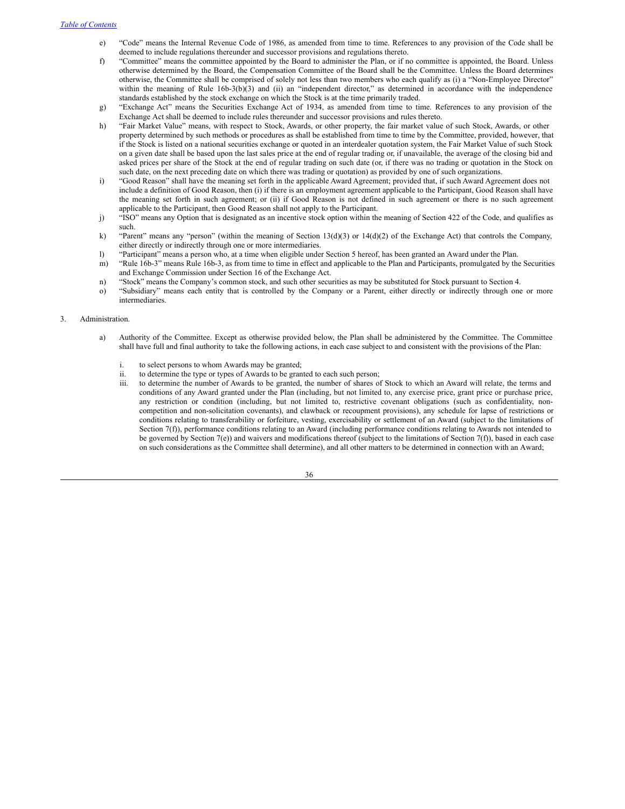- e) "Code" means the Internal Revenue Code of 1986, as amended from time to time. References to any provision of the Code shall be deemed to include regulations thereunder and successor provisions and regulations thereto.
- f) "Committee" means the committee appointed by the Board to administer the Plan, or if no committee is appointed, the Board. Unless otherwise determined by the Board, the Compensation Committee of the Board shall be the Committee. Unless the Board determines otherwise, the Committee shall be comprised of solely not less than two members who each qualify as (i) a "Non-Employee Director" within the meaning of Rule 16b-3(b)(3) and (ii) an "independent director," as determined in accordance with the independence standards established by the stock exchange on which the Stock is at the time primarily traded.
- g) "Exchange Act" means the Securities Exchange Act of 1934, as amended from time to time. References to any provision of the Exchange Act shall be deemed to include rules thereunder and successor provisions and rules thereto.
- h) "Fair Market Value" means, with respect to Stock, Awards, or other property, the fair market value of such Stock, Awards, or other property determined by such methods or procedures as shall be established from time to time by the Committee, provided, however, that if the Stock is listed on a national securities exchange or quoted in an interdealer quotation system, the Fair Market Value of such Stock on a given date shall be based upon the last sales price at the end of regular trading or, if unavailable, the average of the closing bid and asked prices per share of the Stock at the end of regular trading on such date (or, if there was no trading or quotation in the Stock on such date, on the next preceding date on which there was trading or quotation) as provided by one of such organizations.
- i) "Good Reason" shall have the meaning set forth in the applicable Award Agreement; provided that, if such Award Agreement does not include a definition of Good Reason, then (i) if there is an employment agreement applicable to the Participant, Good Reason shall have the meaning set forth in such agreement; or (ii) if Good Reason is not defined in such agreement or there is no such agreement applicable to the Participant, then Good Reason shall not apply to the Participant.
- j) "ISO" means any Option that is designated as an incentive stock option within the meaning of Section 422 of the Code, and qualifies as such.
- k) "Parent" means any "person" (within the meaning of Section 13(d)(3) or 14(d)(2) of the Exchange Act) that controls the Company, either directly or indirectly through one or more intermediaries.
- l) "Participant" means a person who, at a time when eligible under Section 5 hereof, has been granted an Award under the Plan.
- m) "Rule 16b-3" means Rule 16b-3, as from time to time in effect and applicable to the Plan and Participants, promulgated by the Securities and Exchange Commission under Section 16 of the Exchange Act.
- n) "Stock" means the Company's common stock, and such other securities as may be substituted for Stock pursuant to Section 4.
- o) "Subsidiary" means each entity that is controlled by the Company or a Parent, either directly or indirectly through one or more intermediaries.

### 3. Administration.

- a) Authority of the Committee. Except as otherwise provided below, the Plan shall be administered by the Committee. The Committee shall have full and final authority to take the following actions, in each case subject to and consistent with the provisions of the Plan:
	- i. to select persons to whom Awards may be granted;
	- ii. to determine the type or types of Awards to be granted to each such person;
	- iii. to determine the number of Awards to be granted, the number of shares of Stock to which an Award will relate, the terms and conditions of any Award granted under the Plan (including, but not limited to, any exercise price, grant price or purchase price, any restriction or condition (including, but not limited to, restrictive covenant obligations (such as confidentiality, noncompetition and non-solicitation covenants), and clawback or recoupment provisions), any schedule for lapse of restrictions or conditions relating to transferability or forfeiture, vesting, exercisability or settlement of an Award (subject to the limitations of Section 7(f)), performance conditions relating to an Award (including performance conditions relating to Awards not intended to be governed by Section 7(e)) and waivers and modifications thereof (subject to the limitations of Section 7(f)), based in each case on such considerations as the Committee shall determine), and all other matters to be determined in connection with an Award;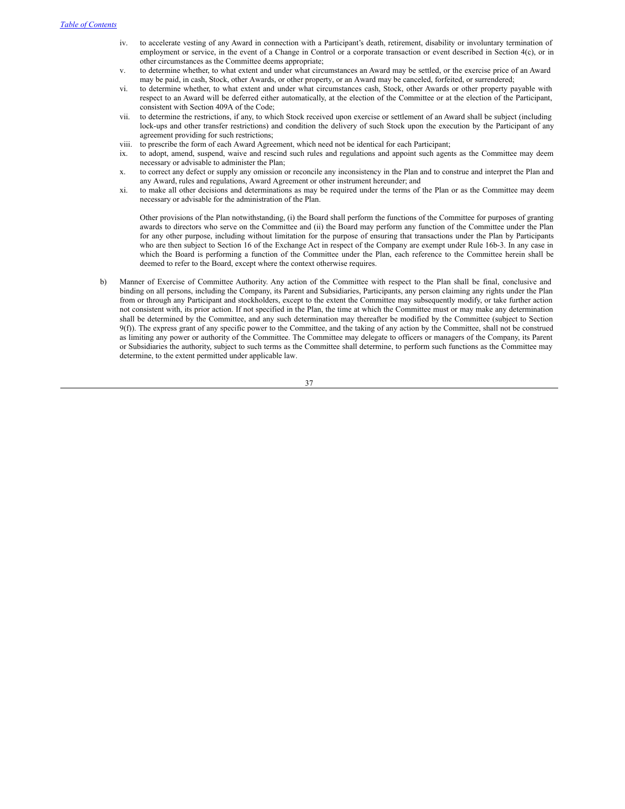- iv. to accelerate vesting of any Award in connection with a Participant's death, retirement, disability or involuntary termination of employment or service, in the event of a Change in Control or a corporate transaction or event described in Section 4(c), or in other circumstances as the Committee deems appropriate;
- v. to determine whether, to what extent and under what circumstances an Award may be settled, or the exercise price of an Award may be paid, in cash, Stock, other Awards, or other property, or an Award may be canceled, forfeited, or surrendered;
- vi. to determine whether, to what extent and under what circumstances cash, Stock, other Awards or other property payable with respect to an Award will be deferred either automatically, at the election of the Committee or at the election of the Participant, consistent with Section 409A of the Code;
- vii. to determine the restrictions, if any, to which Stock received upon exercise or settlement of an Award shall be subject (including lock-ups and other transfer restrictions) and condition the delivery of such Stock upon the execution by the Participant of any agreement providing for such restrictions;
- viii. to prescribe the form of each Award Agreement, which need not be identical for each Participant;
- ix. to adopt, amend, suspend, waive and rescind such rules and regulations and appoint such agents as the Committee may deem necessary or advisable to administer the Plan;
- x. to correct any defect or supply any omission or reconcile any inconsistency in the Plan and to construe and interpret the Plan and any Award, rules and regulations, Award Agreement or other instrument hereunder; and
- xi. to make all other decisions and determinations as may be required under the terms of the Plan or as the Committee may deem necessary or advisable for the administration of the Plan.

Other provisions of the Plan notwithstanding, (i) the Board shall perform the functions of the Committee for purposes of granting awards to directors who serve on the Committee and (ii) the Board may perform any function of the Committee under the Plan for any other purpose, including without limitation for the purpose of ensuring that transactions under the Plan by Participants who are then subject to Section 16 of the Exchange Act in respect of the Company are exempt under Rule 16b-3. In any case in which the Board is performing a function of the Committee under the Plan, each reference to the Committee herein shall be deemed to refer to the Board, except where the context otherwise requires.

b) Manner of Exercise of Committee Authority. Any action of the Committee with respect to the Plan shall be final, conclusive and binding on all persons, including the Company, its Parent and Subsidiaries, Participants, any person claiming any rights under the Plan from or through any Participant and stockholders, except to the extent the Committee may subsequently modify, or take further action not consistent with, its prior action. If not specified in the Plan, the time at which the Committee must or may make any determination shall be determined by the Committee, and any such determination may thereafter be modified by the Committee (subject to Section 9(f)). The express grant of any specific power to the Committee, and the taking of any action by the Committee, shall not be construed as limiting any power or authority of the Committee. The Committee may delegate to officers or managers of the Company, its Parent or Subsidiaries the authority, subject to such terms as the Committee shall determine, to perform such functions as the Committee may determine, to the extent permitted under applicable law.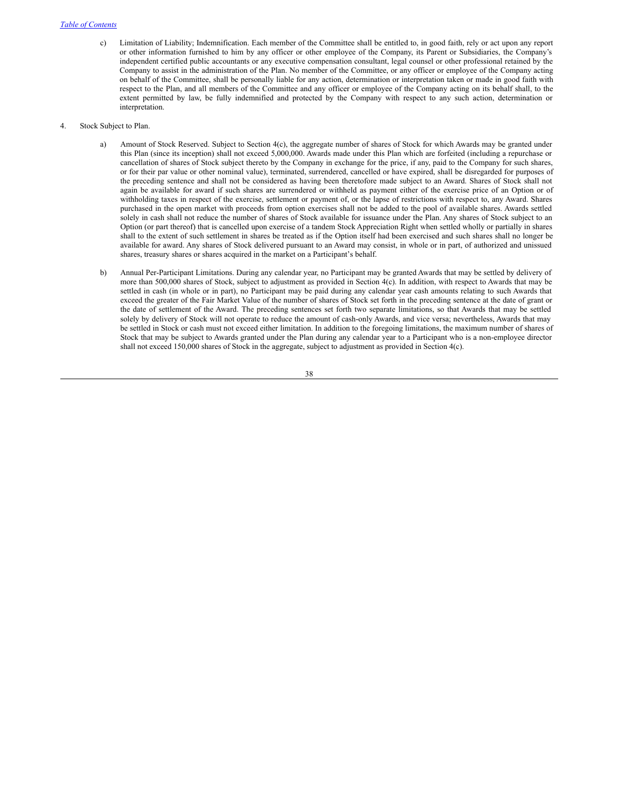- c) Limitation of Liability; Indemnification. Each member of the Committee shall be entitled to, in good faith, rely or act upon any report or other information furnished to him by any officer or other employee of the Company, its Parent or Subsidiaries, the Company's independent certified public accountants or any executive compensation consultant, legal counsel or other professional retained by the Company to assist in the administration of the Plan. No member of the Committee, or any officer or employee of the Company acting on behalf of the Committee, shall be personally liable for any action, determination or interpretation taken or made in good faith with respect to the Plan, and all members of the Committee and any officer or employee of the Company acting on its behalf shall, to the extent permitted by law, be fully indemnified and protected by the Company with respect to any such action, determination or interpretation.
- 4. Stock Subject to Plan.
	- a) Amount of Stock Reserved. Subject to Section 4(c), the aggregate number of shares of Stock for which Awards may be granted under this Plan (since its inception) shall not exceed 5,000,000. Awards made under this Plan which are forfeited (including a repurchase or cancellation of shares of Stock subject thereto by the Company in exchange for the price, if any, paid to the Company for such shares, or for their par value or other nominal value), terminated, surrendered, cancelled or have expired, shall be disregarded for purposes of the preceding sentence and shall not be considered as having been theretofore made subject to an Award. Shares of Stock shall not again be available for award if such shares are surrendered or withheld as payment either of the exercise price of an Option or of withholding taxes in respect of the exercise, settlement or payment of, or the lapse of restrictions with respect to, any Award. Shares purchased in the open market with proceeds from option exercises shall not be added to the pool of available shares. Awards settled solely in cash shall not reduce the number of shares of Stock available for issuance under the Plan. Any shares of Stock subject to an Option (or part thereof) that is cancelled upon exercise of a tandem Stock Appreciation Right when settled wholly or partially in shares shall to the extent of such settlement in shares be treated as if the Option itself had been exercised and such shares shall no longer be available for award. Any shares of Stock delivered pursuant to an Award may consist, in whole or in part, of authorized and unissued shares, treasury shares or shares acquired in the market on a Participant's behalf.
	- b) Annual Per-Participant Limitations. During any calendar year, no Participant may be granted Awards that may be settled by delivery of more than 500,000 shares of Stock, subject to adjustment as provided in Section 4(c). In addition, with respect to Awards that may be settled in cash (in whole or in part), no Participant may be paid during any calendar year cash amounts relating to such Awards that exceed the greater of the Fair Market Value of the number of shares of Stock set forth in the preceding sentence at the date of grant or the date of settlement of the Award. The preceding sentences set forth two separate limitations, so that Awards that may be settled solely by delivery of Stock will not operate to reduce the amount of cash-only Awards, and vice versa; nevertheless, Awards that may be settled in Stock or cash must not exceed either limitation. In addition to the foregoing limitations, the maximum number of shares of Stock that may be subject to Awards granted under the Plan during any calendar year to a Participant who is a non-employee director shall not exceed 150,000 shares of Stock in the aggregate, subject to adjustment as provided in Section 4(c).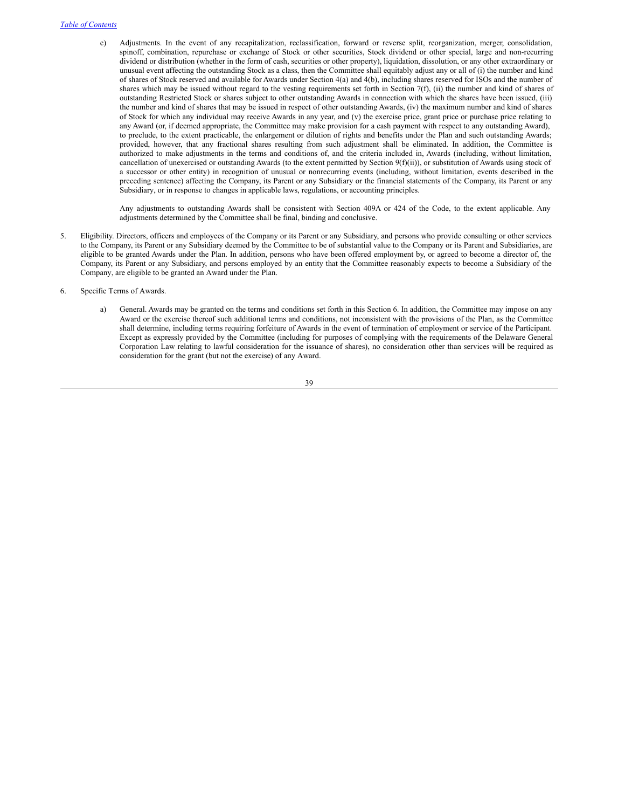c) Adjustments. In the event of any recapitalization, reclassification, forward or reverse split, reorganization, merger, consolidation, spinoff, combination, repurchase or exchange of Stock or other securities, Stock dividend or other special, large and non-recurring dividend or distribution (whether in the form of cash, securities or other property), liquidation, dissolution, or any other extraordinary or unusual event affecting the outstanding Stock as a class, then the Committee shall equitably adjust any or all of (i) the number and kind of shares of Stock reserved and available for Awards under Section 4(a) and 4(b), including shares reserved for ISOs and the number of shares which may be issued without regard to the vesting requirements set forth in Section 7(f), (ii) the number and kind of shares of outstanding Restricted Stock or shares subject to other outstanding Awards in connection with which the shares have been issued, (iii) the number and kind of shares that may be issued in respect of other outstanding Awards, (iv) the maximum number and kind of shares of Stock for which any individual may receive Awards in any year, and (v) the exercise price, grant price or purchase price relating to any Award (or, if deemed appropriate, the Committee may make provision for a cash payment with respect to any outstanding Award), to preclude, to the extent practicable, the enlargement or dilution of rights and benefits under the Plan and such outstanding Awards; provided, however, that any fractional shares resulting from such adjustment shall be eliminated. In addition, the Committee is authorized to make adjustments in the terms and conditions of, and the criteria included in, Awards (including, without limitation, cancellation of unexercised or outstanding Awards (to the extent permitted by Section 9(f)(ii)), or substitution of Awards using stock of a successor or other entity) in recognition of unusual or nonrecurring events (including, without limitation, events described in the preceding sentence) affecting the Company, its Parent or any Subsidiary or the financial statements of the Company, its Parent or any Subsidiary, or in response to changes in applicable laws, regulations, or accounting principles.

Any adjustments to outstanding Awards shall be consistent with Section 409A or 424 of the Code, to the extent applicable. Any adjustments determined by the Committee shall be final, binding and conclusive.

- 5. Eligibility. Directors, officers and employees of the Company or its Parent or any Subsidiary, and persons who provide consulting or other services to the Company, its Parent or any Subsidiary deemed by the Committee to be of substantial value to the Company or its Parent and Subsidiaries, are eligible to be granted Awards under the Plan. In addition, persons who have been offered employment by, or agreed to become a director of, the Company, its Parent or any Subsidiary, and persons employed by an entity that the Committee reasonably expects to become a Subsidiary of the Company, are eligible to be granted an Award under the Plan.
- 6. Specific Terms of Awards.
	- a) General. Awards may be granted on the terms and conditions set forth in this Section 6. In addition, the Committee may impose on any Award or the exercise thereof such additional terms and conditions, not inconsistent with the provisions of the Plan, as the Committee shall determine, including terms requiring forfeiture of Awards in the event of termination of employment or service of the Participant. Except as expressly provided by the Committee (including for purposes of complying with the requirements of the Delaware General Corporation Law relating to lawful consideration for the issuance of shares), no consideration other than services will be required as consideration for the grant (but not the exercise) of any Award.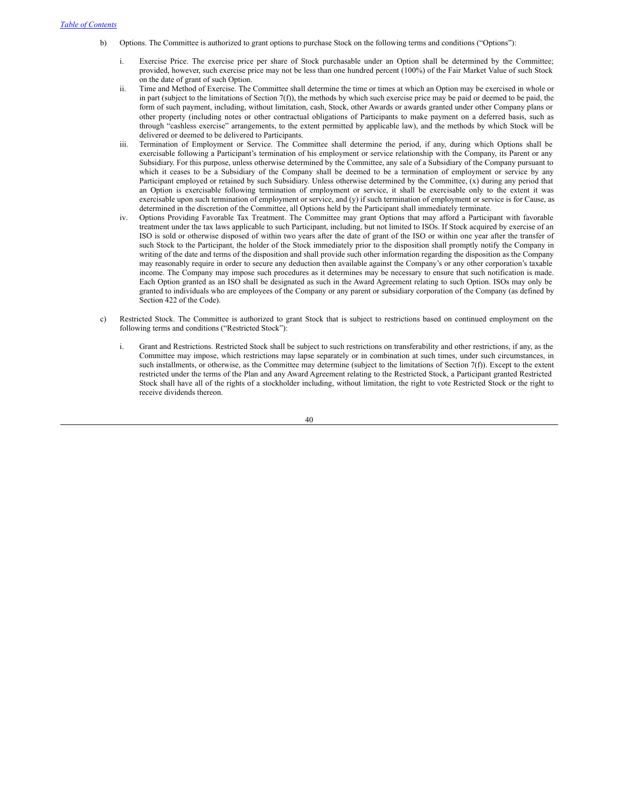- b) Options. The Committee is authorized to grant options to purchase Stock on the following terms and conditions ("Options"):
	- Exercise Price. The exercise price per share of Stock purchasable under an Option shall be determined by the Committee; provided, however, such exercise price may not be less than one hundred percent (100%) of the Fair Market Value of such Stock on the date of grant of such Option.
	- ii. Time and Method of Exercise. The Committee shall determine the time or times at which an Option may be exercised in whole or in part (subject to the limitations of Section 7(f)), the methods by which such exercise price may be paid or deemed to be paid, the form of such payment, including, without limitation, cash, Stock, other Awards or awards granted under other Company plans or other property (including notes or other contractual obligations of Participants to make payment on a deferred basis, such as through "cashless exercise" arrangements, to the extent permitted by applicable law), and the methods by which Stock will be delivered or deemed to be delivered to Participants.
	- iii. Termination of Employment or Service. The Committee shall determine the period, if any, during which Options shall be exercisable following a Participant's termination of his employment or service relationship with the Company, its Parent or any Subsidiary. For this purpose, unless otherwise determined by the Committee, any sale of a Subsidiary of the Company pursuant to which it ceases to be a Subsidiary of the Company shall be deemed to be a termination of employment or service by any Participant employed or retained by such Subsidiary. Unless otherwise determined by the Committee, (x) during any period that an Option is exercisable following termination of employment or service, it shall be exercisable only to the extent it was exercisable upon such termination of employment or service, and (y) if such termination of employment or service is for Cause, as determined in the discretion of the Committee, all Options held by the Participant shall immediately terminate.
	- Options Providing Favorable Tax Treatment. The Committee may grant Options that may afford a Participant with favorable treatment under the tax laws applicable to such Participant, including, but not limited to ISOs. If Stock acquired by exercise of an ISO is sold or otherwise disposed of within two years after the date of grant of the ISO or within one year after the transfer of such Stock to the Participant, the holder of the Stock immediately prior to the disposition shall promptly notify the Company in writing of the date and terms of the disposition and shall provide such other information regarding the disposition as the Company may reasonably require in order to secure any deduction then available against the Company's or any other corporation's taxable income. The Company may impose such procedures as it determines may be necessary to ensure that such notification is made. Each Option granted as an ISO shall be designated as such in the Award Agreement relating to such Option. ISOs may only be granted to individuals who are employees of the Company or any parent or subsidiary corporation of the Company (as defined by Section 422 of the Code).
- c) Restricted Stock. The Committee is authorized to grant Stock that is subject to restrictions based on continued employment on the following terms and conditions ("Restricted Stock"):
	- i. Grant and Restrictions. Restricted Stock shall be subject to such restrictions on transferability and other restrictions, if any, as the Committee may impose, which restrictions may lapse separately or in combination at such times, under such circumstances, in such installments, or otherwise, as the Committee may determine (subject to the limitations of Section 7(f)). Except to the extent restricted under the terms of the Plan and any Award Agreement relating to the Restricted Stock, a Participant granted Restricted Stock shall have all of the rights of a stockholder including, without limitation, the right to vote Restricted Stock or the right to receive dividends thereon.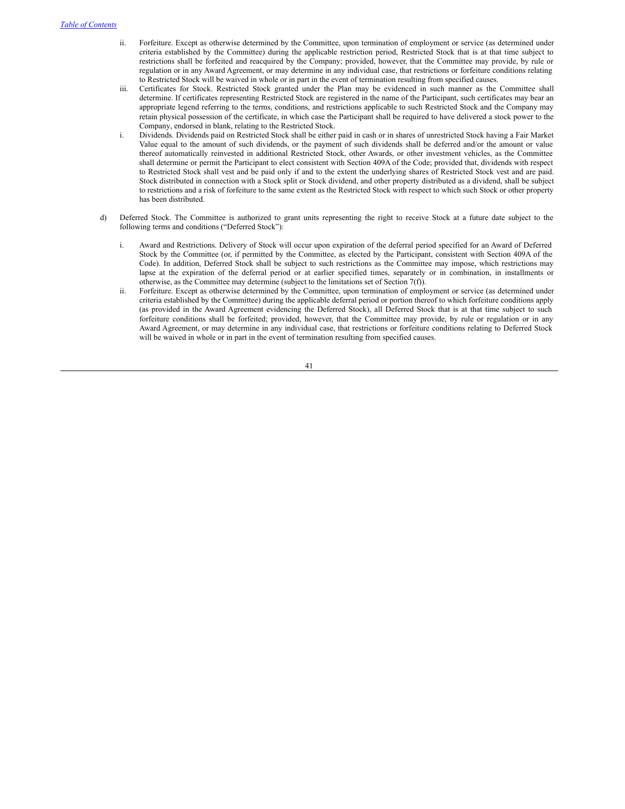- ii. Forfeiture. Except as otherwise determined by the Committee, upon termination of employment or service (as determined under criteria established by the Committee) during the applicable restriction period, Restricted Stock that is at that time subject to restrictions shall be forfeited and reacquired by the Company; provided, however, that the Committee may provide, by rule or regulation or in any Award Agreement, or may determine in any individual case, that restrictions or forfeiture conditions relating to Restricted Stock will be waived in whole or in part in the event of termination resulting from specified causes.
- iii. Certificates for Stock. Restricted Stock granted under the Plan may be evidenced in such manner as the Committee shall determine. If certificates representing Restricted Stock are registered in the name of the Participant, such certificates may bear an appropriate legend referring to the terms, conditions, and restrictions applicable to such Restricted Stock and the Company may retain physical possession of the certificate, in which case the Participant shall be required to have delivered a stock power to the Company, endorsed in blank, relating to the Restricted Stock.
- i. Dividends. Dividends paid on Restricted Stock shall be either paid in cash or in shares of unrestricted Stock having a Fair Market Value equal to the amount of such dividends, or the payment of such dividends shall be deferred and/or the amount or value thereof automatically reinvested in additional Restricted Stock, other Awards, or other investment vehicles, as the Committee shall determine or permit the Participant to elect consistent with Section 409A of the Code; provided that, dividends with respect to Restricted Stock shall vest and be paid only if and to the extent the underlying shares of Restricted Stock vest and are paid. Stock distributed in connection with a Stock split or Stock dividend, and other property distributed as a dividend, shall be subject to restrictions and a risk of forfeiture to the same extent as the Restricted Stock with respect to which such Stock or other property has been distributed.
- d) Deferred Stock. The Committee is authorized to grant units representing the right to receive Stock at a future date subject to the following terms and conditions ("Deferred Stock"):
	- i. Award and Restrictions. Delivery of Stock will occur upon expiration of the deferral period specified for an Award of Deferred Stock by the Committee (or, if permitted by the Committee, as elected by the Participant, consistent with Section 409A of the Code). In addition, Deferred Stock shall be subject to such restrictions as the Committee may impose, which restrictions may lapse at the expiration of the deferral period or at earlier specified times, separately or in combination, in installments or otherwise, as the Committee may determine (subject to the limitations set of Section 7(f)).
	- ii. Forfeiture. Except as otherwise determined by the Committee, upon termination of employment or service (as determined under criteria established by the Committee) during the applicable deferral period or portion thereof to which forfeiture conditions apply (as provided in the Award Agreement evidencing the Deferred Stock), all Deferred Stock that is at that time subject to such forfeiture conditions shall be forfeited; provided, however, that the Committee may provide, by rule or regulation or in any Award Agreement, or may determine in any individual case, that restrictions or forfeiture conditions relating to Deferred Stock will be waived in whole or in part in the event of termination resulting from specified causes.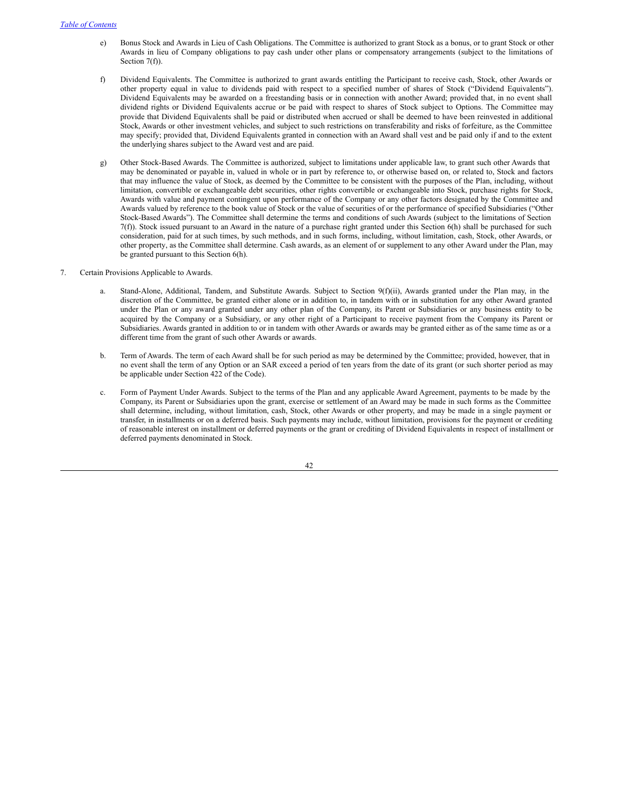- e) Bonus Stock and Awards in Lieu of Cash Obligations. The Committee is authorized to grant Stock as a bonus, or to grant Stock or other Awards in lieu of Company obligations to pay cash under other plans or compensatory arrangements (subject to the limitations of Section 7(f)).
- f) Dividend Equivalents. The Committee is authorized to grant awards entitling the Participant to receive cash, Stock, other Awards or other property equal in value to dividends paid with respect to a specified number of shares of Stock ("Dividend Equivalents"). Dividend Equivalents may be awarded on a freestanding basis or in connection with another Award; provided that, in no event shall dividend rights or Dividend Equivalents accrue or be paid with respect to shares of Stock subject to Options. The Committee may provide that Dividend Equivalents shall be paid or distributed when accrued or shall be deemed to have been reinvested in additional Stock, Awards or other investment vehicles, and subject to such restrictions on transferability and risks of forfeiture, as the Committee may specify; provided that, Dividend Equivalents granted in connection with an Award shall vest and be paid only if and to the extent the underlying shares subject to the Award vest and are paid.
- g) Other Stock-Based Awards. The Committee is authorized, subject to limitations under applicable law, to grant such other Awards that may be denominated or payable in, valued in whole or in part by reference to, or otherwise based on, or related to, Stock and factors that may influence the value of Stock, as deemed by the Committee to be consistent with the purposes of the Plan, including, without limitation, convertible or exchangeable debt securities, other rights convertible or exchangeable into Stock, purchase rights for Stock, Awards with value and payment contingent upon performance of the Company or any other factors designated by the Committee and Awards valued by reference to the book value of Stock or the value of securities of or the performance of specified Subsidiaries ("Other Stock-Based Awards"). The Committee shall determine the terms and conditions of such Awards (subject to the limitations of Section 7(f)). Stock issued pursuant to an Award in the nature of a purchase right granted under this Section 6(h) shall be purchased for such consideration, paid for at such times, by such methods, and in such forms, including, without limitation, cash, Stock, other Awards, or other property, as the Committee shall determine. Cash awards, as an element of or supplement to any other Award under the Plan, may be granted pursuant to this Section 6(h).
- 7. Certain Provisions Applicable to Awards.
	- a. Stand-Alone, Additional, Tandem, and Substitute Awards. Subject to Section 9(f)(ii), Awards granted under the Plan may, in the discretion of the Committee, be granted either alone or in addition to, in tandem with or in substitution for any other Award granted under the Plan or any award granted under any other plan of the Company, its Parent or Subsidiaries or any business entity to be acquired by the Company or a Subsidiary, or any other right of a Participant to receive payment from the Company its Parent or Subsidiaries. Awards granted in addition to or in tandem with other Awards or awards may be granted either as of the same time as or a different time from the grant of such other Awards or awards.
	- b. Term of Awards. The term of each Award shall be for such period as may be determined by the Committee; provided, however, that in no event shall the term of any Option or an SAR exceed a period of ten years from the date of its grant (or such shorter period as may be applicable under Section 422 of the Code).
	- c. Form of Payment Under Awards. Subject to the terms of the Plan and any applicable Award Agreement, payments to be made by the Company, its Parent or Subsidiaries upon the grant, exercise or settlement of an Award may be made in such forms as the Committee shall determine, including, without limitation, cash, Stock, other Awards or other property, and may be made in a single payment or transfer, in installments or on a deferred basis. Such payments may include, without limitation, provisions for the payment or crediting of reasonable interest on installment or deferred payments or the grant or crediting of Dividend Equivalents in respect of installment or deferred payments denominated in Stock.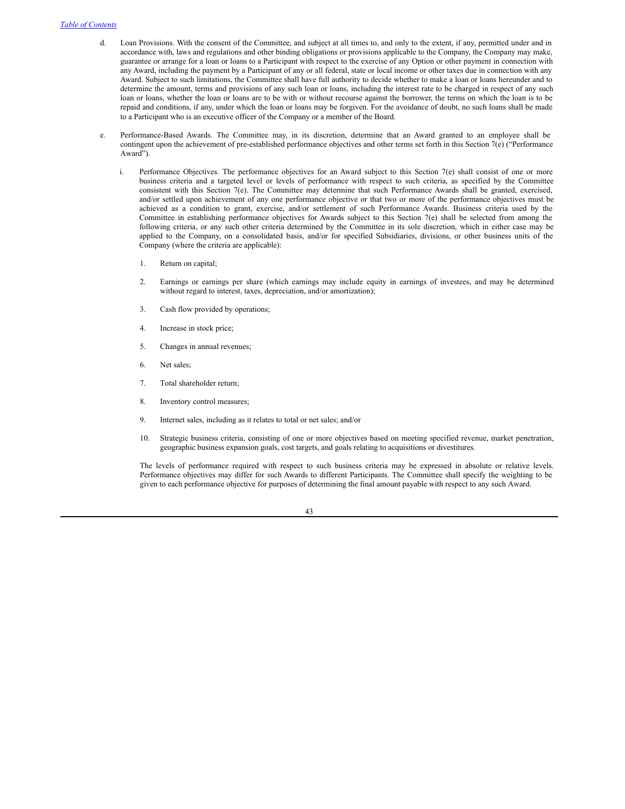- d. Loan Provisions. With the consent of the Committee, and subject at all times to, and only to the extent, if any, permitted under and in accordance with, laws and regulations and other binding obligations or provisions applicable to the Company, the Company may make, guarantee or arrange for a loan or loans to a Participant with respect to the exercise of any Option or other payment in connection with any Award, including the payment by a Participant of any or all federal, state or local income or other taxes due in connection with any Award. Subject to such limitations, the Committee shall have full authority to decide whether to make a loan or loans hereunder and to determine the amount, terms and provisions of any such loan or loans, including the interest rate to be charged in respect of any such loan or loans, whether the loan or loans are to be with or without recourse against the borrower, the terms on which the loan is to be repaid and conditions, if any, under which the loan or loans may be forgiven. For the avoidance of doubt, no such loans shall be made to a Participant who is an executive officer of the Company or a member of the Board.
- e. Performance-Based Awards. The Committee may, in its discretion, determine that an Award granted to an employee shall be contingent upon the achievement of pre-established performance objectives and other terms set forth in this Section 7(e) ("Performance Award").
	- i. Performance Objectives. The performance objectives for an Award subject to this Section 7(e) shall consist of one or more business criteria and a targeted level or levels of performance with respect to such criteria, as specified by the Committee consistent with this Section 7(e). The Committee may determine that such Performance Awards shall be granted, exercised, and/or settled upon achievement of any one performance objective or that two or more of the performance objectives must be achieved as a condition to grant, exercise, and/or settlement of such Performance Awards. Business criteria used by the Committee in establishing performance objectives for Awards subject to this Section 7(e) shall be selected from among the following criteria, or any such other criteria determined by the Committee in its sole discretion, which in either case may be applied to the Company, on a consolidated basis, and/or for specified Subsidiaries, divisions, or other business units of the Company (where the criteria are applicable):
		- 1. Return on capital;
		- 2. Earnings or earnings per share (which earnings may include equity in earnings of investees, and may be determined without regard to interest, taxes, depreciation, and/or amortization);
		- 3. Cash flow provided by operations;
		- 4. Increase in stock price;
		- 5. Changes in annual revenues;
		- 6. Net sales;
		- 7. Total shareholder return;
		- 8. Inventory control measures;
		- 9. Internet sales, including as it relates to total or net sales; and/or
		- 10. Strategic business criteria, consisting of one or more objectives based on meeting specified revenue, market penetration, geographic business expansion goals, cost targets, and goals relating to acquisitions or divestitures.

The levels of performance required with respect to such business criteria may be expressed in absolute or relative levels. Performance objectives may differ for such Awards to different Participants. The Committee shall specify the weighting to be given to each performance objective for purposes of determining the final amount payable with respect to any such Award.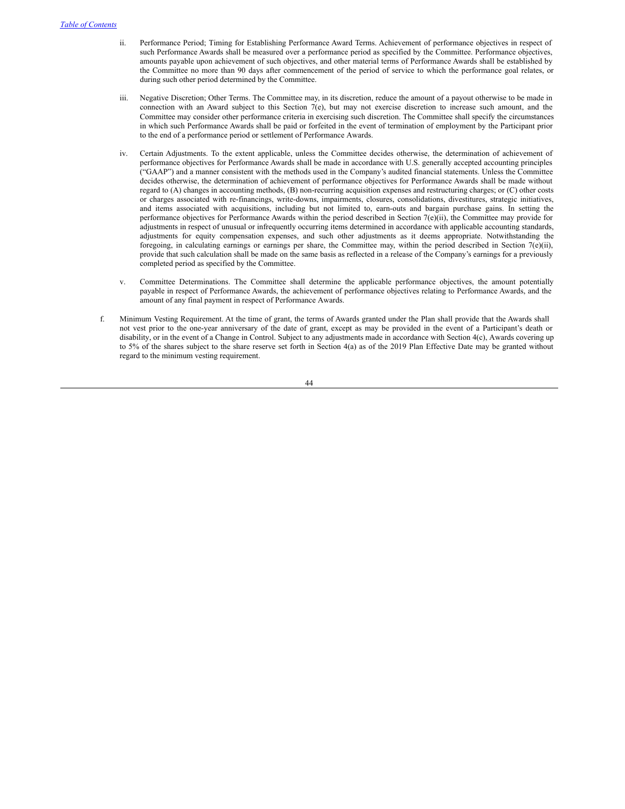- ii. Performance Period; Timing for Establishing Performance Award Terms. Achievement of performance objectives in respect of such Performance Awards shall be measured over a performance period as specified by the Committee. Performance objectives, amounts payable upon achievement of such objectives, and other material terms of Performance Awards shall be established by the Committee no more than 90 days after commencement of the period of service to which the performance goal relates, or during such other period determined by the Committee.
- iii. Negative Discretion; Other Terms. The Committee may, in its discretion, reduce the amount of a payout otherwise to be made in connection with an Award subject to this Section 7(e), but may not exercise discretion to increase such amount, and the Committee may consider other performance criteria in exercising such discretion. The Committee shall specify the circumstances in which such Performance Awards shall be paid or forfeited in the event of termination of employment by the Participant prior to the end of a performance period or settlement of Performance Awards.
- iv. Certain Adjustments. To the extent applicable, unless the Committee decides otherwise, the determination of achievement of performance objectives for Performance Awards shall be made in accordance with U.S. generally accepted accounting principles ("GAAP") and a manner consistent with the methods used in the Company's audited financial statements. Unless the Committee decides otherwise, the determination of achievement of performance objectives for Performance Awards shall be made without regard to (A) changes in accounting methods, (B) non-recurring acquisition expenses and restructuring charges; or (C) other costs or charges associated with re-financings, write-downs, impairments, closures, consolidations, divestitures, strategic initiatives, and items associated with acquisitions, including but not limited to, earn-outs and bargain purchase gains. In setting the performance objectives for Performance Awards within the period described in Section 7(e)(ii), the Committee may provide for adjustments in respect of unusual or infrequently occurring items determined in accordance with applicable accounting standards, adjustments for equity compensation expenses, and such other adjustments as it deems appropriate. Notwithstanding the foregoing, in calculating earnings or earnings per share, the Committee may, within the period described in Section 7(e)(ii), provide that such calculation shall be made on the same basis as reflected in a release of the Company's earnings for a previously completed period as specified by the Committee.
- v. Committee Determinations. The Committee shall determine the applicable performance objectives, the amount potentially payable in respect of Performance Awards, the achievement of performance objectives relating to Performance Awards, and the amount of any final payment in respect of Performance Awards.
- f. Minimum Vesting Requirement. At the time of grant, the terms of Awards granted under the Plan shall provide that the Awards shall not vest prior to the one-year anniversary of the date of grant, except as may be provided in the event of a Participant's death or disability, or in the event of a Change in Control. Subject to any adjustments made in accordance with Section 4(c), Awards covering up to 5% of the shares subject to the share reserve set forth in Section 4(a) as of the 2019 Plan Effective Date may be granted without regard to the minimum vesting requirement.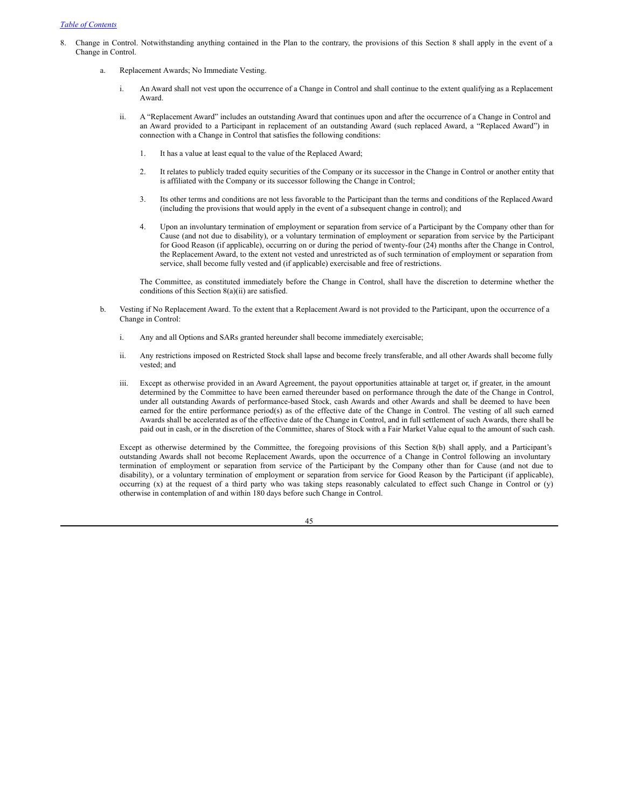- 8. Change in Control. Notwithstanding anything contained in the Plan to the contrary, the provisions of this Section 8 shall apply in the event of a Change in Control.
	- a. Replacement Awards; No Immediate Vesting.
		- i. An Award shall not vest upon the occurrence of a Change in Control and shall continue to the extent qualifying as a Replacement Award.
		- ii. A "Replacement Award" includes an outstanding Award that continues upon and after the occurrence of a Change in Control and an Award provided to a Participant in replacement of an outstanding Award (such replaced Award, a "Replaced Award") in connection with a Change in Control that satisfies the following conditions:
			- 1. It has a value at least equal to the value of the Replaced Award;
			- 2. It relates to publicly traded equity securities of the Company or its successor in the Change in Control or another entity that is affiliated with the Company or its successor following the Change in Control;
			- 3. Its other terms and conditions are not less favorable to the Participant than the terms and conditions of the Replaced Award (including the provisions that would apply in the event of a subsequent change in control); and
			- 4. Upon an involuntary termination of employment or separation from service of a Participant by the Company other than for Cause (and not due to disability), or a voluntary termination of employment or separation from service by the Participant for Good Reason (if applicable), occurring on or during the period of twenty-four (24) months after the Change in Control, the Replacement Award, to the extent not vested and unrestricted as of such termination of employment or separation from service, shall become fully vested and (if applicable) exercisable and free of restrictions.

The Committee, as constituted immediately before the Change in Control, shall have the discretion to determine whether the conditions of this Section 8(a)(ii) are satisfied.

- b. Vesting if No Replacement Award. To the extent that a Replacement Award is not provided to the Participant, upon the occurrence of a Change in Control:
	- i. Any and all Options and SARs granted hereunder shall become immediately exercisable;
	- ii. Any restrictions imposed on Restricted Stock shall lapse and become freely transferable, and all other Awards shall become fully vested; and
	- iii. Except as otherwise provided in an Award Agreement, the payout opportunities attainable at target or, if greater, in the amount determined by the Committee to have been earned thereunder based on performance through the date of the Change in Control, under all outstanding Awards of performance-based Stock, cash Awards and other Awards and shall be deemed to have been earned for the entire performance period(s) as of the effective date of the Change in Control. The vesting of all such earned Awards shall be accelerated as of the effective date of the Change in Control, and in full settlement of such Awards, there shall be paid out in cash, or in the discretion of the Committee, shares of Stock with a Fair Market Value equal to the amount of such cash.

Except as otherwise determined by the Committee, the foregoing provisions of this Section 8(b) shall apply, and a Participant's outstanding Awards shall not become Replacement Awards, upon the occurrence of a Change in Control following an involuntary termination of employment or separation from service of the Participant by the Company other than for Cause (and not due to disability), or a voluntary termination of employment or separation from service for Good Reason by the Participant (if applicable), occurring (x) at the request of a third party who was taking steps reasonably calculated to effect such Change in Control or (y) otherwise in contemplation of and within 180 days before such Change in Control.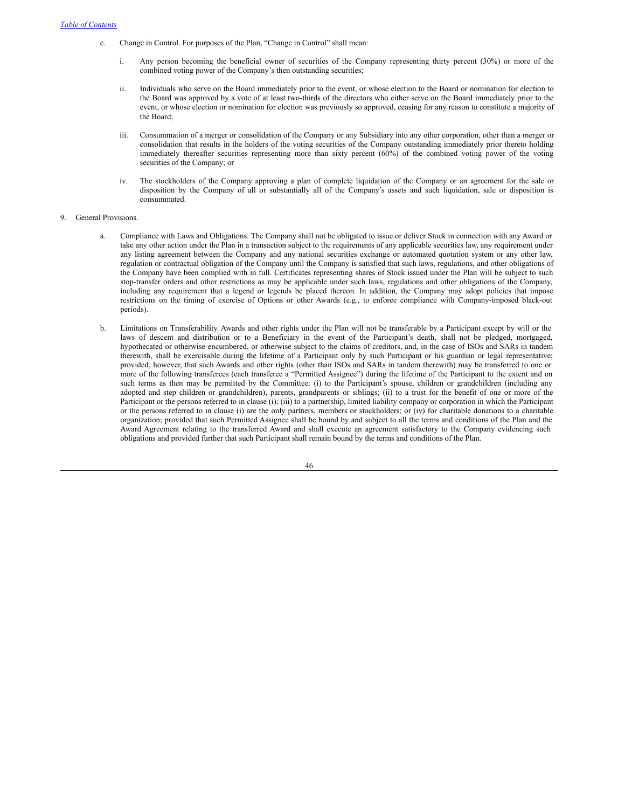- c. Change in Control. For purposes of the Plan, "Change in Control" shall mean:
	- Any person becoming the beneficial owner of securities of the Company representing thirty percent (30%) or more of the combined voting power of the Company's then outstanding securities;
	- ii. Individuals who serve on the Board immediately prior to the event, or whose election to the Board or nomination for election to the Board was approved by a vote of at least two-thirds of the directors who either serve on the Board immediately prior to the event, or whose election or nomination for election was previously so approved, ceasing for any reason to constitute a majority of the Board;
	- iii. Consummation of a merger or consolidation of the Company or any Subsidiary into any other corporation, other than a merger or consolidation that results in the holders of the voting securities of the Company outstanding immediately prior thereto holding immediately thereafter securities representing more than sixty percent (60%) of the combined voting power of the voting securities of the Company; or
	- iv. The stockholders of the Company approving a plan of complete liquidation of the Company or an agreement for the sale or disposition by the Company of all or substantially all of the Company's assets and such liquidation, sale or disposition is consummated.

### 9. General Provisions.

- a. Compliance with Laws and Obligations. The Company shall not be obligated to issue or deliver Stock in connection with any Award or take any other action under the Plan in a transaction subject to the requirements of any applicable securities law, any requirement under any listing agreement between the Company and any national securities exchange or automated quotation system or any other law, regulation or contractual obligation of the Company until the Company is satisfied that such laws, regulations, and other obligations of the Company have been complied with in full. Certificates representing shares of Stock issued under the Plan will be subject to such stop-transfer orders and other restrictions as may be applicable under such laws, regulations and other obligations of the Company, including any requirement that a legend or legends be placed thereon. In addition, the Company may adopt policies that impose restrictions on the timing of exercise of Options or other Awards (e.g., to enforce compliance with Company-imposed black-out periods).
- b. Limitations on Transferability. Awards and other rights under the Plan will not be transferable by a Participant except by will or the laws of descent and distribution or to a Beneficiary in the event of the Participant's death, shall not be pledged, mortgaged, hypothecated or otherwise encumbered, or otherwise subject to the claims of creditors, and, in the case of ISOs and SARs in tandem therewith, shall be exercisable during the lifetime of a Participant only by such Participant or his guardian or legal representative; provided, however, that such Awards and other rights (other than ISOs and SARs in tandem therewith) may be transferred to one or more of the following transferees (each transferee a "Permitted Assignee") during the lifetime of the Participant to the extent and on such terms as then may be permitted by the Committee: (i) to the Participant's spouse, children or grandchildren (including any adopted and step children or grandchildren), parents, grandparents or siblings; (ii) to a trust for the benefit of one or more of the Participant or the persons referred to in clause (i); (iii) to a partnership, limited liability company or corporation in which the Participant or the persons referred to in clause (i) are the only partners, members or stockholders; or (iv) for charitable donations to a charitable organization; provided that such Permitted Assignee shall be bound by and subject to all the terms and conditions of the Plan and the Award Agreement relating to the transferred Award and shall execute an agreement satisfactory to the Company evidencing such obligations and provided further that such Participant shall remain bound by the terms and conditions of the Plan.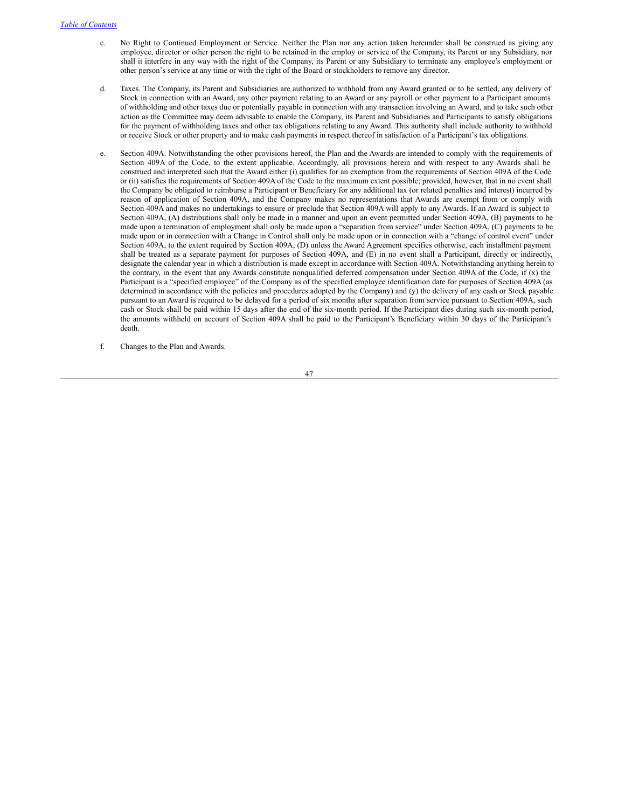- c. No Right to Continued Employment or Service. Neither the Plan nor any action taken hereunder shall be construed as giving any employee, director or other person the right to be retained in the employ or service of the Company, its Parent or any Subsidiary, nor shall it interfere in any way with the right of the Company, its Parent or any Subsidiary to terminate any employee's employment or other person's service at any time or with the right of the Board or stockholders to remove any director.
- d. Taxes. The Company, its Parent and Subsidiaries are authorized to withhold from any Award granted or to be settled, any delivery of Stock in connection with an Award, any other payment relating to an Award or any payroll or other payment to a Participant amounts of withholding and other taxes due or potentially payable in connection with any transaction involving an Award, and to take such other action as the Committee may deem advisable to enable the Company, its Parent and Subsidiaries and Participants to satisfy obligations for the payment of withholding taxes and other tax obligations relating to any Award. This authority shall include authority to withhold or receive Stock or other property and to make cash payments in respect thereof in satisfaction of a Participant's tax obligations.
- e. Section 409A. Notwithstanding the other provisions hereof, the Plan and the Awards are intended to comply with the requirements of Section 409A of the Code, to the extent applicable. Accordingly, all provisions herein and with respect to any Awards shall be construed and interpreted such that the Award either (i) qualifies for an exemption from the requirements of Section 409A of the Code or (ii) satisfies the requirements of Section 409A of the Code to the maximum extent possible; provided, however, that in no event shall the Company be obligated to reimburse a Participant or Beneficiary for any additional tax (or related penalties and interest) incurred by reason of application of Section 409A, and the Company makes no representations that Awards are exempt from or comply with Section 409A and makes no undertakings to ensure or preclude that Section 409A will apply to any Awards. If an Award is subject to Section 409A, (A) distributions shall only be made in a manner and upon an event permitted under Section 409A, (B) payments to be made upon a termination of employment shall only be made upon a "separation from service" under Section 409A, (C) payments to be made upon or in connection with a Change in Control shall only be made upon or in connection with a "change of control event" under Section 409A, to the extent required by Section 409A, (D) unless the Award Agreement specifies otherwise, each installment payment shall be treated as a separate payment for purposes of Section 409A, and (E) in no event shall a Participant, directly or indirectly, designate the calendar year in which a distribution is made except in accordance with Section 409A. Notwithstanding anything herein to the contrary, in the event that any Awards constitute nonqualified deferred compensation under Section 409A of the Code, if (x) the Participant is a "specified employee" of the Company as of the specified employee identification date for purposes of Section 409A (as determined in accordance with the policies and procedures adopted by the Company) and (y) the delivery of any cash or Stock payable pursuant to an Award is required to be delayed for a period of six months after separation from service pursuant to Section 409A, such cash or Stock shall be paid within 15 days after the end of the six-month period. If the Participant dies during such six-month period, the amounts withheld on account of Section 409A shall be paid to the Participant's Beneficiary within 30 days of the Participant's death.
- f. Changes to the Plan and Awards.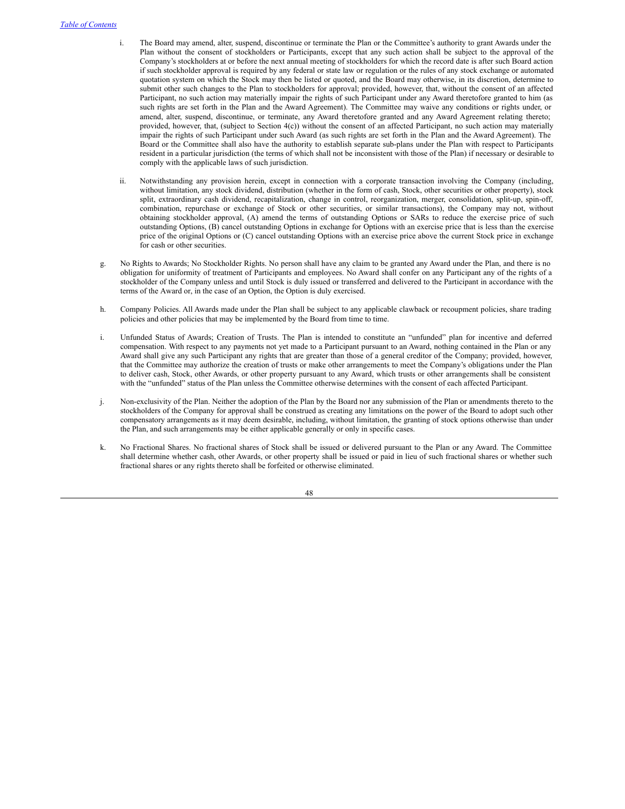- i. The Board may amend, alter, suspend, discontinue or terminate the Plan or the Committee's authority to grant Awards under the Plan without the consent of stockholders or Participants, except that any such action shall be subject to the approval of the Company's stockholders at or before the next annual meeting of stockholders for which the record date is after such Board action if such stockholder approval is required by any federal or state law or regulation or the rules of any stock exchange or automated quotation system on which the Stock may then be listed or quoted, and the Board may otherwise, in its discretion, determine to submit other such changes to the Plan to stockholders for approval; provided, however, that, without the consent of an affected Participant, no such action may materially impair the rights of such Participant under any Award theretofore granted to him (as such rights are set forth in the Plan and the Award Agreement). The Committee may waive any conditions or rights under, or amend, alter, suspend, discontinue, or terminate, any Award theretofore granted and any Award Agreement relating thereto; provided, however, that, (subject to Section 4(c)) without the consent of an affected Participant, no such action may materially impair the rights of such Participant under such Award (as such rights are set forth in the Plan and the Award Agreement). The Board or the Committee shall also have the authority to establish separate sub-plans under the Plan with respect to Participants resident in a particular jurisdiction (the terms of which shall not be inconsistent with those of the Plan) if necessary or desirable to comply with the applicable laws of such jurisdiction.
- ii. Notwithstanding any provision herein, except in connection with a corporate transaction involving the Company (including, without limitation, any stock dividend, distribution (whether in the form of cash, Stock, other securities or other property), stock split, extraordinary cash dividend, recapitalization, change in control, reorganization, merger, consolidation, split-up, spin-off, combination, repurchase or exchange of Stock or other securities, or similar transactions), the Company may not, without obtaining stockholder approval, (A) amend the terms of outstanding Options or SARs to reduce the exercise price of such outstanding Options, (B) cancel outstanding Options in exchange for Options with an exercise price that is less than the exercise price of the original Options or (C) cancel outstanding Options with an exercise price above the current Stock price in exchange for cash or other securities.
- g. No Rights to Awards; No Stockholder Rights. No person shall have any claim to be granted any Award under the Plan, and there is no obligation for uniformity of treatment of Participants and employees. No Award shall confer on any Participant any of the rights of a stockholder of the Company unless and until Stock is duly issued or transferred and delivered to the Participant in accordance with the terms of the Award or, in the case of an Option, the Option is duly exercised.
- h. Company Policies. All Awards made under the Plan shall be subject to any applicable clawback or recoupment policies, share trading policies and other policies that may be implemented by the Board from time to time.
- i. Unfunded Status of Awards; Creation of Trusts. The Plan is intended to constitute an "unfunded" plan for incentive and deferred compensation. With respect to any payments not yet made to a Participant pursuant to an Award, nothing contained in the Plan or any Award shall give any such Participant any rights that are greater than those of a general creditor of the Company; provided, however, that the Committee may authorize the creation of trusts or make other arrangements to meet the Company's obligations under the Plan to deliver cash, Stock, other Awards, or other property pursuant to any Award, which trusts or other arrangements shall be consistent with the "unfunded" status of the Plan unless the Committee otherwise determines with the consent of each affected Participant.
- j. Non-exclusivity of the Plan. Neither the adoption of the Plan by the Board nor any submission of the Plan or amendments thereto to the stockholders of the Company for approval shall be construed as creating any limitations on the power of the Board to adopt such other compensatory arrangements as it may deem desirable, including, without limitation, the granting of stock options otherwise than under the Plan, and such arrangements may be either applicable generally or only in specific cases.
- k. No Fractional Shares. No fractional shares of Stock shall be issued or delivered pursuant to the Plan or any Award. The Committee shall determine whether cash, other Awards, or other property shall be issued or paid in lieu of such fractional shares or whether such fractional shares or any rights thereto shall be forfeited or otherwise eliminated.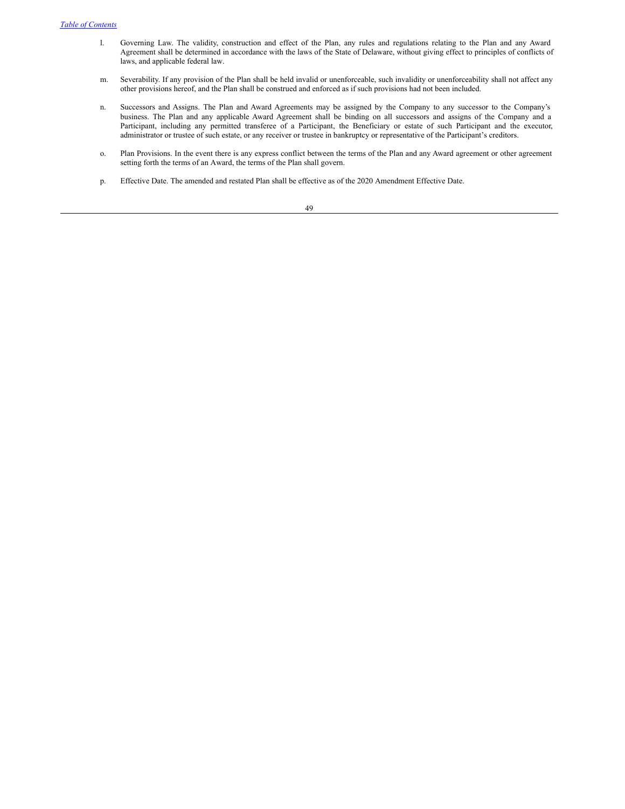- l. Governing Law. The validity, construction and effect of the Plan, any rules and regulations relating to the Plan and any Award Agreement shall be determined in accordance with the laws of the State of Delaware, without giving effect to principles of conflicts of laws, and applicable federal law.
- m. Severability. If any provision of the Plan shall be held invalid or unenforceable, such invalidity or unenforceability shall not affect any other provisions hereof, and the Plan shall be construed and enforced as if such provisions had not been included.
- n. Successors and Assigns. The Plan and Award Agreements may be assigned by the Company to any successor to the Company's business. The Plan and any applicable Award Agreement shall be binding on all successors and assigns of the Company and a Participant, including any permitted transferee of a Participant, the Beneficiary or estate of such Participant and the executor, administrator or trustee of such estate, or any receiver or trustee in bankruptcy or representative of the Participant's creditors.
- o. Plan Provisions. In the event there is any express conflict between the terms of the Plan and any Award agreement or other agreement setting forth the terms of an Award, the terms of the Plan shall govern.
- p. Effective Date. The amended and restated Plan shall be effective as of the 2020 Amendment Effective Date.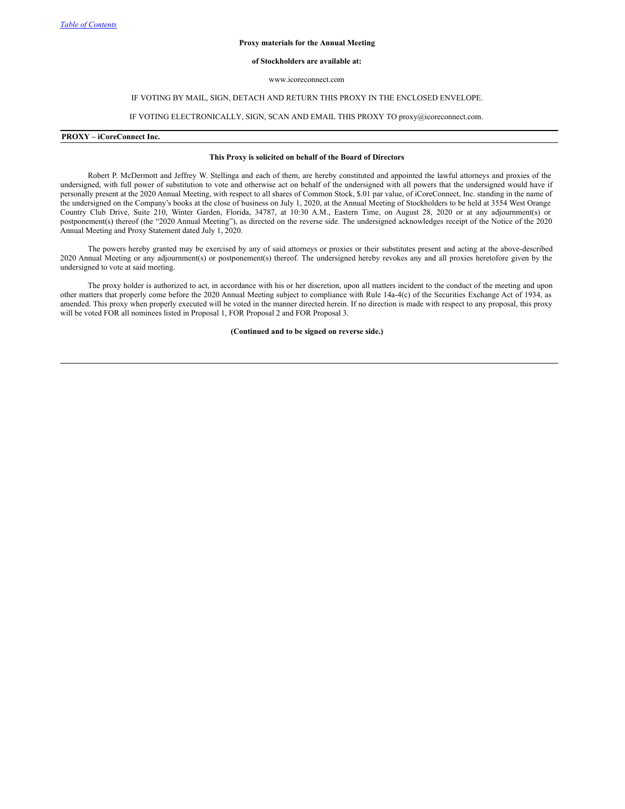#### **Proxy materials for the Annual Meeting**

### **of Stockholders are available at:**

www.icoreconnect.com

### IF VOTING BY MAIL, SIGN, DETACH AND RETURN THIS PROXY IN THE ENCLOSED ENVELOPE.

# IF VOTING ELECTRONICALLY, SIGN, SCAN AND EMAIL THIS PROXY TO proxy@icoreconnect.com.

#### **PROXY – iCoreConnect Inc.**

#### **This Proxy is solicited on behalf of the Board of Directors**

Robert P. McDermott and Jeffrey W. Stellinga and each of them, are hereby constituted and appointed the lawful attorneys and proxies of the undersigned, with full power of substitution to vote and otherwise act on behalf of the undersigned with all powers that the undersigned would have if personally present at the 2020 Annual Meeting, with respect to all shares of Common Stock, \$.01 par value, of iCoreConnect, Inc. standing in the name of the undersigned on the Company's books at the close of business on July 1, 2020, at the Annual Meeting of Stockholders to be held at 3554 West Orange Country Club Drive, Suite 210, Winter Garden, Florida, 34787, at 10:30 A.M., Eastern Time, on August 28, 2020 or at any adjournment(s) or postponement(s) thereof (the "2020 Annual Meeting"), as directed on the reverse side. The undersigned acknowledges receipt of the Notice of the 2020 Annual Meeting and Proxy Statement dated July 1, 2020.

The powers hereby granted may be exercised by any of said attorneys or proxies or their substitutes present and acting at the above-described 2020 Annual Meeting or any adjournment(s) or postponement(s) thereof. The undersigned hereby revokes any and all proxies heretofore given by the undersigned to vote at said meeting.

The proxy holder is authorized to act, in accordance with his or her discretion, upon all matters incident to the conduct of the meeting and upon other matters that properly come before the 2020 Annual Meeting subject to compliance with Rule 14a-4(c) of the Securities Exchange Act of 1934, as amended. This proxy when properly executed will be voted in the manner directed herein. If no direction is made with respect to any proposal, this proxy will be voted FOR all nominees listed in Proposal 1, FOR Proposal 2 and FOR Proposal 3.

**(Continued and to be signed on reverse side.)**